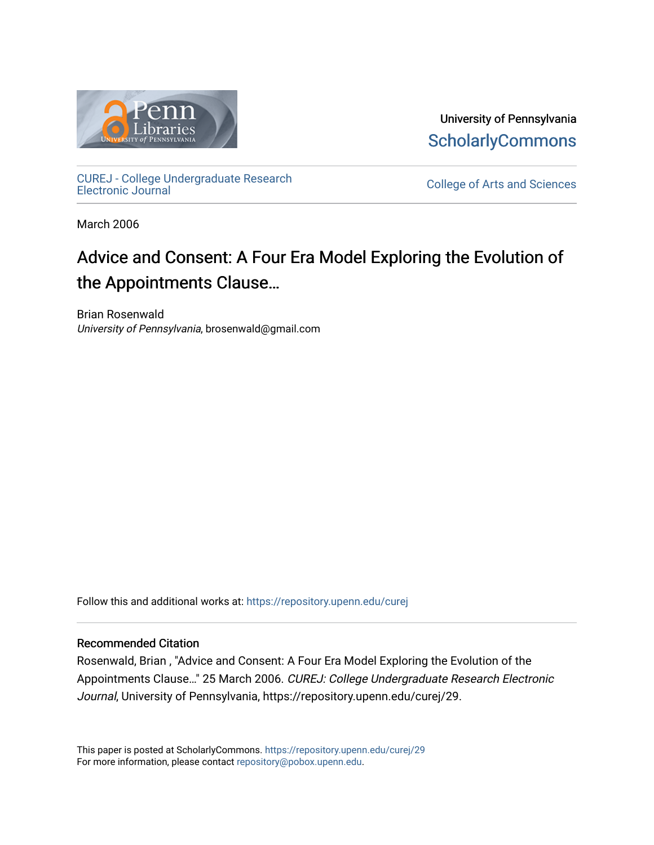

University of Pennsylvania **ScholarlyCommons** 

[CUREJ - College Undergraduate Research](https://repository.upenn.edu/curej) 

College of Arts and Sciences

March 2006

# Advice and Consent: A Four Era Model Exploring the Evolution of the Appointments Clause…

Brian Rosenwald University of Pennsylvania, brosenwald@gmail.com

Follow this and additional works at: [https://repository.upenn.edu/curej](https://repository.upenn.edu/curej?utm_source=repository.upenn.edu%2Fcurej%2F29&utm_medium=PDF&utm_campaign=PDFCoverPages)

#### Recommended Citation

Rosenwald, Brian , "Advice and Consent: A Four Era Model Exploring the Evolution of the Appointments Clause…" 25 March 2006. CUREJ: College Undergraduate Research Electronic Journal, University of Pennsylvania, https://repository.upenn.edu/curej/29.

This paper is posted at ScholarlyCommons.<https://repository.upenn.edu/curej/29> For more information, please contact [repository@pobox.upenn.edu.](mailto:repository@pobox.upenn.edu)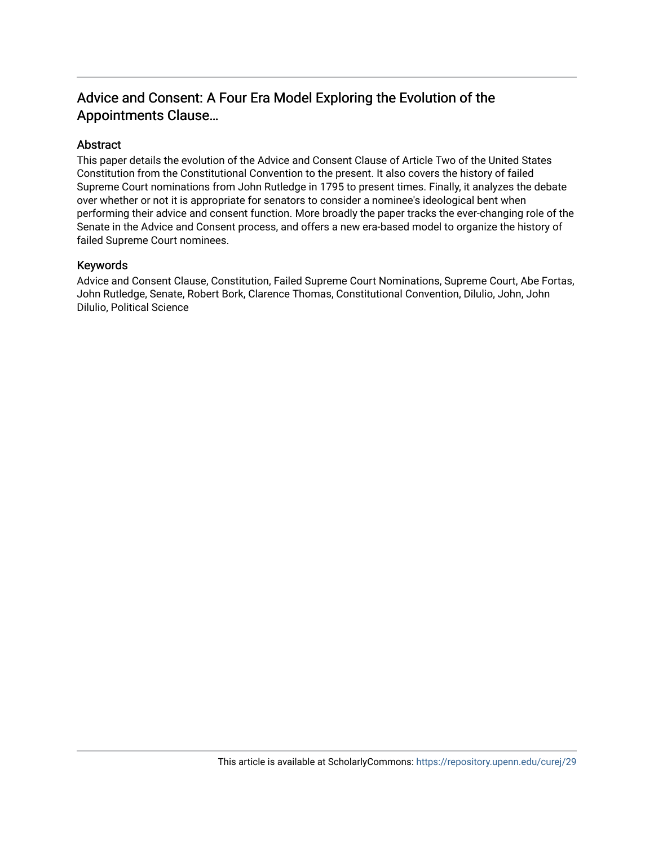## Advice and Consent: A Four Era Model Exploring the Evolution of the Appointments Clause…

### Abstract

This paper details the evolution of the Advice and Consent Clause of Article Two of the United States Constitution from the Constitutional Convention to the present. It also covers the history of failed Supreme Court nominations from John Rutledge in 1795 to present times. Finally, it analyzes the debate over whether or not it is appropriate for senators to consider a nominee's ideological bent when performing their advice and consent function. More broadly the paper tracks the ever-changing role of the Senate in the Advice and Consent process, and offers a new era-based model to organize the history of failed Supreme Court nominees.

#### Keywords

Advice and Consent Clause, Constitution, Failed Supreme Court Nominations, Supreme Court, Abe Fortas, John Rutledge, Senate, Robert Bork, Clarence Thomas, Constitutional Convention, Dilulio, John, John Dilulio, Political Science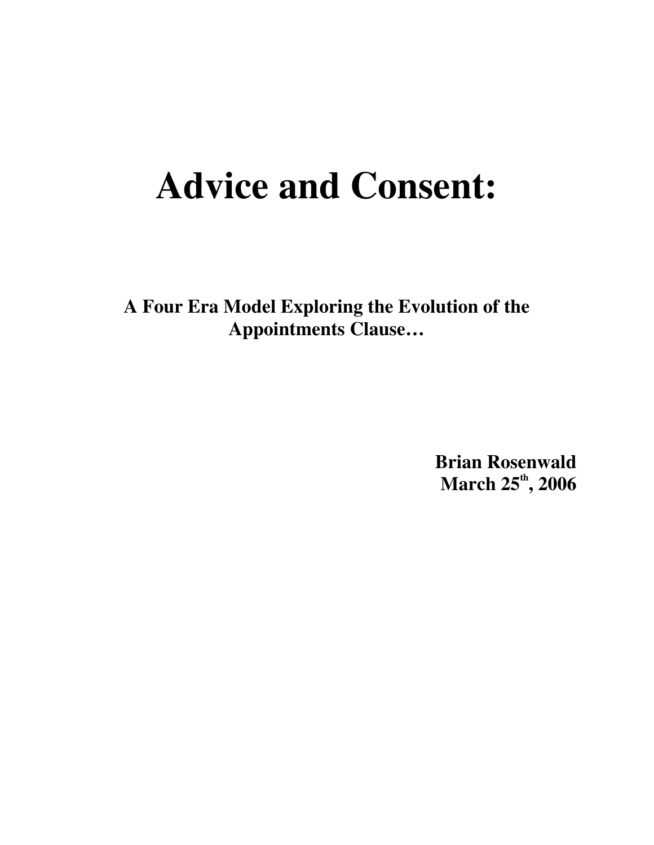# **Advice and Consent:**

**A Four Era Model Exploring the Evolution of the Appointments Clause…**

> **Brian Rosenwald March 25 th , 2006**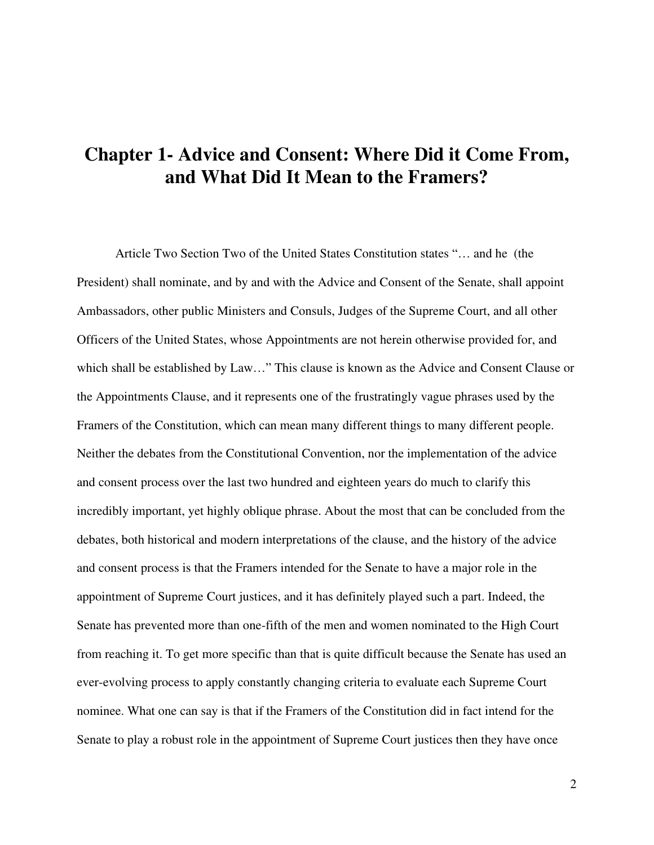## **Chapter 1- Advice and Consent: Where Did it Come From, and What Did It Mean to the Framers?**

Article Two Section Two of the United States Constitution states "… and he (the President) shall nominate, and by and with the Advice and Consent of the Senate, shall appoint Ambassadors, other public Ministers and Consuls, Judges of the Supreme Court, and all other Officers of the United States, whose Appointments are not herein otherwise provided for, and which shall be established by Law…" This clause is known as the Advice and Consent Clause or the Appointments Clause, and it represents one of the frustratingly vague phrases used by the Framers of the Constitution, which can mean many different things to many different people. Neither the debates from the Constitutional Convention, nor the implementation of the advice and consent process over the last two hundred and eighteen years do much to clarify this incredibly important, yet highly oblique phrase. About the most that can be concluded from the debates, both historical and modern interpretations of the clause, and the history of the advice and consent process is that the Framers intended for the Senate to have a major role in the appointment of Supreme Court justices, and it has definitely played such a part. Indeed, the Senate has prevented more than one-fifth of the men and women nominated to the High Court from reaching it. To get more specific than that is quite difficult because the Senate has used an ever-evolving process to apply constantly changing criteria to evaluate each Supreme Court nominee. What one can say is that if the Framers of the Constitution did in fact intend for the Senate to play a robust role in the appointment of Supreme Court justices then they have once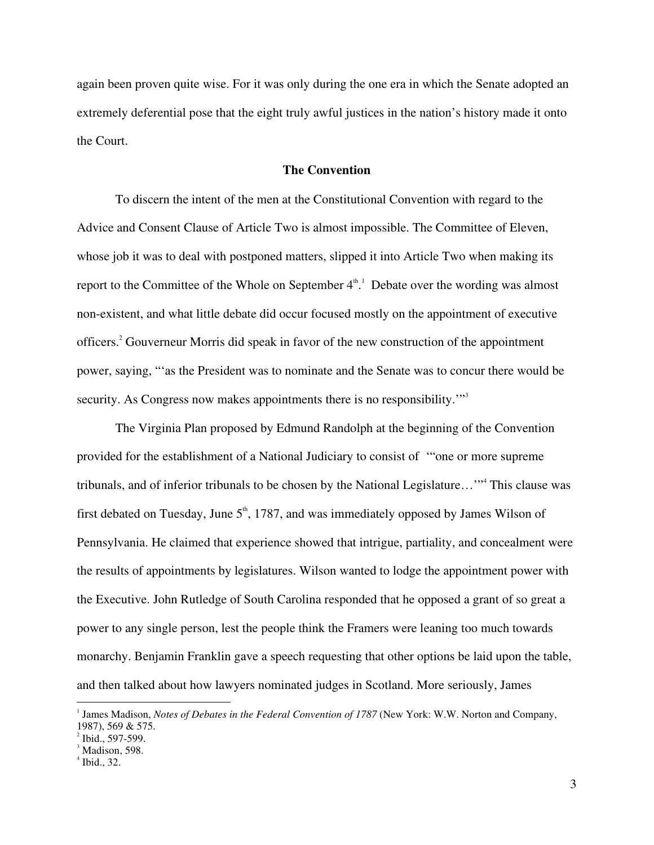again been proven quite wise. For it was only during the one era in which the Senate adopted an extremely deferential pose that the eight truly awful justices in the nation's history made it onto the Court.

#### **The Convention**

To discern the intent of the men at the Constitutional Convention with regard to the Advice and Consent Clause of Article Two is almost impossible. The Committee of Eleven, whose job it was to deal with postponed matters, slipped it into Article Two when making its report to the Committee of the Whole on September  $4^{\text{th}}$ . Debate over the wording was almost non-existent, and what little debate did occur focused mostly on the appointment of executive officers. <sup>2</sup> Gouverneur Morris did speak in favor of the new construction of the appointment power, saying, "'as the President was to nominate and the Senate was to concur there would be security. As Congress now makes appointments there is no responsibility."<sup>3</sup>

The Virginia Plan proposed by Edmund Randolph at the beginning of the Convention provided for the establishment of a National Judiciary to consist of '"one or more supreme tribunals, and of inferior tribunals to be chosen by the National Legislature…'" 4 This clause was first debated on Tuesday, June  $5^{\text{th}}$ , 1787, and was immediately opposed by James Wilson of Pennsylvania. He claimed that experience showed that intrigue, partiality, and concealment were the results of appointments by legislatures. Wilson wanted to lodge the appointment power with the Executive. John Rutledge of South Carolina responded that he opposed a grant of so great a power to any single person, lest the people think the Framers were leaning too much towards monarchy. Benjamin Franklin gave a speech requesting that other options be laid upon the table, and then talked about how lawyers nominated judges in Scotland. More seriously, James

<sup>1</sup> James Madison, *Notes of Debates in the Federal Convention of 1787* (New York: W.W. Norton and Company, 1987), <sup>569</sup> & 575. <sup>2</sup>

 $^{2}$  Ibid., 597-599.

 $<sup>3</sup>$  Madison, 598.</sup>

 $<sup>4</sup>$  Ibid., 32.</sup>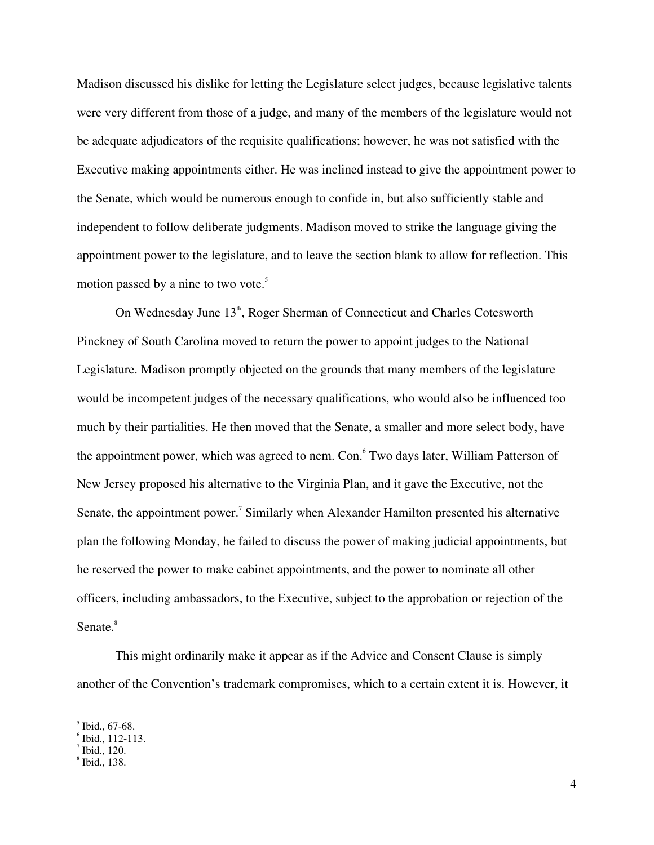Madison discussed his dislike for letting the Legislature select judges, because legislative talents were very different from those of a judge, and many of the members of the legislature would not be adequate adjudicators of the requisite qualifications; however, he was not satisfied with the Executive making appointments either. He was inclined instead to give the appointment power to the Senate, which would be numerous enough to confide in, but also sufficiently stable and independent to follow deliberate judgments. Madison moved to strike the language giving the appointment power to the legislature, and to leave the section blank to allow for reflection. This motion passed by a nine to two vote. 5

On Wednesday June 13<sup>th</sup>, Roger Sherman of Connecticut and Charles Cotesworth Pinckney of South Carolina moved to return the power to appoint judges to the National Legislature. Madison promptly objected on the grounds that many members of the legislature would be incompetent judges of the necessary qualifications, who would also be influenced too much by their partialities. He then moved that the Senate, a smaller and more select body, have the appointment power, which was agreed to nem. Con. Two days later, William Patterson of New Jersey proposed his alternative to the Virginia Plan, and it gave the Executive, not the Senate, the appointment power.<sup>7</sup> Similarly when Alexander Hamilton presented his alternative plan the following Monday, he failed to discuss the power of making judicial appointments, but he reserved the power to make cabinet appointments, and the power to nominate all other officers, including ambassadors, to the Executive, subject to the approbation or rejection of the Senate.<sup>8</sup>

This might ordinarily make it appear as if the Advice and Consent Clause is simply another of the Convention's trademark compromises, which to a certain extent it is. However, it

 $^5$  Ibid., 67-68.

 $\degree$  Ibid., 112-113.

Ibid.,  $120$ .

 $\delta$  Ibid., 138.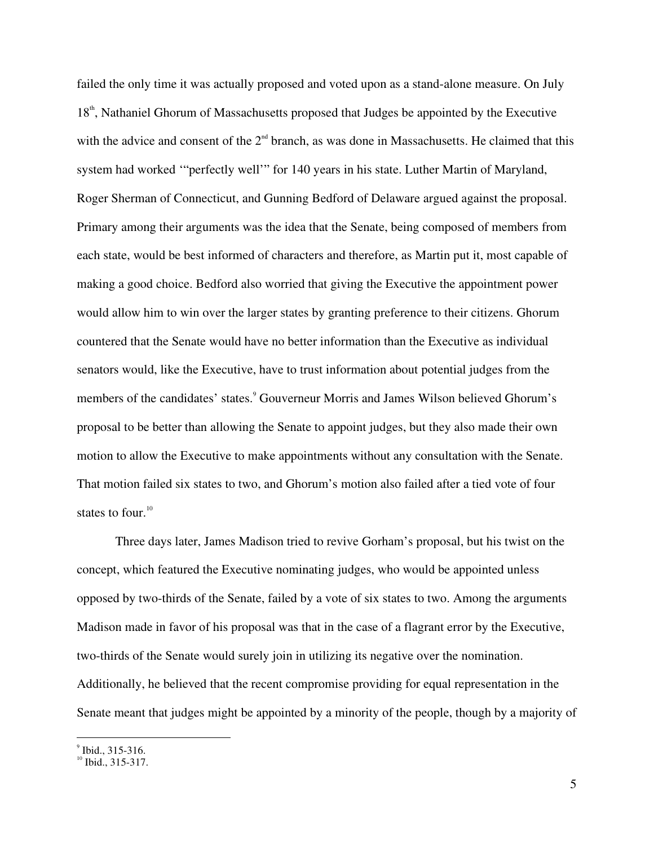failed the only time it was actually proposed and voted upon as a stand-alone measure. On July 18<sup>th</sup>, Nathaniel Ghorum of Massachusetts proposed that Judges be appointed by the Executive with the advice and consent of the  $2<sup>nd</sup>$  branch, as was done in Massachusetts. He claimed that this system had worked '"perfectly well'" for 140 years in his state. Luther Martin of Maryland, Roger Sherman of Connecticut, and Gunning Bedford of Delaware argued against the proposal. Primary among their arguments was the idea that the Senate, being composed of members from each state, would be best informed of characters and therefore, as Martin put it, most capable of making a good choice. Bedford also worried that giving the Executive the appointment power would allow him to win over the larger states by granting preference to their citizens. Ghorum countered that the Senate would have no better information than the Executive as individual senators would, like the Executive, have to trust information about potential judges from the members of the candidates' states. 9 Gouverneur Morris and James Wilson believed Ghorum's proposal to be better than allowing the Senate to appoint judges, but they also made their own motion to allow the Executive to make appointments without any consultation with the Senate. That motion failed six states to two, and Ghorum's motion also failed after a tied vote of four states to four.<sup>10</sup>

Three days later, James Madison tried to revive Gorham's proposal, but his twist on the concept, which featured the Executive nominating judges, who would be appointed unless opposed by two-thirds of the Senate, failed by a vote of six states to two. Among the arguments Madison made in favor of his proposal was that in the case of a flagrant error by the Executive, two-thirds of the Senate would surely join in utilizing its negative over the nomination. Additionally, he believed that the recent compromise providing for equal representation in the Senate meant that judges might be appointed by a minority of the people, though by a majority of

 $^{9}$  Ibid., 315-316.

 $\overline{^{10}}$  Ibid., 315-317.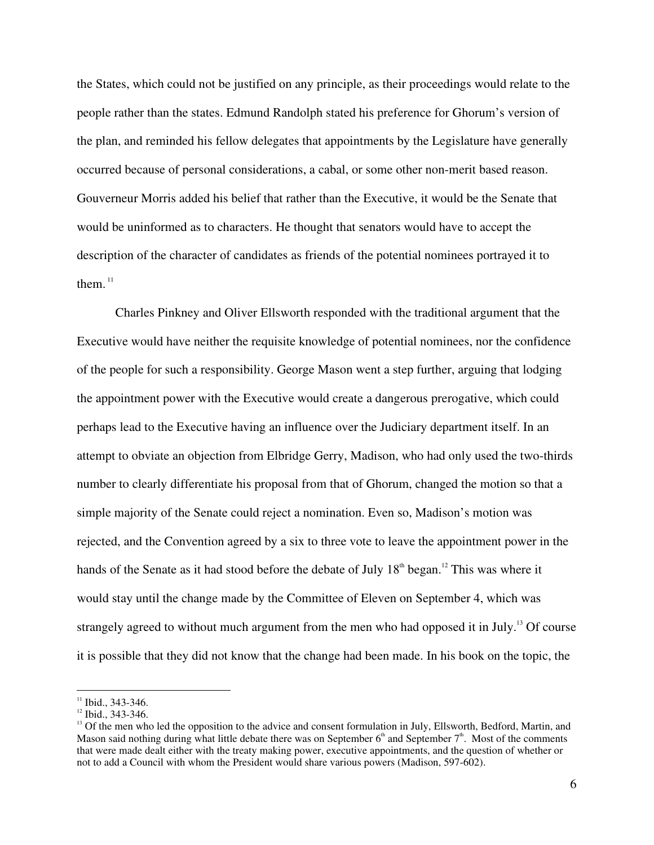the States, which could not be justified on any principle, as their proceedings would relate to the people rather than the states. Edmund Randolph stated his preference for Ghorum's version of the plan, and reminded his fellow delegates that appointments by the Legislature have generally occurred because of personal considerations, a cabal, or some other non-merit based reason. Gouverneur Morris added his belief that rather than the Executive, it would be the Senate that would be uninformed as to characters. He thought that senators would have to accept the description of the character of candidates as friends of the potential nominees portrayed it to them.<sup>11</sup>

Charles Pinkney and Oliver Ellsworth responded with the traditional argument that the Executive would have neither the requisite knowledge of potential nominees, nor the confidence of the people for such a responsibility. George Mason went a step further, arguing that lodging the appointment power with the Executive would create a dangerous prerogative, which could perhaps lead to the Executive having an influence over the Judiciary department itself. In an attempt to obviate an objection from Elbridge Gerry, Madison, who had only used the two-thirds number to clearly differentiate his proposal from that of Ghorum, changed the motion so that a simple majority of the Senate could reject a nomination. Even so, Madison's motion was rejected, and the Convention agreed by a six to three vote to leave the appointment power in the hands of the Senate as it had stood before the debate of July  $18<sup>th</sup>$  began.<sup>12</sup> This was where it would stay until the change made by the Committee of Eleven on September 4, which was strangely agreed to without much argument from the men who had opposed it in July.<sup>13</sup> Of course it is possible that they did not know that the change had been made. In his book on the topic, the

 $11$  Ibid., 343-346.

 $12$  Ibid., 343-346.

<sup>&</sup>lt;sup>13</sup> Of the men who led the opposition to the advice and consent formulation in July, Ellsworth, Bedford, Martin, and Mason said nothing during what little debate there was on September  $6<sup>th</sup>$  and September  $7<sup>th</sup>$ . Most of the comments that were made dealt either with the treaty making power, executive appointments, and the question of whether or not to add a Council with whom the President would share various powers (Madison, 597-602).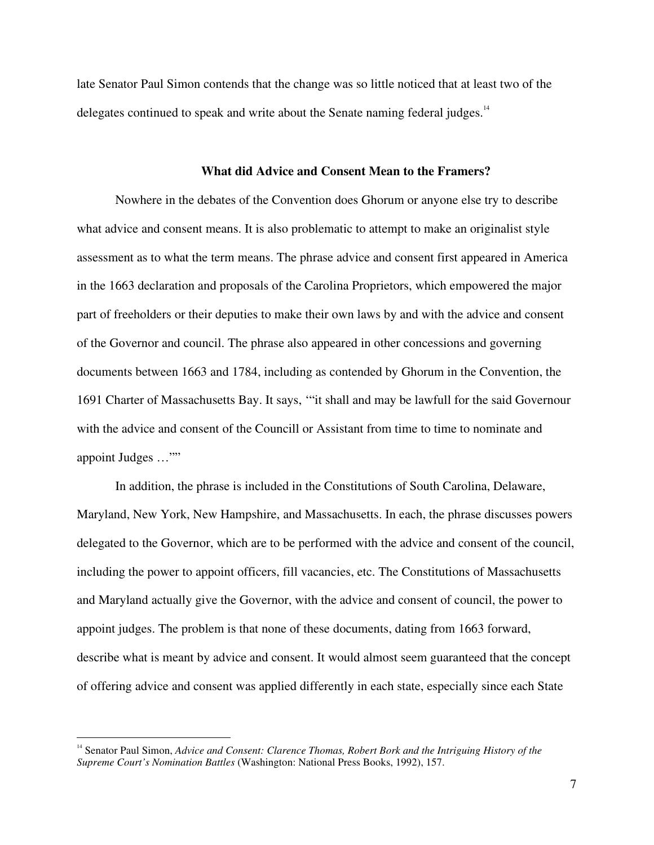late Senator Paul Simon contends that the change was so little noticed that at least two of the delegates continued to speak and write about the Senate naming federal judges.<sup>14</sup>

#### **What did Advice and Consent Mean to the Framers?**

Nowhere in the debates of the Convention does Ghorum or anyone else try to describe what advice and consent means. It is also problematic to attempt to make an originalist style assessment as to what the term means. The phrase advice and consent first appeared in America in the 1663 declaration and proposals of the Carolina Proprietors, which empowered the major part of freeholders or their deputies to make their own laws by and with the advice and consent of the Governor and council. The phrase also appeared in other concessions and governing documents between 1663 and 1784, including as contended by Ghorum in the Convention, the 1691 Charter of Massachusetts Bay. It says, '"it shall and may be lawfull for the said Governour with the advice and consent of the Councill or Assistant from time to time to nominate and appoint Judges …""

In addition, the phrase is included in the Constitutions of South Carolina, Delaware, Maryland, New York, New Hampshire, and Massachusetts. In each, the phrase discusses powers delegated to the Governor, which are to be performed with the advice and consent of the council, including the power to appoint officers, fill vacancies, etc. The Constitutions of Massachusetts and Maryland actually give the Governor, with the advice and consent of council, the power to appoint judges. The problem is that none of these documents, dating from 1663 forward, describe what is meant by advice and consent. It would almost seem guaranteed that the concept of offering advice and consent was applied differently in each state, especially since each State

<sup>14</sup> Senator Paul Simon, *Advice and Consent: Clarence Thomas, Robert Bork and the Intriguing History of the Supreme Court's Nomination Battles* (Washington: National Press Books, 1992), 157.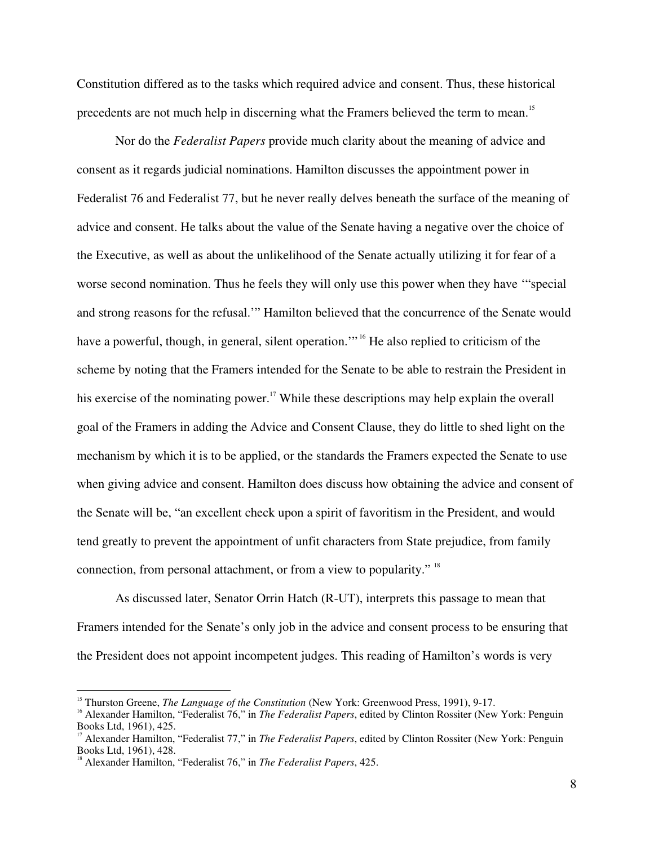Constitution differed as to the tasks which required advice and consent. Thus, these historical precedents are not much help in discerning what the Framers believed the term to mean.<sup>15</sup>

Nor do the *Federalist Papers* provide much clarity about the meaning of advice and consent as it regards judicial nominations. Hamilton discusses the appointment power in Federalist 76 and Federalist 77, but he never really delves beneath the surface of the meaning of advice and consent. He talks about the value of the Senate having a negative over the choice of the Executive, as well as about the unlikelihood of the Senate actually utilizing it for fear of a worse second nomination. Thus he feels they will only use this power when they have '"special and strong reasons for the refusal.'" Hamilton believed that the concurrence of the Senate would have a powerful, though, in general, silent operation."<sup>16</sup> He also replied to criticism of the scheme by noting that the Framers intended for the Senate to be able to restrain the President in his exercise of the nominating power.<sup>17</sup> While these descriptions may help explain the overall goal of the Framers in adding the Advice and Consent Clause, they do little to shed light on the mechanism by which it is to be applied, or the standards the Framers expected the Senate to use when giving advice and consent. Hamilton does discuss how obtaining the advice and consent of the Senate will be, "an excellent check upon a spirit of favoritism in the President, and would tend greatly to prevent the appointment of unfit characters from State prejudice, from family connection, from personal attachment, or from a view to popularity." <sup>18</sup>

As discussed later, Senator Orrin Hatch (R-UT), interprets this passage to mean that Framers intended for the Senate's only job in the advice and consent process to be ensuring that the President does not appoint incompetent judges. This reading of Hamilton's words is very

<sup>&</sup>lt;sup>15</sup> Thurston Greene, *The Language of the Constitution* (New York: Greenwood Press, 1991), 9-17.

<sup>&</sup>lt;sup>16</sup> Alexander Hamilton, "Federalist 76," in *The Federalist Papers*, edited by Clinton Rossiter (New York: Penguin Books Ltd, 1961), 425.

Alexander Hamilton, "Federalist 77," in *The Federalist Papers*, edited by Clinton Rossiter (New York: Penguin Books Ltd, 1961), 428.

Alexander Hamilton, "Federalist 76," in *The Federalist Papers*, 425.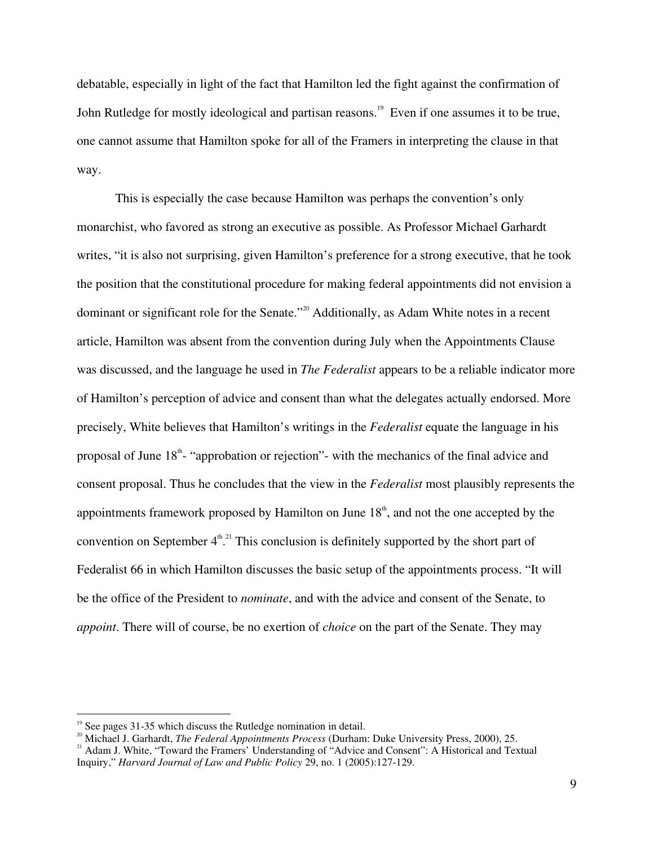debatable, especially in light of the fact that Hamilton led the fight against the confirmation of John Rutledge for mostly ideological and partisan reasons.<sup>19</sup> Even if one assumes it to be true, one cannot assume that Hamilton spoke for all of the Framers in interpreting the clause in that way.

This is especially the case because Hamilton was perhaps the convention's only monarchist, who favored as strong an executive as possible. As Professor Michael Garhardt writes, "it is also not surprising, given Hamilton's preference for a strong executive, that he took the position that the constitutional procedure for making federal appointments did not envision a dominant or significant role for the Senate."<sup>20</sup> Additionally, as Adam White notes in a recent article, Hamilton was absent from the convention during July when the Appointments Clause was discussed, and the language he used in *The Federalist* appears to be a reliable indicator more of Hamilton's perception of advice and consent than what the delegates actually endorsed. More precisely, White believes that Hamilton's writings in the *Federalist* equate the language in his proposal of June 18<sup>th</sup> "approbation or rejection" - with the mechanics of the final advice and consent proposal. Thus he concludes that the view in the *Federalist* most plausibly represents the appointments framework proposed by Hamilton on June  $18<sup>th</sup>$ , and not the one accepted by the convention on September  $4^{\text{th}}$ .<sup>21</sup> This conclusion is definitely supported by the short part of Federalist 66 in which Hamilton discusses the basic setup of the appointments process. "It will be the office of the President to *nominate*, and with the advice and consent of the Senate, to *appoint*. There will of course, be no exertion of *choice* on the part of the Senate. They may

<sup>&</sup>lt;sup>19</sup> See pages 31-35 which discuss the Rutledge nomination in detail.<br><sup>20</sup> Michael L. Cerberth, *The Eadawal* Amasinty ante Presence (Direbors)

<sup>&</sup>lt;sup>20</sup> Michael J. Garhardt, *The Federal Appointments Process* (Durham: Duke University Press, 2000), 25.

<sup>&</sup>lt;sup>21</sup> Adam J. White, "Toward the Framers' Understanding of "Advice and Consent": A Historical and Textual Inquiry," *Harvard Journal of Law and Public Policy* 29, no. 1 (2005):127-129.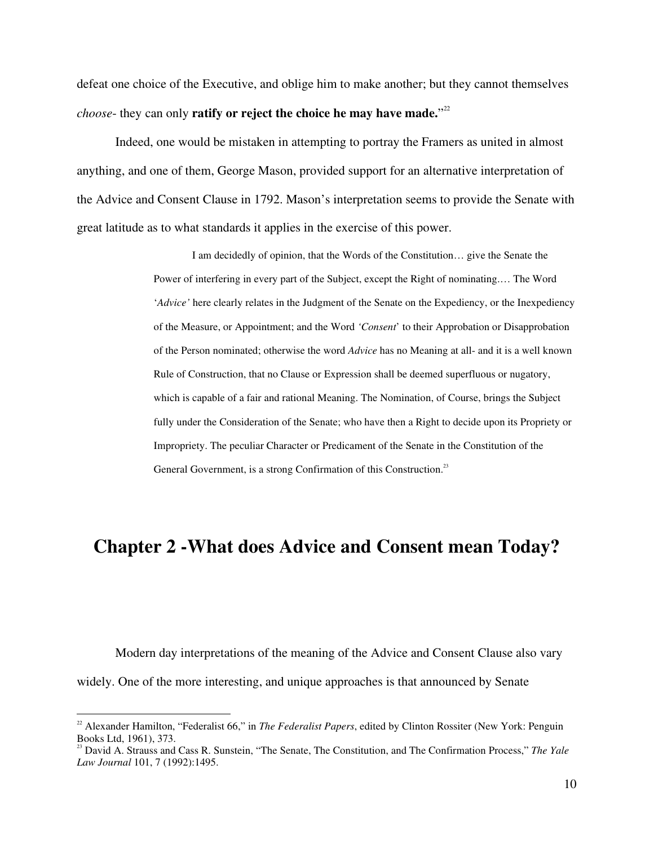defeat one choice of the Executive, and oblige him to make another; but they cannot themselves *choose*- they can only **ratify or reject the choice he may have made.**" 22

Indeed, one would be mistaken in attempting to portray the Framers as united in almost anything, and one of them, George Mason, provided support for an alternative interpretation of the Advice and Consent Clause in 1792. Mason's interpretation seems to provide the Senate with great latitude as to what standards it applies in the exercise of this power.

> I am decidedly of opinion, that the Words of the Constitution… give the Senate the Power of interfering in every part of the Subject, except the Right of nominating.… The Word '*Advice'* here clearly relates in the Judgment of the Senate on the Expediency, or the Inexpediency of the Measure, or Appointment; and the Word *'Consent*' to their Approbation or Disapprobation of the Person nominated; otherwise the word *Advice* has no Meaning at all- and it is a well known Rule of Construction, that no Clause or Expression shall be deemed superfluous or nugatory, which is capable of a fair and rational Meaning. The Nomination, of Course, brings the Subject fully under the Consideration of the Senate; who have then a Right to decide upon its Propriety or Impropriety. The peculiar Character or Predicament of the Senate in the Constitution of the General Government, is a strong Confirmation of this Construction.<sup>23</sup>

## **Chapter 2 -What does Advice and Consent mean Today?**

Modern day interpretations of the meaning of the Advice and Consent Clause also vary widely. One of the more interesting, and unique approaches is that announced by Senate

<sup>22</sup> Alexander Hamilton, "Federalist 66," in *The Federalist Papers*, edited by Clinton Rossiter (New York: Penguin Books Ltd, 1961), 373.<br><sup>23</sup> David A. Strauss and Cass R. Sunstein, ''The Senate, The Constitution, and The Confirmation Process,'' *The Yale* 

*Law Journal* 101, 7 (1992):1495.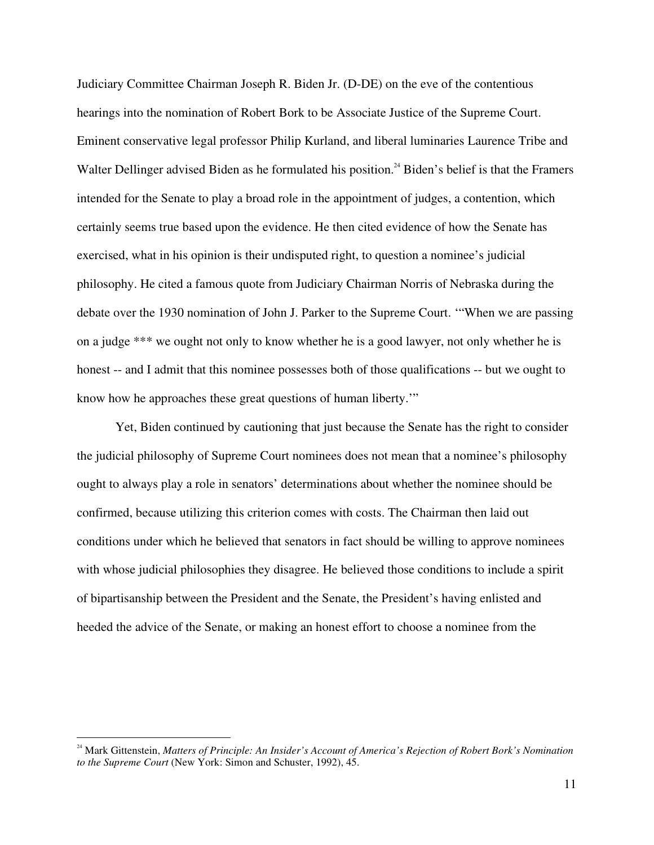Judiciary Committee Chairman Joseph R. Biden Jr. (D-DE) on the eve of the contentious hearings into the nomination of Robert Bork to be Associate Justice of the Supreme Court. Eminent conservative legal professor Philip Kurland, and liberal luminaries Laurence Tribe and Walter Dellinger advised Biden as he formulated his position.<sup>24</sup> Biden's belief is that the Framers intended for the Senate to play a broad role in the appointment of judges, a contention, which certainly seems true based upon the evidence. He then cited evidence of how the Senate has exercised, what in his opinion is their undisputed right, to question a nominee's judicial philosophy. He cited a famous quote from Judiciary Chairman Norris of Nebraska during the debate over the 1930 nomination of John J. Parker to the Supreme Court. '"When we are passing on a judge \*\*\* we ought not only to know whether he is a good lawyer, not only whether he is honest -- and I admit that this nominee possesses both of those qualifications -- but we ought to know how he approaches these great questions of human liberty.'"

Yet, Biden continued by cautioning that just because the Senate has the right to consider the judicial philosophy of Supreme Court nominees does not mean that a nominee's philosophy ought to always play a role in senators' determinations about whether the nominee should be confirmed, because utilizing this criterion comes with costs. The Chairman then laid out conditions under which he believed that senators in fact should be willing to approve nominees with whose judicial philosophies they disagree. He believed those conditions to include a spirit of bipartisanship between the President and the Senate, the President's having enlisted and heeded the advice of the Senate, or making an honest effort to choose a nominee from the

<sup>24</sup> Mark Gittenstein, *Matters of Principle: An Insider's Account of America's Rejection of Robert Bork's Nomination to the Supreme Court* (New York: Simon and Schuster, 1992), 45.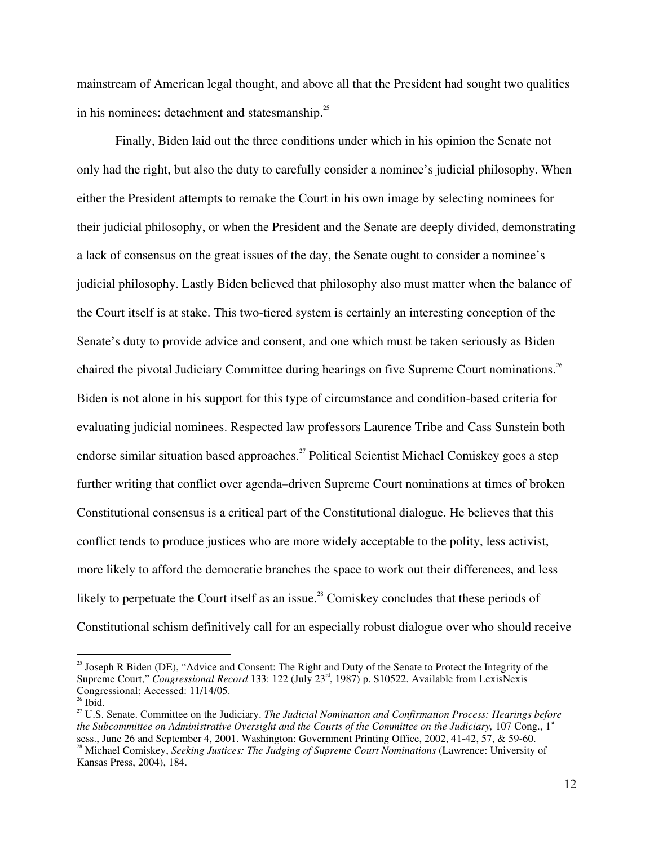mainstream of American legal thought, and above all that the President had sought two qualities in his nominees: detachment and statesmanship.<sup>25</sup>

Finally, Biden laid out the three conditions under which in his opinion the Senate not only had the right, but also the duty to carefully consider a nominee's judicial philosophy. When either the President attempts to remake the Court in his own image by selecting nominees for their judicial philosophy, or when the President and the Senate are deeply divided, demonstrating a lack of consensus on the great issues of the day, the Senate ought to consider a nominee's judicial philosophy. Lastly Biden believed that philosophy also must matter when the balance of the Court itself is at stake. This two-tiered system is certainly an interesting conception of the Senate's duty to provide advice and consent, and one which must be taken seriously as Biden chaired the pivotal Judiciary Committee during hearings on five Supreme Court nominations.<sup>26</sup> Biden is not alone in his support for this type of circumstance and condition-based criteria for evaluating judicial nominees. Respected law professors Laurence Tribe and Cass Sunstein both endorse similar situation based approaches.<sup>27</sup> Political Scientist Michael Comiskey goes a step further writing that conflict over agenda–driven Supreme Court nominations at times of broken Constitutional consensus is a critical part of the Constitutional dialogue. He believes that this conflict tends to produce justices who are more widely acceptable to the polity, less activist, more likely to afford the democratic branches the space to work out their differences, and less likely to perpetuate the Court itself as an issue.<sup>28</sup> Comiskey concludes that these periods of Constitutional schism definitively call for an especially robust dialogue over who should receive

<sup>&</sup>lt;sup>25</sup> Joseph R Biden (DE), "Advice and Consent: The Right and Duty of the Senate to Protect the Integrity of the Supreme Court," *Congressional Record* 133: 122 (July 23<sup>rd</sup>, 1987) p. S10522. Available from LexisNexis Congressional; Accessed: 11/14/05.<br><sup>26</sup> Ibid.

Ibid. <sup>27</sup> U.S. Senate. Committee on the Judiciary. *The Judicial Nomination and Confirmation Process: Hearings before the Subcommittee on Administrative Oversight and the Courts of the Committee on the Judiciary,* 107 Cong., 1 st sess., June 26 and September 4, 2001. Washington: Government Printing Office, 2002, 41-42, 57, & 59-60.<br><sup>28</sup> Michael Comiskey, *Seeking Justices: The Judging of Supreme Court Nominations* (Lawrence: University of

Kansas Press, 2004), 184.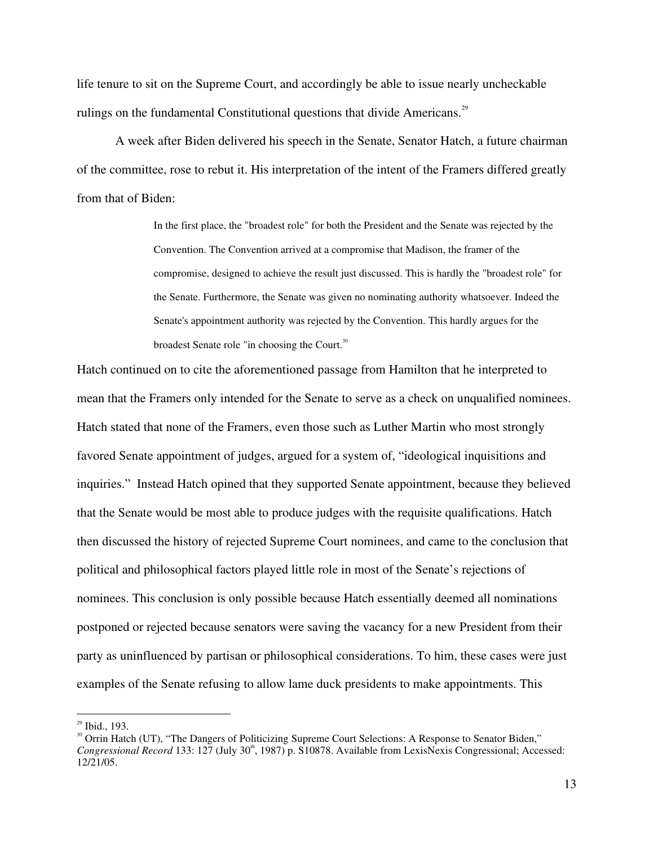life tenure to sit on the Supreme Court, and accordingly be able to issue nearly uncheckable rulings on the fundamental Constitutional questions that divide Americans.<sup>29</sup>

A week after Biden delivered his speech in the Senate, Senator Hatch, a future chairman of the committee, rose to rebut it. His interpretation of the intent of the Framers differed greatly from that of Biden:

> In the first place, the "broadest role" for both the President and the Senate was rejected by the Convention. The Convention arrived at a compromise that Madison, the framer of the compromise, designed to achieve the result just discussed. This is hardly the "broadest role" for the Senate. Furthermore, the Senate was given no nominating authority whatsoever. Indeed the Senate's appointment authority was rejected by the Convention. This hardly argues for the broadest Senate role "in choosing the Court.<sup>30</sup>

Hatch continued on to cite the aforementioned passage from Hamilton that he interpreted to mean that the Framers only intended for the Senate to serve as a check on unqualified nominees. Hatch stated that none of the Framers, even those such as Luther Martin who most strongly favored Senate appointment of judges, argued for a system of, "ideological inquisitions and inquiries." Instead Hatch opined that they supported Senate appointment, because they believed that the Senate would be most able to produce judges with the requisite qualifications. Hatch then discussed the history of rejected Supreme Court nominees, and came to the conclusion that political and philosophical factors played little role in most of the Senate's rejections of nominees. This conclusion is only possible because Hatch essentially deemed all nominations postponed or rejected because senators were saving the vacancy for a new President from their party as uninfluenced by partisan or philosophical considerations. To him, these cases were just examples of the Senate refusing to allow lame duck presidents to make appointments. This

 $^{29}$  Ibid., 193.

<sup>&</sup>lt;sup>30</sup> Orrin Hatch (UT), "The Dangers of Politicizing Supreme Court Selections: A Response to Senator Biden," Congressional Record 133: 127 (July 30<sup>th</sup>, 1987) p. S10878. Available from LexisNexis Congressional; Accessed: 12/21/05.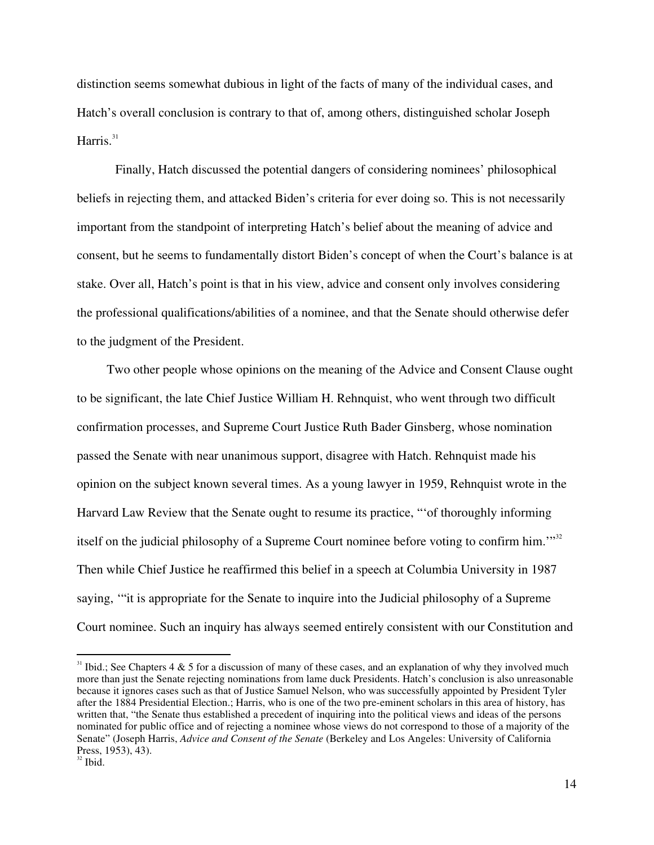distinction seems somewhat dubious in light of the facts of many of the individual cases, and Hatch's overall conclusion is contrary to that of, among others, distinguished scholar Joseph Harris.<sup>31</sup>

Finally, Hatch discussed the potential dangers of considering nominees' philosophical beliefs in rejecting them, and attacked Biden's criteria for ever doing so. This is not necessarily important from the standpoint of interpreting Hatch's belief about the meaning of advice and consent, but he seems to fundamentally distort Biden's concept of when the Court's balance is at stake. Over all, Hatch's point is that in his view, advice and consent only involves considering the professional qualifications/abilities of a nominee, and that the Senate should otherwise defer to the judgment of the President.

Two other people whose opinions on the meaning of the Advice and Consent Clause ought to be significant, the late Chief Justice William H. Rehnquist, who went through two difficult confirmation processes, and Supreme Court Justice Ruth Bader Ginsberg, whose nomination passed the Senate with near unanimous support, disagree with Hatch. Rehnquist made his opinion on the subject known several times. As a young lawyer in 1959, Rehnquist wrote in the Harvard Law Review that the Senate ought to resume its practice, "'of thoroughly informing itself on the judicial philosophy of a Supreme Court nominee before voting to confirm him." $32$ Then while Chief Justice he reaffirmed this belief in a speech at Columbia University in 1987 saying, '"it is appropriate for the Senate to inquire into the Judicial philosophy of a Supreme Court nominee. Such an inquiry has always seemed entirely consistent with our Constitution and

<sup>&</sup>lt;sup>31</sup> Ibid.; See Chapters 4 & 5 for a discussion of many of these cases, and an explanation of why they involved much more than just the Senate rejecting nominations from lame duck Presidents. Hatch's conclusion is also unreasonable because it ignores cases such as that of Justice Samuel Nelson, who was successfully appointed by President Tyler after the 1884 Presidential Election.; Harris, who is one of the two pre-eminent scholars in this area of history, has written that, "the Senate thus established a precedent of inquiring into the political views and ideas of the persons nominated for public office and of rejecting a nominee whose views do not correspond to those of a majority of the Senate" (Joseph Harris, *Advice and Consent of the Senate* (Berkeley and Los Angeles: University of California Press, 1953), 43).

 $32$  Ibid.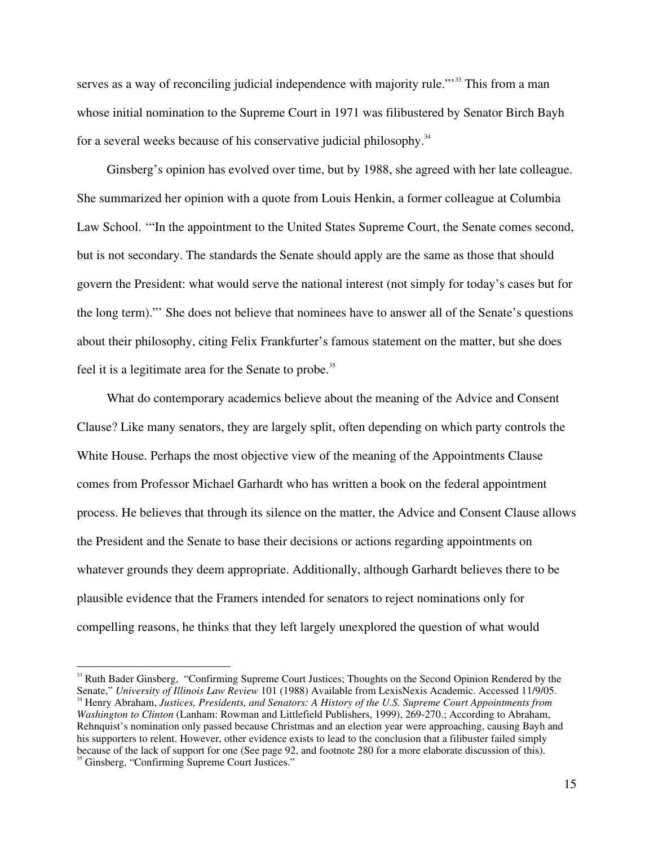serves as a way of reconciling judicial independence with majority rule."<sup>33</sup> This from a man whose initial nomination to the Supreme Court in 1971 was filibustered by Senator Birch Bayh for a several weeks because of his conservative judicial philosophy.<sup>34</sup>

Ginsberg's opinion has evolved over time, but by 1988, she agreed with her late colleague. She summarized her opinion with a quote from Louis Henkin, a former colleague at Columbia Law School. '"In the appointment to the United States Supreme Court, the Senate comes second, but is not secondary. The standards the Senate should apply are the same as those that should govern the President: what would serve the national interest (not simply for today's cases but for the long term)."' She does not believe that nominees have to answer all of the Senate's questions about their philosophy, citing Felix Frankfurter's famous statement on the matter, but she does feel it is a legitimate area for the Senate to probe.<sup>35</sup>

What do contemporary academics believe about the meaning of the Advice and Consent Clause? Like many senators, they are largely split, often depending on which party controls the White House. Perhaps the most objective view of the meaning of the Appointments Clause comes from Professor Michael Garhardt who has written a book on the federal appointment process. He believes that through its silence on the matter, the Advice and Consent Clause allows the President and the Senate to base their decisions or actions regarding appointments on whatever grounds they deem appropriate. Additionally, although Garhardt believes there to be plausible evidence that the Framers intended for senators to reject nominations only for compelling reasons, he thinks that they left largely unexplored the question of what would

<sup>&</sup>lt;sup>33</sup> Ruth Bader Ginsberg, "Confirming Supreme Court Justices; Thoughts on the Second Opinion Rendered by the Senate," University of Illinois Law Review 101 (1988) Available from LexisNexis Academic. Accessed 11/9/05. Henry Abraham, *Justices, Presidents, and Senators: A History of the U.S. Supreme Court Appointments from Washington to Clinton* (Lanham: Rowman and Littlefield Publishers, 1999), 269-270.; According to Abraham, Rehnquist's nomination only passed because Christmas and an election year were approaching, causing Bayh and his supporters to relent. However, other evidence exists to lead to the conclusion that a filibuster failed simply because of the lack of support for one (See page 92, and footnote 280 for a more elaborate discussion of this). <sup>35</sup> Ginsberg, "Confirming Supreme Court Justices."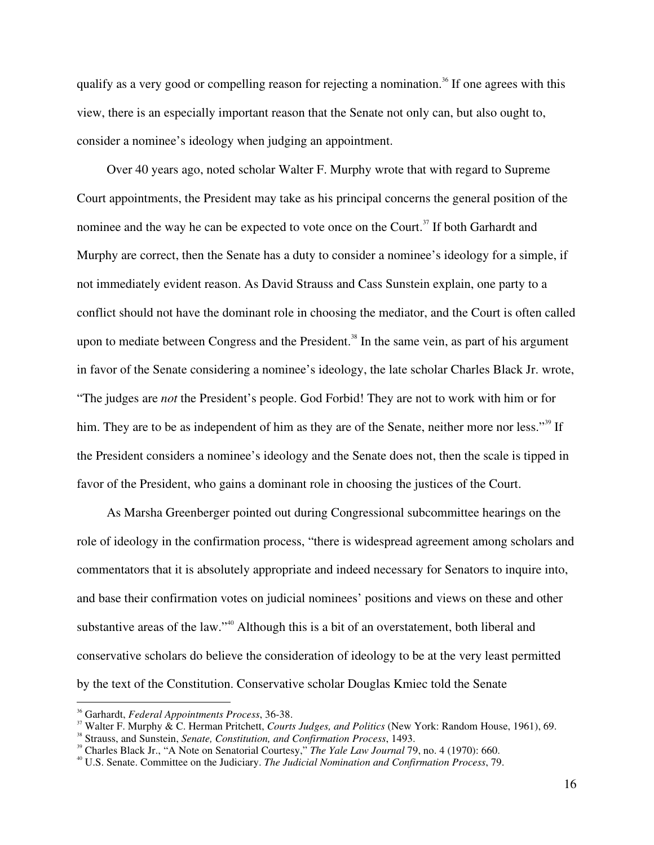qualify as a very good or compelling reason for rejecting a nomination. 36 If one agrees with this view, there is an especially important reason that the Senate not only can, but also ought to, consider a nominee's ideology when judging an appointment.

Over 40 years ago, noted scholar Walter F. Murphy wrote that with regard to Supreme Court appointments, the President may take as his principal concerns the general position of the nominee and the way he can be expected to vote once on the Court.<sup>37</sup> If both Garhardt and Murphy are correct, then the Senate has a duty to consider a nominee's ideology for a simple, if not immediately evident reason. As David Strauss and Cass Sunstein explain, one party to a conflict should not have the dominant role in choosing the mediator, and the Court is often called upon to mediate between Congress and the President.<sup>38</sup> In the same vein, as part of his argument in favor of the Senate considering a nominee's ideology, the late scholar Charles Black Jr. wrote, "The judges are *not* the President's people. God Forbid! They are not to work with him or for him. They are to be as independent of him as they are of the Senate, neither more nor less."<sup>39</sup> If the President considers a nominee's ideology and the Senate does not, then the scale is tipped in favor of the President, who gains a dominant role in choosing the justices of the Court.

As Marsha Greenberger pointed out during Congressional subcommittee hearings on the role of ideology in the confirmation process, "there is widespread agreement among scholars and commentators that it is absolutely appropriate and indeed necessary for Senators to inquire into, and base their confirmation votes on judicial nominees' positions and views on these and other substantive areas of the law."<sup>40</sup> Although this is a bit of an overstatement, both liberal and conservative scholars do believe the consideration of ideology to be at the very least permitted by the text of the Constitution. Conservative scholar Douglas Kmiec told the Senate

<sup>&</sup>lt;sup>36</sup> Garhardt, *Federal Appointments Process*, 36-38.

Walter F. Murphy & C. Herman Pritchett, *Courts Judges, and Politics* (New York: Random House, 1961), 69. <sup>38</sup>

<sup>&</sup>lt;sup>38</sup> Strauss, and Sunstein, *Senate, Constitution, and Confirmation Process*, 1493.

<sup>&</sup>lt;sup>39</sup> Charles Black Jr., "A Note on Senatorial Courtesy," *The Yale Law Journal* 79, no. 4 (1970): 660.

U.S. Senate. Committee on the Judiciary. *The Judicial Nomination and Confirmation Process*, 79.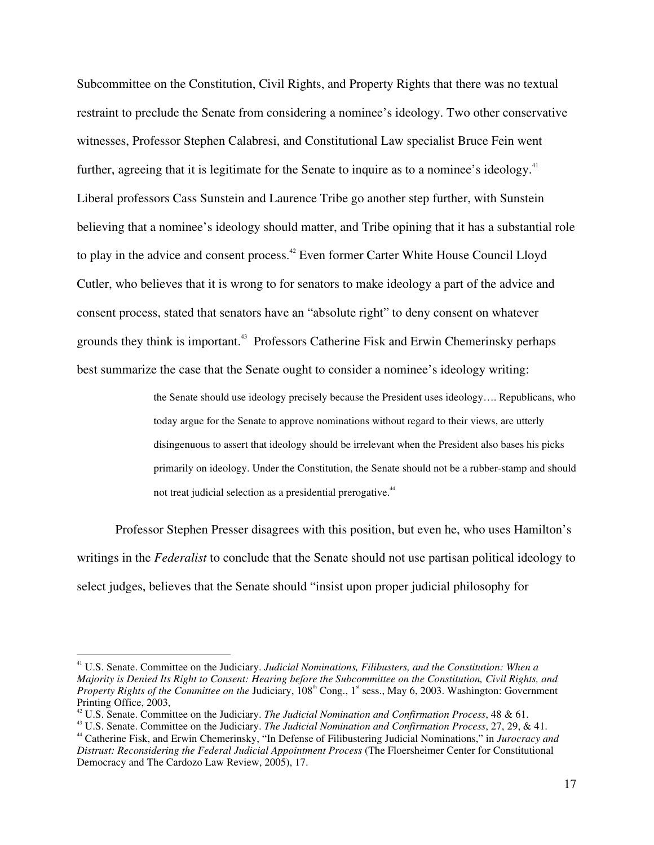Subcommittee on the Constitution, Civil Rights, and Property Rights that there was no textual restraint to preclude the Senate from considering a nominee's ideology. Two other conservative witnesses, Professor Stephen Calabresi, and Constitutional Law specialist Bruce Fein went further, agreeing that it is legitimate for the Senate to inquire as to a nominee's ideology.<sup>41</sup> Liberal professors Cass Sunstein and Laurence Tribe go another step further, with Sunstein believing that a nominee's ideology should matter, and Tribe opining that it has a substantial role to play in the advice and consent process.<sup>42</sup> Even former Carter White House Council Lloyd Cutler, who believes that it is wrong to for senators to make ideology a part of the advice and consent process, stated that senators have an "absolute right" to deny consent on whatever grounds they think is important. 43 Professors Catherine Fisk and Erwin Chemerinsky perhaps best summarize the case that the Senate ought to consider a nominee's ideology writing:

> the Senate should use ideology precisely because the President uses ideology…. Republicans, who today argue for the Senate to approve nominations without regard to their views, are utterly disingenuous to assert that ideology should be irrelevant when the President also bases his picks primarily on ideology. Under the Constitution, the Senate should not be a rubber-stamp and should not treat judicial selection as a presidential prerogative.<sup>44</sup>

Professor Stephen Presser disagrees with this position, but even he, who uses Hamilton's writings in the *Federalist* to conclude that the Senate should not use partisan political ideology to select judges, believes that the Senate should "insist upon proper judicial philosophy for

<sup>41</sup> U.S. Senate. Committee on the Judiciary. *Judicial Nominations, Filibusters, and the Constitution: When a* Majority is Denied Its Right to Consent: Hearing before the Subcommittee on the Constitution, Civil Rights, and Property Rights of the Committee on the Judiciary, 108<sup>th</sup> Cong., 1<sup>st</sup> sess., May 6, 2003. Washington: Government Printing Office, 2003, <sup>42</sup> U.S. Senate. Committee on the Judiciary. *The Judicial Nomination and Confirmation Process*, <sup>48</sup> & 61. <sup>43</sup>

U.S. Senate. Committee on the Judiciary. *The Judicial Nomination and Confirmation Process*, 27, 29, & 41. <sup>44</sup>

Catherine Fisk, and Erwin Chemerinsky, "In Defense of Filibustering Judicial Nominations," in *Jurocracy and Distrust: Reconsidering the Federal Judicial Appointment Process* (The Floersheimer Center for Constitutional Democracy and The Cardozo Law Review, 2005), 17.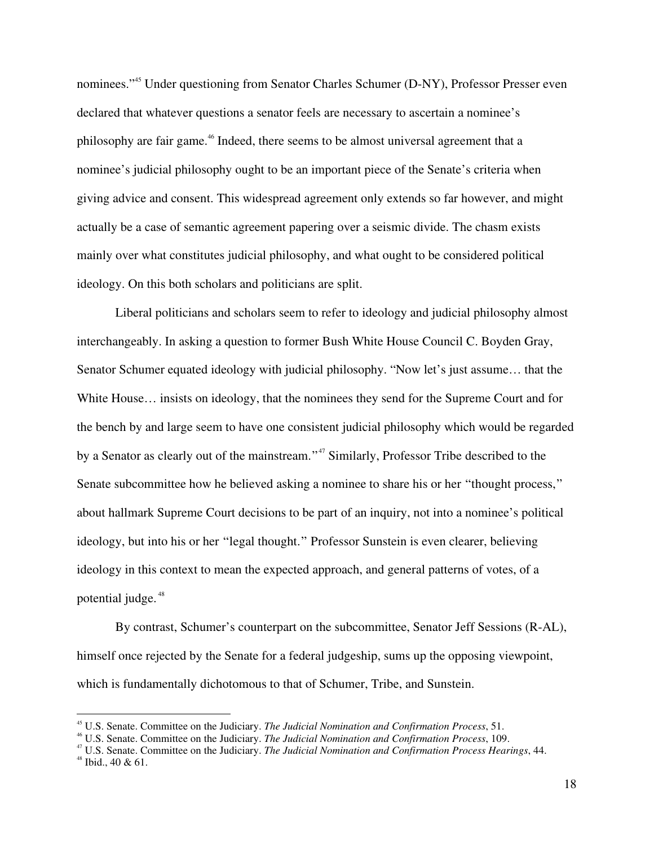nominees."<sup>45</sup> Under questioning from Senator Charles Schumer (D-NY), Professor Presser even declared that whatever questions a senator feels are necessary to ascertain a nominee's philosophy are fair game.<sup>46</sup> Indeed, there seems to be almost universal agreement that a nominee's judicial philosophy ought to be an important piece of the Senate's criteria when giving advice and consent. This widespread agreement only extends so far however, and might actually be a case of semantic agreement papering over a seismic divide. The chasm exists mainly over what constitutes judicial philosophy, and what ought to be considered political ideology. On this both scholars and politicians are split.

Liberal politicians and scholars seem to refer to ideology and judicial philosophy almost interchangeably. In asking a question to former Bush White House Council C. Boyden Gray, Senator Schumer equated ideology with judicial philosophy. "Now let's just assume… that the White House… insists on ideology, that the nominees they send for the Supreme Court and for the bench by and large seem to have one consistent judicial philosophy which would be regarded by a Senator as clearly out of the mainstream."<sup>47</sup> Similarly, Professor Tribe described to the Senate subcommittee how he believed asking a nominee to share his or her "thought process," about hallmark Supreme Court decisions to be part of an inquiry, not into a nominee's political ideology, but into his or her "legal thought." Professor Sunstein is even clearer, believing ideology in this context to mean the expected approach, and general patterns of votes, of a potential judge. 48

By contrast, Schumer's counterpart on the subcommittee, Senator Jeff Sessions (R-AL), himself once rejected by the Senate for a federal judgeship, sums up the opposing viewpoint, which is fundamentally dichotomous to that of Schumer, Tribe, and Sunstein.

<sup>45</sup> U.S. Senate. Committee on the Judiciary. *The Judicial Nomination and Confirmation Process*, 51. <sup>46</sup>

U.S. Senate. Committee on the Judiciary. *The Judicial Nomination and Confirmation Process*, 109. <sup>47</sup>

<sup>&</sup>lt;sup>47</sup> U.S. Senate. Committee on the Judiciary. *The Judicial Nomination and Confirmation Process Hearings*, 44.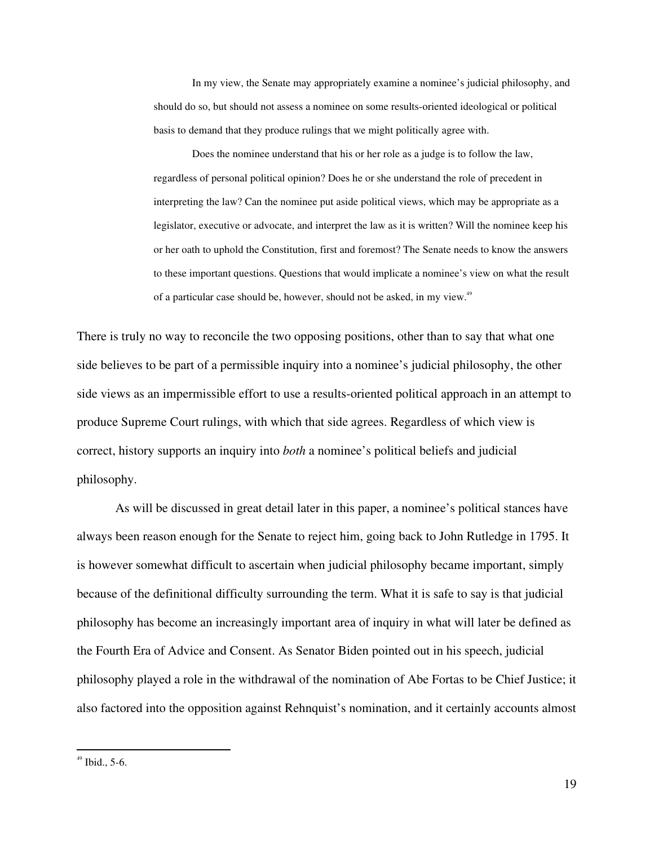In my view, the Senate may appropriately examine a nominee's judicial philosophy, and should do so, but should not assess a nominee on some results-oriented ideological or political basis to demand that they produce rulings that we might politically agree with.

Does the nominee understand that his or her role as a judge is to follow the law, regardless of personal political opinion? Does he or she understand the role of precedent in interpreting the law? Can the nominee put aside political views, which may be appropriate as a legislator, executive or advocate, and interpret the law as it is written? Will the nominee keep his or her oath to uphold the Constitution, first and foremost? The Senate needs to know the answers to these important questions. Questions that would implicate a nominee's view on what the result of a particular case should be, however, should not be asked, in my view.<sup>49</sup>

There is truly no way to reconcile the two opposing positions, other than to say that what one side believes to be part of a permissible inquiry into a nominee's judicial philosophy, the other side views as an impermissible effort to use a results-oriented political approach in an attempt to produce Supreme Court rulings, with which that side agrees. Regardless of which view is correct, history supports an inquiry into *both* a nominee's political beliefs and judicial philosophy.

As will be discussed in great detail later in this paper, a nominee's political stances have always been reason enough for the Senate to reject him, going back to John Rutledge in 1795. It is however somewhat difficult to ascertain when judicial philosophy became important, simply because of the definitional difficulty surrounding the term. What it is safe to say is that judicial philosophy has become an increasingly important area of inquiry in what will later be defined as the Fourth Era of Advice and Consent. As Senator Biden pointed out in his speech, judicial philosophy played a role in the withdrawal of the nomination of Abe Fortas to be Chief Justice; it also factored into the opposition against Rehnquist's nomination, and it certainly accounts almost

<sup>49</sup> Ibid., 5-6.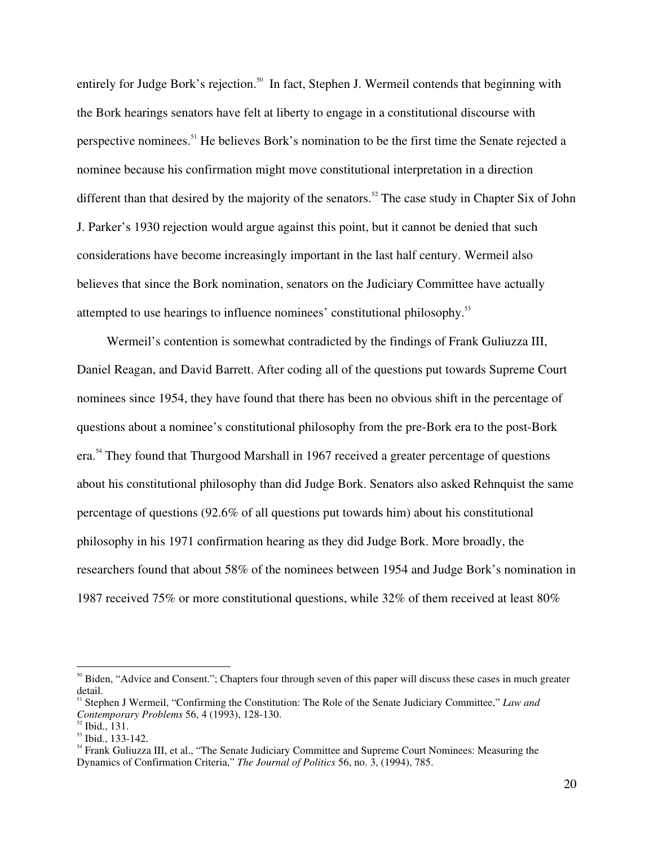entirely for Judge Bork's rejection.<sup>50</sup> In fact, Stephen J. Wermeil contends that beginning with the Bork hearings senators have felt at liberty to engage in a constitutional discourse with perspective nominees.<sup>51</sup> He believes Bork's nomination to be the first time the Senate rejected a nominee because his confirmation might move constitutional interpretation in a direction different than that desired by the majority of the senators.<sup>52</sup> The case study in Chapter Six of John J. Parker's 1930 rejection would argue against this point, but it cannot be denied that such considerations have become increasingly important in the last half century. Wermeil also believes that since the Bork nomination, senators on the Judiciary Committee have actually attempted to use hearings to influence nominees' constitutional philosophy.<sup>53</sup>

Wermeil's contention is somewhat contradicted by the findings of Frank Guliuzza III, Daniel Reagan, and David Barrett. After coding all of the questions put towards Supreme Court nominees since 1954, they have found that there has been no obvious shift in the percentage of questions about a nominee's constitutional philosophy from the pre-Bork era to the post-Bork era.<sup>54</sup> They found that Thurgood Marshall in 1967 received a greater percentage of questions about his constitutional philosophy than did Judge Bork. Senators also asked Rehnquist the same percentage of questions (92.6% of all questions put towards him) about his constitutional philosophy in his 1971 confirmation hearing as they did Judge Bork. More broadly, the researchers found that about 58% of the nominees between 1954 and Judge Bork's nomination in 1987 received 75% or more constitutional questions, while 32% of them received at least 80%

<sup>&</sup>lt;sup>50</sup> Biden, "Advice and Consent."; Chapters four through seven of this paper will discuss these cases in much greater detail.

Stephen J Wermeil, "Confirming the Constitution: The Role of the Senate Judiciary Committee," *Law and Contemporary Problems* 56, 4 (1993), 128-130.

 $<sup>52</sup>$  Ibid., 131.</sup>

 $^{53}$  Ibid., 133-142.

<sup>&</sup>lt;sup>54</sup> Frank Guliuzza III, et al., "The Senate Judiciary Committee and Supreme Court Nominees: Measuring the Dynamics of Confirmation Criteria," *The Journal of Politics* 56, no. 3, (1994), 785.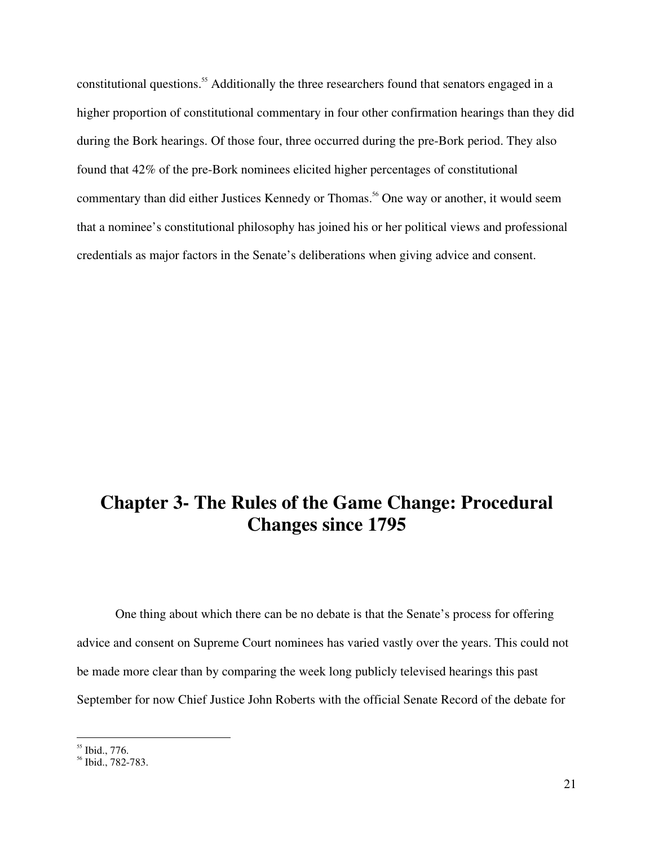constitutional questions.<sup>55</sup> Additionally the three researchers found that senators engaged in a higher proportion of constitutional commentary in four other confirmation hearings than they did during the Bork hearings. Of those four, three occurred during the pre-Bork period. They also found that 42% of the pre-Bork nominees elicited higher percentages of constitutional commentary than did either Justices Kennedy or Thomas. 56 One way or another, it would seem that a nominee's constitutional philosophy has joined his or her political views and professional credentials as major factors in the Senate's deliberations when giving advice and consent.

## **Chapter 3- The Rules of the Game Change: Procedural Changes since 1795**

One thing about which there can be no debate is that the Senate's process for offering advice and consent on Supreme Court nominees has varied vastly over the years. This could not be made more clear than by comparing the week long publicly televised hearings this past September for now Chief Justice John Roberts with the official Senate Record of the debate for

<sup>&</sup>lt;sup>55</sup> Ibid., 776.<br><sup>56</sup> Ibid., 782-783.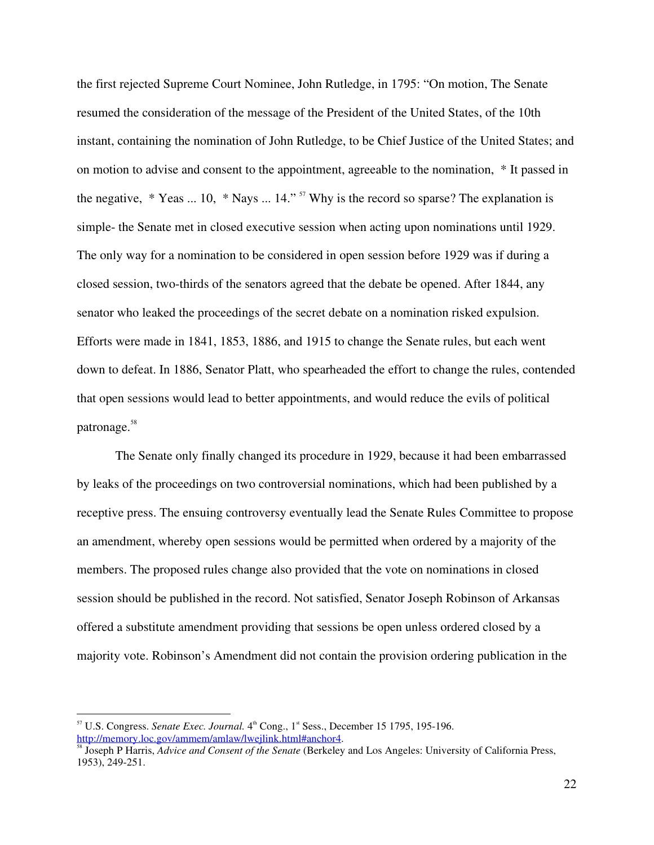the first rejected Supreme Court Nominee, John Rutledge, in 1795: "On motion, The Senate resumed the consideration of the message of the President of the United States, of the 10th instant, containing the nomination of John Rutledge, to be Chief Justice of the United States; and on motion to advise and consent to the appointment, agreeable to the nomination, \* It passed in the negative,  $*$  Yeas ... 10,  $*$  Nays ... 14." <sup>57</sup> Why is the record so sparse? The explanation is simple- the Senate met in closed executive session when acting upon nominations until 1929. The only way for a nomination to be considered in open session before 1929 was if during a closed session, two-thirds of the senators agreed that the debate be opened. After 1844, any senator who leaked the proceedings of the secret debate on a nomination risked expulsion. Efforts were made in 1841, 1853, 1886, and 1915 to change the Senate rules, but each went down to defeat. In 1886, Senator Platt, who spearheaded the effort to change the rules, contended that open sessions would lead to better appointments, and would reduce the evils of political patronage. 58

The Senate only finally changed its procedure in 1929, because it had been embarrassed by leaks of the proceedings on two controversial nominations, which had been published by a receptive press. The ensuing controversy eventually lead the Senate Rules Committee to propose an amendment, whereby open sessions would be permitted when ordered by a majority of the members. The proposed rules change also provided that the vote on nominations in closed session should be published in the record. Not satisfied, Senator Joseph Robinson of Arkansas offered a substitute amendment providing that sessions be open unless ordered closed by a majority vote. Robinson's Amendment did not contain the provision ordering publication in the

<sup>&</sup>lt;sup>57</sup> U.S. Congress. *Senate Exec. Journal*. 4<sup>th</sup> Cong., 1<sup>st</sup> Sess., December 15 1795, 195-196. http://memory.loc.gov/ammem/amlaw/lwejlink.html#anchor4.

Joseph P Harris, *Advice and Consent of the Senate* (Berkeley and Los Angeles: University of California Press, 1953), 249-251.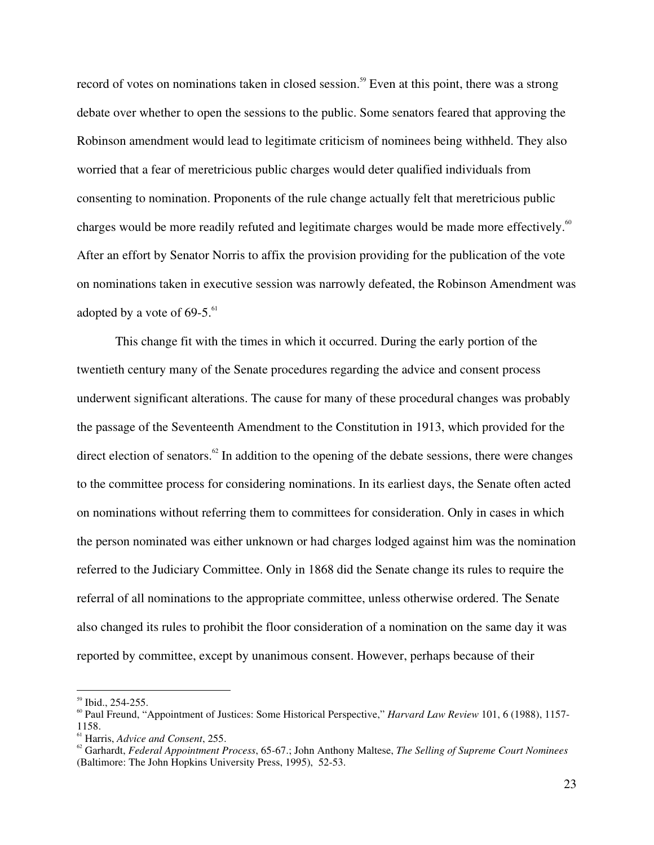record of votes on nominations taken in closed session.<sup>59</sup> Even at this point, there was a strong debate over whether to open the sessions to the public. Some senators feared that approving the Robinson amendment would lead to legitimate criticism of nominees being withheld. They also worried that a fear of meretricious public charges would deter qualified individuals from consenting to nomination. Proponents of the rule change actually felt that meretricious public charges would be more readily refuted and legitimate charges would be made more effectively.<sup>60</sup> After an effort by Senator Norris to affix the provision providing for the publication of the vote on nominations taken in executive session was narrowly defeated, the Robinson Amendment was adopted by a vote of  $69-5.^{61}$ 

This change fit with the times in which it occurred. During the early portion of the twentieth century many of the Senate procedures regarding the advice and consent process underwent significant alterations. The cause for many of these procedural changes was probably the passage of the Seventeenth Amendment to the Constitution in 1913, which provided for the direct election of senators.<sup>62</sup> In addition to the opening of the debate sessions, there were changes to the committee process for considering nominations. In its earliest days, the Senate often acted on nominations without referring them to committees for consideration. Only in cases in which the person nominated was either unknown or had charges lodged against him was the nomination referred to the Judiciary Committee. Only in 1868 did the Senate change its rules to require the referral of all nominations to the appropriate committee, unless otherwise ordered. The Senate also changed its rules to prohibit the floor consideration of a nomination on the same day it was reported by committee, except by unanimous consent. However, perhaps because of their

 $^{59}$  Ibid., 254-255.

<sup>&</sup>lt;sup>60</sup> Paul Freund, "Appointment of Justices: Some Historical Perspective," *Harvard Law Review* 101, 6 (1988), 1157-1158.

<sup>&</sup>lt;sup>61</sup> Harris, *Advice and Consent*, 255.

Garhardt, *Federal Appointment Process*, 65-67.; John Anthony Maltese, *The Selling of Supreme Court Nominees* (Baltimore: The John Hopkins University Press, 1995), 52-53.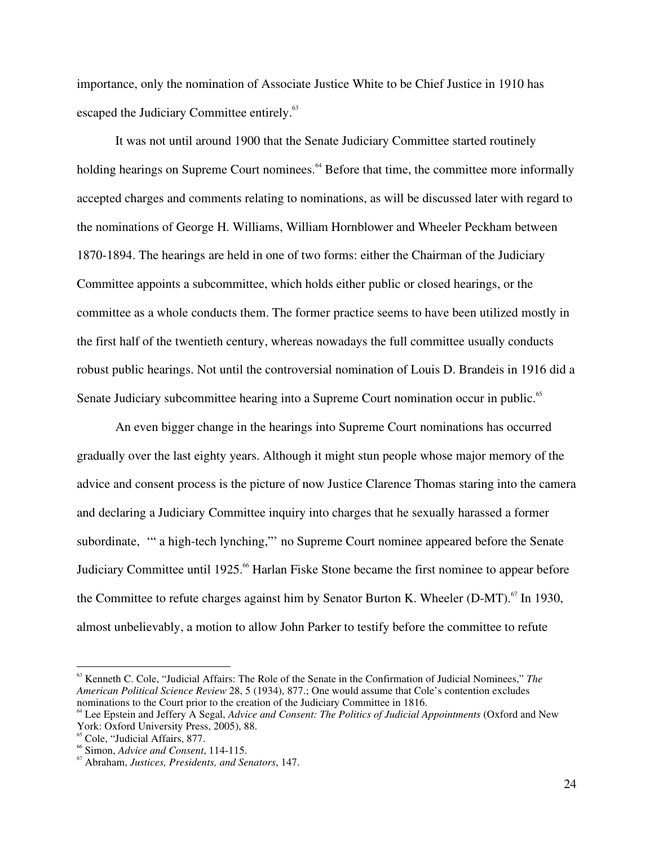importance, only the nomination of Associate Justice White to be Chief Justice in 1910 has escaped the Judiciary Committee entirely.<sup>63</sup>

It was not until around 1900 that the Senate Judiciary Committee started routinely holding hearings on Supreme Court nominees.<sup>64</sup> Before that time, the committee more informally accepted charges and comments relating to nominations, as will be discussed later with regard to the nominations of George H. Williams, William Hornblower and Wheeler Peckham between 1870-1894. The hearings are held in one of two forms: either the Chairman of the Judiciary Committee appoints a subcommittee, which holds either public or closed hearings, or the committee as a whole conducts them. The former practice seems to have been utilized mostly in the first half of the twentieth century, whereas nowadays the full committee usually conducts robust public hearings. Not until the controversial nomination of Louis D. Brandeis in 1916 did a Senate Judiciary subcommittee hearing into a Supreme Court nomination occur in public.<sup>65</sup>

An even bigger change in the hearings into Supreme Court nominations has occurred gradually over the last eighty years. Although it might stun people whose major memory of the advice and consent process is the picture of now Justice Clarence Thomas staring into the camera and declaring a Judiciary Committee inquiry into charges that he sexually harassed a former subordinate, '" a high-tech lynching,"' no Supreme Court nominee appeared before the Senate Judiciary Committee until 1925.<sup>66</sup> Harlan Fiske Stone became the first nominee to appear before the Committee to refute charges against him by Senator Burton K. Wheeler (D-MT).<sup>67</sup> In 1930, almost unbelievably, a motion to allow John Parker to testify before the committee to refute

<sup>63</sup> Kenneth C. Cole, "Judicial Affairs: The Role of the Senate in the Confirmation of Judicial Nominees," *The American Political Science Review* 28, 5 (1934), 877.; One would assume that Cole's contention excludes

<sup>&</sup>lt;sup>64</sup> Lee Epstein and Jeffery A Segal, *Advice and Consent: The Politics of Judicial Appointments* (Oxford and New York: Oxford University Press, 2005), 88.

<sup>&</sup>lt;sup>65</sup> Cole, "Judicial Affairs, 877.

Simon, *Advice and Consent*, 114-115. <sup>67</sup>

Abraham, *Justices, Presidents, and Senators*, 147.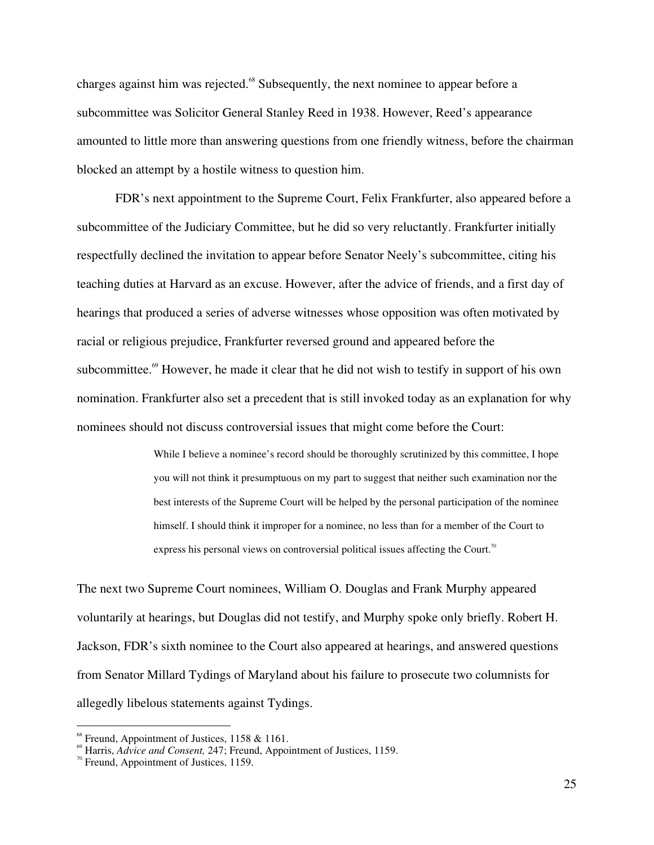charges against him was rejected.<sup>68</sup> Subsequently, the next nominee to appear before a subcommittee was Solicitor General Stanley Reed in 1938. However, Reed's appearance amounted to little more than answering questions from one friendly witness, before the chairman blocked an attempt by a hostile witness to question him.

FDR's next appointment to the Supreme Court, Felix Frankfurter, also appeared before a subcommittee of the Judiciary Committee, but he did so very reluctantly. Frankfurter initially respectfully declined the invitation to appear before Senator Neely's subcommittee, citing his teaching duties at Harvard as an excuse. However, after the advice of friends, and a first day of hearings that produced a series of adverse witnesses whose opposition was often motivated by racial or religious prejudice, Frankfurter reversed ground and appeared before the subcommittee. <sup>69</sup> However, he made it clear that he did not wish to testify in support of his own nomination. Frankfurter also set a precedent that is still invoked today as an explanation for why nominees should not discuss controversial issues that might come before the Court:

> While I believe a nominee's record should be thoroughly scrutinized by this committee, I hope you will not think it presumptuous on my part to suggest that neither such examination nor the best interests of the Supreme Court will be helped by the personal participation of the nominee himself. I should think it improper for a nominee, no less than for a member of the Court to express his personal views on controversial political issues affecting the Court.<sup>70</sup>

The next two Supreme Court nominees, William O. Douglas and Frank Murphy appeared voluntarily at hearings, but Douglas did not testify, and Murphy spoke only briefly. Robert H. Jackson, FDR's sixth nominee to the Court also appeared at hearings, and answered questions from Senator Millard Tydings of Maryland about his failure to prosecute two columnists for allegedly libelous statements against Tydings.

<sup>&</sup>lt;sup>68</sup> Freund, Appointment of Justices, 1158 & 1161.

<sup>&</sup>lt;sup>69</sup> Harris, *Advice and Consent*, 247; Freund, Appointment of Justices, 1159.

 $\frac{70}{10}$  Freund, Appointment of Justices, 1159.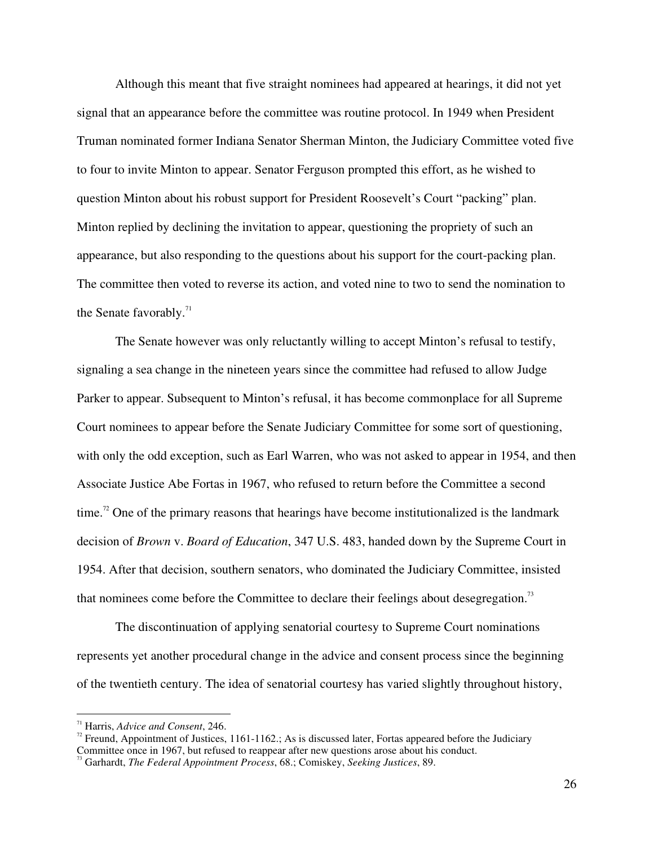Although this meant that five straight nominees had appeared at hearings, it did not yet signal that an appearance before the committee was routine protocol. In 1949 when President Truman nominated former Indiana Senator Sherman Minton, the Judiciary Committee voted five to four to invite Minton to appear. Senator Ferguson prompted this effort, as he wished to question Minton about his robust support for President Roosevelt's Court "packing" plan. Minton replied by declining the invitation to appear, questioning the propriety of such an appearance, but also responding to the questions about his support for the court-packing plan. The committee then voted to reverse its action, and voted nine to two to send the nomination to the Senate favorably. $11$ 

The Senate however was only reluctantly willing to accept Minton's refusal to testify, signaling a sea change in the nineteen years since the committee had refused to allow Judge Parker to appear. Subsequent to Minton's refusal, it has become commonplace for all Supreme Court nominees to appear before the Senate Judiciary Committee for some sort of questioning, with only the odd exception, such as Earl Warren, who was not asked to appear in 1954, and then Associate Justice Abe Fortas in 1967, who refused to return before the Committee a second time.<sup>72</sup> One of the primary reasons that hearings have become institutionalized is the landmark decision of *Brown* v. *Board of Education*, 347 U.S. 483, handed down by the Supreme Court in 1954. After that decision, southern senators, who dominated the Judiciary Committee, insisted that nominees come before the Committee to declare their feelings about desegregation.<sup>73</sup>

The discontinuation of applying senatorial courtesy to Supreme Court nominations represents yet another procedural change in the advice and consent process since the beginning of the twentieth century. The idea of senatorial courtesy has varied slightly throughout history,

<sup>&</sup>lt;sup>71</sup> Harris, *Advice and Consent*, 246.

<sup>&</sup>lt;sup>2</sup> Freund, Appointment of Justices, 1161-1162.; As is discussed later, Fortas appeared before the Judiciary Committee once in 1967, but refused to reappear after new questions arose about his conduct.

Garhardt, *The Federal Appointment Process*, 68.; Comiskey, *Seeking Justices*, 89.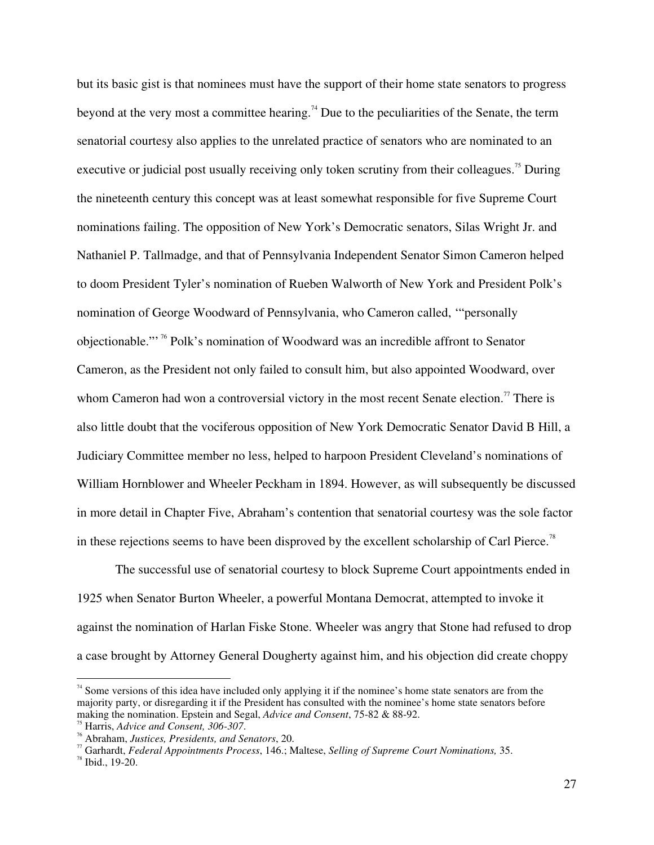but its basic gist is that nominees must have the support of their home state senators to progress beyond at the very most a committee hearing.<sup>74</sup> Due to the peculiarities of the Senate, the term senatorial courtesy also applies to the unrelated practice of senators who are nominated to an executive or judicial post usually receiving only token scrutiny from their colleagues.<sup>75</sup> During the nineteenth century this concept was at least somewhat responsible for five Supreme Court nominations failing. The opposition of New York's Democratic senators, Silas Wright Jr. and Nathaniel P. Tallmadge, and that of Pennsylvania Independent Senator Simon Cameron helped to doom President Tyler's nomination of Rueben Walworth of New York and President Polk's nomination of George Woodward of Pennsylvania, who Cameron called, '"personally objectionable."<sup>, 76</sup> Polk's nomination of Woodward was an incredible affront to Senator Cameron, as the President not only failed to consult him, but also appointed Woodward, over whom Cameron had won a controversial victory in the most recent Senate election.<sup>77</sup> There is also little doubt that the vociferous opposition of New York Democratic Senator David B Hill, a Judiciary Committee member no less, helped to harpoon President Cleveland's nominations of William Hornblower and Wheeler Peckham in 1894. However, as will subsequently be discussed in more detail in Chapter Five, Abraham's contention that senatorial courtesy was the sole factor in these rejections seems to have been disproved by the excellent scholarship of Carl Pierce.<sup>78</sup>

The successful use of senatorial courtesy to block Supreme Court appointments ended in 1925 when Senator Burton Wheeler, a powerful Montana Democrat, attempted to invoke it against the nomination of Harlan Fiske Stone. Wheeler was angry that Stone had refused to drop a case brought by Attorney General Dougherty against him, and his objection did create choppy

<sup>&</sup>lt;sup>74</sup> Some versions of this idea have included only applying it if the nominee's home state senators are from the majority party, or disregarding it if the President has consulted with the nominee's home state senators before making the nomination. Epstein and Segal, *Advice and Consent*, 75-82 & 88-92.

Harris, *Advice and Consent, 306-307*. <sup>76</sup>

Abraham, *Justices, Presidents, and Senators*, 20. <sup>77</sup>

Garhardt, *Federal Appointments Process*, 146.; Maltese, *Selling of Supreme Court Nominations,* 35. <sup>78</sup>

 $78$  Ibid., 19-20.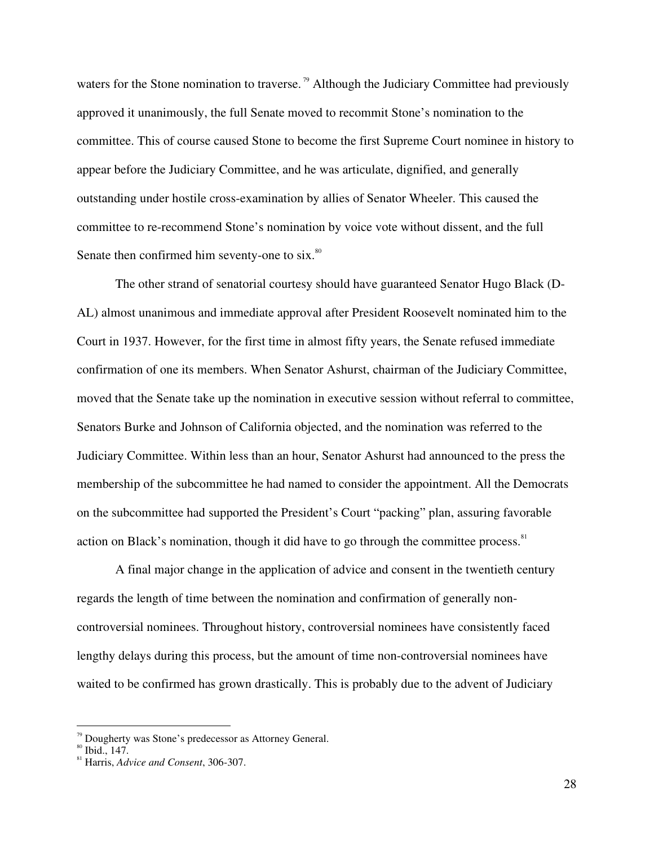waters for the Stone nomination to traverse.<sup>79</sup> Although the Judiciary Committee had previously approved it unanimously, the full Senate moved to recommit Stone's nomination to the committee. This of course caused Stone to become the first Supreme Court nominee in history to appear before the Judiciary Committee, and he was articulate, dignified, and generally outstanding under hostile cross-examination by allies of Senator Wheeler. This caused the committee to re-recommend Stone's nomination by voice vote without dissent, and the full Senate then confirmed him seventy-one to six.<sup>80</sup>

The other strand of senatorial courtesy should have guaranteed Senator Hugo Black (D-AL) almost unanimous and immediate approval after President Roosevelt nominated him to the Court in 1937. However, for the first time in almost fifty years, the Senate refused immediate confirmation of one its members. When Senator Ashurst, chairman of the Judiciary Committee, moved that the Senate take up the nomination in executive session without referral to committee, Senators Burke and Johnson of California objected, and the nomination was referred to the Judiciary Committee. Within less than an hour, Senator Ashurst had announced to the press the membership of the subcommittee he had named to consider the appointment. All the Democrats on the subcommittee had supported the President's Court "packing" plan, assuring favorable action on Black's nomination, though it did have to go through the committee process.<sup>81</sup>

A final major change in the application of advice and consent in the twentieth century regards the length of time between the nomination and confirmation of generally noncontroversial nominees. Throughout history, controversial nominees have consistently faced lengthy delays during this process, but the amount of time non-controversial nominees have waited to be confirmed has grown drastically. This is probably due to the advent of Judiciary

<sup>&</sup>lt;sup>79</sup> Dougherty was Stone's predecessor as Attorney General.

 $^{80}$  Ibid., 147.

Harris, *Advice and Consent*, 306-307.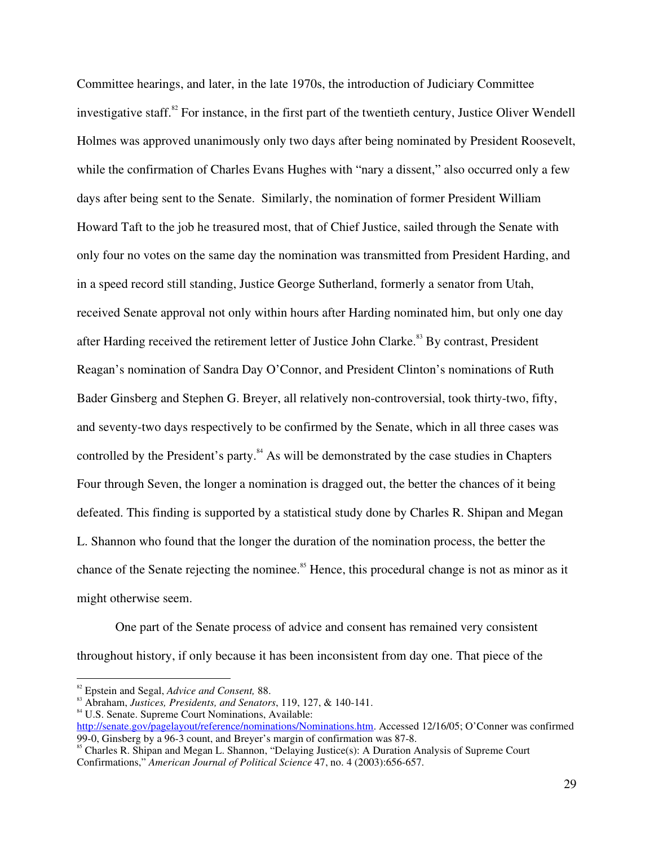Committee hearings, and later, in the late 1970s, the introduction of Judiciary Committee investigative staff.<sup>82</sup> For instance, in the first part of the twentieth century, Justice Oliver Wendell Holmes was approved unanimously only two days after being nominated by President Roosevelt, while the confirmation of Charles Evans Hughes with "nary a dissent," also occurred only a few days after being sent to the Senate. Similarly, the nomination of former President William Howard Taft to the job he treasured most, that of Chief Justice, sailed through the Senate with only four no votes on the same day the nomination was transmitted from President Harding, and in a speed record still standing, Justice George Sutherland, formerly a senator from Utah, received Senate approval not only within hours after Harding nominated him, but only one day after Harding received the retirement letter of Justice John Clarke.<sup>83</sup> By contrast, President Reagan's nomination of Sandra Day O'Connor, and President Clinton's nominations of Ruth Bader Ginsberg and Stephen G. Breyer, all relatively non-controversial, took thirty-two, fifty, and seventy-two days respectively to be confirmed by the Senate, which in all three cases was controlled by the President's party.<sup>84</sup> As will be demonstrated by the case studies in Chapters Four through Seven, the longer a nomination is dragged out, the better the chances of it being defeated. This finding is supported by a statistical study done by Charles R. Shipan and Megan L. Shannon who found that the longer the duration of the nomination process, the better the chance of the Senate rejecting the nominee.<sup>85</sup> Hence, this procedural change is not as minor as it might otherwise seem.

One part of the Senate process of advice and consent has remained very consistent throughout history, if only because it has been inconsistent from day one. That piece of the

http://senate.gov/pagelayout/reference/nominations/Nominations.htm. Accessed 12/16/05; O'Conner was confirmed 99-0, Ginsberg by a 96-3 count, and Breyer's margin of confirmation was  $87-8$ .

<sup>&</sup>lt;sup>82</sup> Epstein and Segal, *Advice and Consent*, 88.

<sup>&</sup>lt;sup>83</sup> Abraham, *Justices, Presidents, and Senators*, 119, 127, & 140-141.<br><sup>84</sup> U.S. Senate. Supreme Court Nominations, Available:

<sup>&</sup>lt;sup>85</sup> Charles R. Shipan and Megan L. Shannon, "Delaying Justice(s): A Duration Analysis of Supreme Court Confirmations," *American Journal of Political Science* 47, no. 4 (2003):656-657.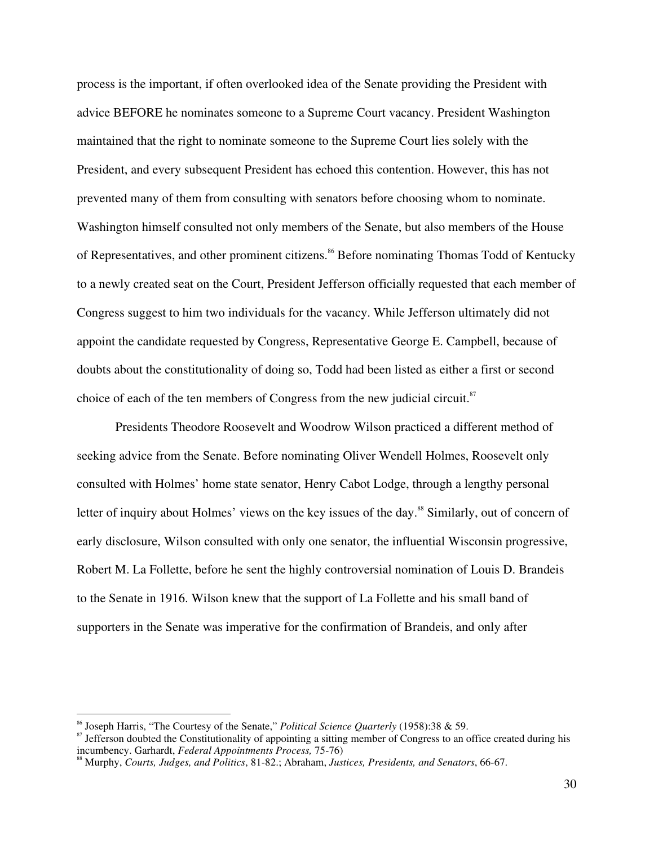process is the important, if often overlooked idea of the Senate providing the President with advice BEFORE he nominates someone to a Supreme Court vacancy. President Washington maintained that the right to nominate someone to the Supreme Court lies solely with the President, and every subsequent President has echoed this contention. However, this has not prevented many of them from consulting with senators before choosing whom to nominate. Washington himself consulted not only members of the Senate, but also members of the House of Representatives, and other prominent citizens.<sup>86</sup> Before nominating Thomas Todd of Kentucky to a newly created seat on the Court, President Jefferson officially requested that each member of Congress suggest to him two individuals for the vacancy. While Jefferson ultimately did not appoint the candidate requested by Congress, Representative George E. Campbell, because of doubts about the constitutionality of doing so, Todd had been listed as either a first or second choice of each of the ten members of Congress from the new judicial circuit.<sup>87</sup>

Presidents Theodore Roosevelt and Woodrow Wilson practiced a different method of seeking advice from the Senate. Before nominating Oliver Wendell Holmes, Roosevelt only consulted with Holmes' home state senator, Henry Cabot Lodge, through a lengthy personal letter of inquiry about Holmes' views on the key issues of the day.<sup>88</sup> Similarly, out of concern of early disclosure, Wilson consulted with only one senator, the influential Wisconsin progressive, Robert M. La Follette, before he sent the highly controversial nomination of Louis D. Brandeis to the Senate in 1916. Wilson knew that the support of La Follette and his small band of supporters in the Senate was imperative for the confirmation of Brandeis, and only after

<sup>&</sup>lt;sup>86</sup> Joseph Harris, "The Courtesy of the Senate," *Political Science Quarterly* (1958):38 & 59.<br><sup>87</sup> Jefferson doubted the Constitutionality of appointing a sitting member of Congress to an office created during his incumbency. Garhardt, *Federal Appointments Process*, 75-76)

Murphy, *Courts, Judges, and Politics*, 81-82.; Abraham, *Justices, Presidents, and Senators*, 66-67.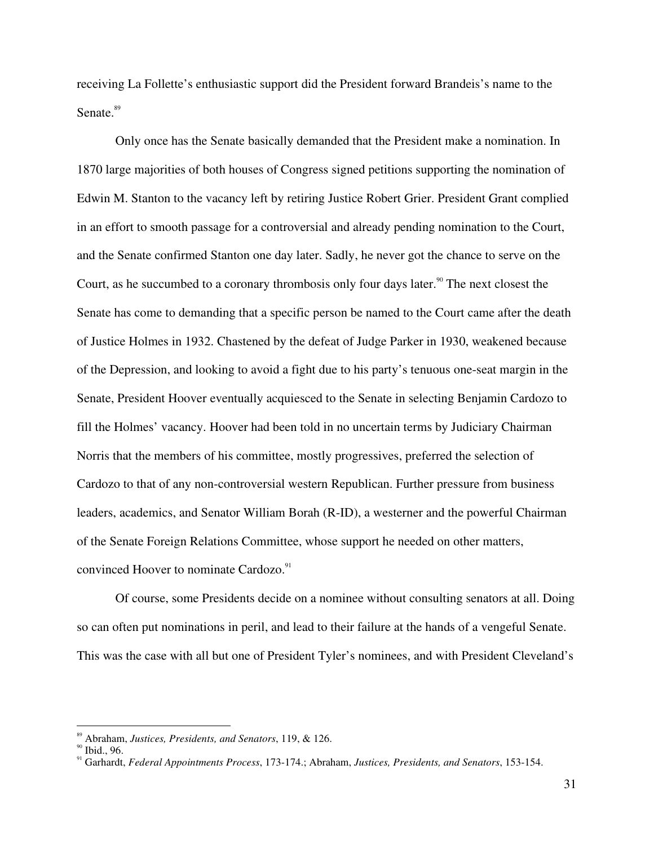receiving La Follette's enthusiastic support did the President forward Brandeis's name to the Senate.<sup>89</sup>

Only once has the Senate basically demanded that the President make a nomination. In 1870 large majorities of both houses of Congress signed petitions supporting the nomination of Edwin M. Stanton to the vacancy left by retiring Justice Robert Grier. President Grant complied in an effort to smooth passage for a controversial and already pending nomination to the Court, and the Senate confirmed Stanton one day later. Sadly, he never got the chance to serve on the Court, as he succumbed to a coronary thrombosis only four days later.<sup>90</sup> The next closest the Senate has come to demanding that a specific person be named to the Court came after the death of Justice Holmes in 1932. Chastened by the defeat of Judge Parker in 1930, weakened because of the Depression, and looking to avoid a fight due to his party's tenuous one-seat margin in the Senate, President Hoover eventually acquiesced to the Senate in selecting Benjamin Cardozo to fill the Holmes' vacancy. Hoover had been told in no uncertain terms by Judiciary Chairman Norris that the members of his committee, mostly progressives, preferred the selection of Cardozo to that of any non-controversial western Republican. Further pressure from business leaders, academics, and Senator William Borah (R-ID), a westerner and the powerful Chairman of the Senate Foreign Relations Committee, whose support he needed on other matters, convinced Hoover to nominate Cardozo.<sup>91</sup>

Of course, some Presidents decide on a nominee without consulting senators at all. Doing so can often put nominations in peril, and lead to their failure at the hands of a vengeful Senate. This was the case with all but one of President Tyler's nominees, and with President Cleveland's

<sup>89</sup> Abraham, *Justices, Presidents, and Senators*, 119, & 126.

 $90$  Ibid., 96.

Garhardt, *Federal Appointments Process*, 173-174.; Abraham, *Justices, Presidents, and Senators*, 153-154.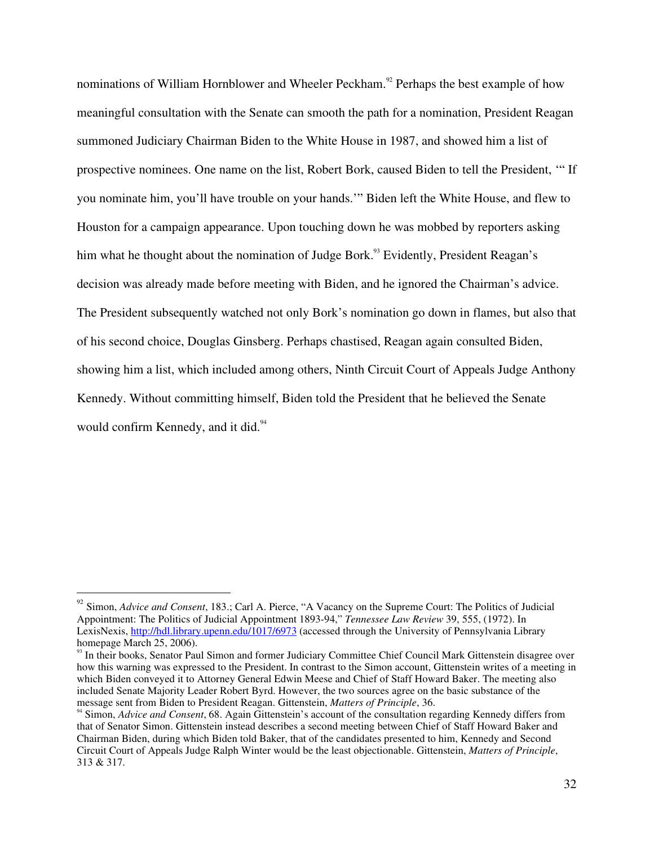nominations of William Hornblower and Wheeler Peckham.<sup>92</sup> Perhaps the best example of how meaningful consultation with the Senate can smooth the path for a nomination, President Reagan summoned Judiciary Chairman Biden to the White House in 1987, and showed him a list of prospective nominees. One name on the list, Robert Bork, caused Biden to tell the President, '" If you nominate him, you'll have trouble on your hands.'" Biden left the White House, and flew to Houston for a campaign appearance. Upon touching down he was mobbed by reporters asking him what he thought about the nomination of Judge Bork.<sup>93</sup> Evidently, President Reagan's decision was already made before meeting with Biden, and he ignored the Chairman's advice. The President subsequently watched not only Bork's nomination go down in flames, but also that of his second choice, Douglas Ginsberg. Perhaps chastised, Reagan again consulted Biden, showing him a list, which included among others, Ninth Circuit Court of Appeals Judge Anthony Kennedy. Without committing himself, Biden told the President that he believed the Senate would confirm Kennedy, and it did.<sup>94</sup>

<sup>92</sup> Simon, *Advice and Consent*, 183.; Carl A. Pierce, "A Vacancy on the Supreme Court: The Politics of Judicial Appointment: The Politics of Judicial Appointment 1893-94," *Tennessee Law Review* 39, 555, (1972). In LexisNexis, http://hdl.library.upenn.edu/1017/6973 (accessed through the University of Pennsylvania Library homepage March 25, 2006).

<sup>&</sup>lt;sup>93</sup> In their books, Senator Paul Simon and former Judiciary Committee Chief Council Mark Gittenstein disagree over how this warning was expressed to the President. In contrast to the Simon account, Gittenstein writes of a meeting in which Biden conveyed it to Attorney General Edwin Meese and Chief of Staff Howard Baker. The meeting also included Senate Majority Leader Robert Byrd. However, the two sources agree on the basic substance of the message sent from Biden to President Reagan. Gittenstein, Matters of Principle, 36.<br><sup>94</sup> Simon, Advice and Consent, 68. Again Gittenstein's account of the consultation regarding Kennedy differs from

that of Senator Simon. Gittenstein instead describes a second meeting between Chief of Staff Howard Baker and Chairman Biden, during which Biden told Baker, that of the candidates presented to him, Kennedy and Second Circuit Court of Appeals Judge Ralph Winter would be the least objectionable. Gittenstein, *Matters of Principle*, 313 & 317.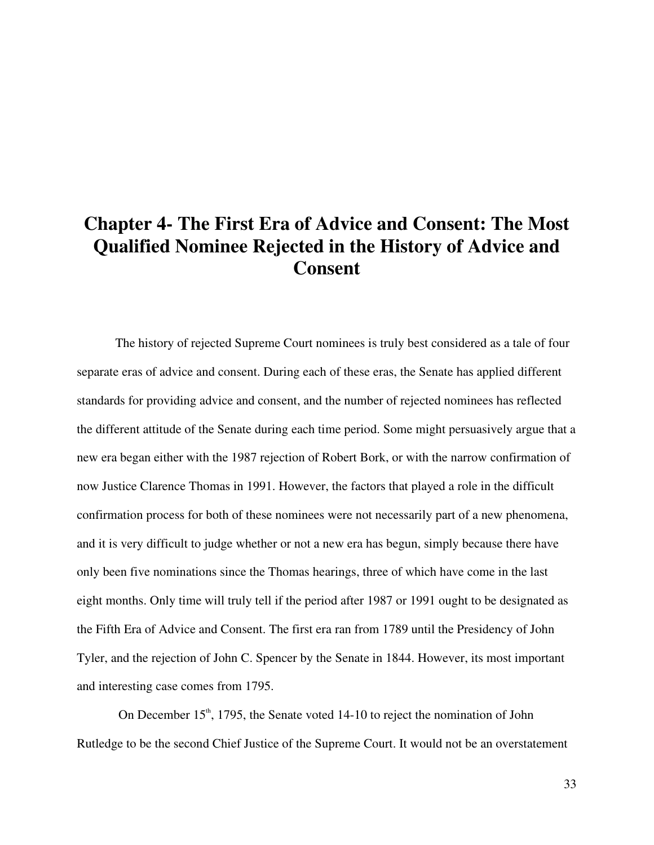## **Chapter 4- The First Era of Advice and Consent: The Most Qualified Nominee Rejected in the History of Advice and Consent**

The history of rejected Supreme Court nominees is truly best considered as a tale of four separate eras of advice and consent. During each of these eras, the Senate has applied different standards for providing advice and consent, and the number of rejected nominees has reflected the different attitude of the Senate during each time period. Some might persuasively argue that a new era began either with the 1987 rejection of Robert Bork, or with the narrow confirmation of now Justice Clarence Thomas in 1991. However, the factors that played a role in the difficult confirmation process for both of these nominees were not necessarily part of a new phenomena, and it is very difficult to judge whether or not a new era has begun, simply because there have only been five nominations since the Thomas hearings, three of which have come in the last eight months. Only time will truly tell if the period after 1987 or 1991 ought to be designated as the Fifth Era of Advice and Consent. The first era ran from 1789 until the Presidency of John Tyler, and the rejection of John C. Spencer by the Senate in 1844. However, its most important and interesting case comes from 1795.

On December  $15<sup>th</sup>$ , 1795, the Senate voted 14-10 to reject the nomination of John Rutledge to be the second Chief Justice of the Supreme Court. It would not be an overstatement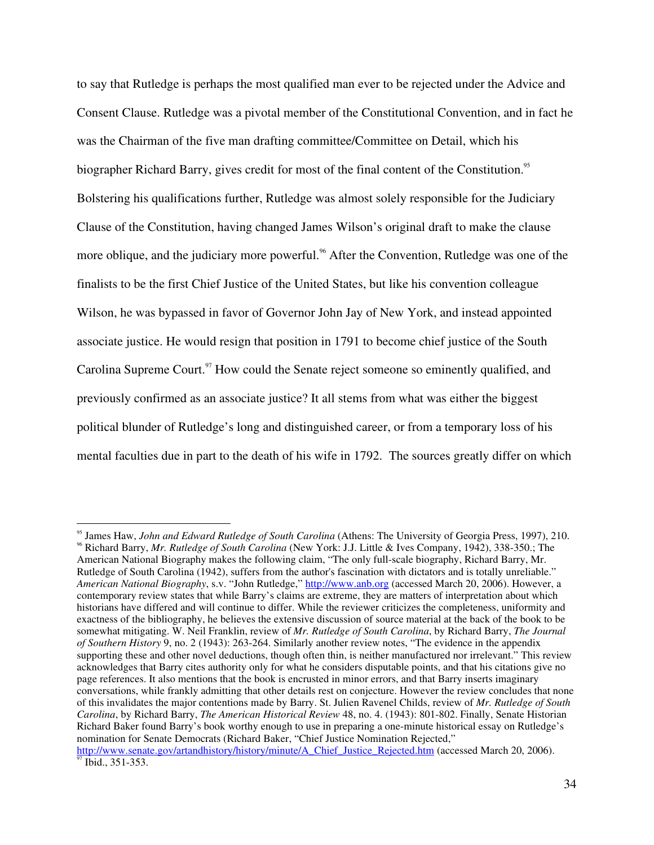to say that Rutledge is perhaps the most qualified man ever to be rejected under the Advice and Consent Clause. Rutledge was a pivotal member of the Constitutional Convention, and in fact he was the Chairman of the five man drafting committee/Committee on Detail, which his biographer Richard Barry, gives credit for most of the final content of the Constitution.<sup>95</sup> Bolstering his qualifications further, Rutledge was almost solely responsible for the Judiciary Clause of the Constitution, having changed James Wilson's original draft to make the clause more oblique, and the judiciary more powerful.<sup>96</sup> After the Convention, Rutledge was one of the finalists to be the first Chief Justice of the United States, but like his convention colleague Wilson, he was bypassed in favor of Governor John Jay of New York, and instead appointed associate justice. He would resign that position in 1791 to become chief justice of the South Carolina Supreme Court.<sup>97</sup> How could the Senate reject someone so eminently qualified, and previously confirmed as an associate justice? It all stems from what was either the biggest political blunder of Rutledge's long and distinguished career, or from a temporary loss of his mental faculties due in part to the death of his wife in 1792. The sources greatly differ on which

American National Biography makes the following claim, "The only full-scale biography, Richard Barry, Mr. Rutledge of South Carolina (1942), suffers from the author's fascination with dictators and is totally unreliable." *American National Biography*, s.v. "John Rutledge," http://www.anb.org (accessed March 20, 2006). However, a contemporary review states that while Barry's claims are extreme, they are matters of interpretation about which historians have differed and will continue to differ. While the reviewer criticizes the completeness, uniformity and exactness of the bibliography, he believes the extensive discussion of source material at the back of the book to be somewhat mitigating. W. Neil Franklin, review of *Mr. Rutledge of South Carolina*, by Richard Barry, *The Journal of Southern History* 9, no. 2 (1943): 263-264. Similarly another review notes, "The evidence in the appendix supporting these and other novel deductions, though often thin, is neither manufactured nor irrelevant." This review acknowledges that Barry cites authority only for what he considers disputable points, and that his citations give no page references. It also mentions that the book is encrusted in minor errors, and that Barry inserts imaginary conversations, while frankly admitting that other details rest on conjecture. However the review concludes that none of this invalidates the major contentions made by Barry. St. Julien Ravenel Childs, review of *Mr. Rutledge of South Carolina*, by Richard Barry, *The American Historical Review* 48, no. 4. (1943): 801-802. Finally, Senate Historian Richard Baker found Barry's book worthy enough to use in preparing a one-minute historical essay on Rutledge's nomination for Senate Democrats (Richard Baker, "Chief Justice Nomination Rejected,"

<sup>&</sup>lt;sup>95</sup> James Haw, John and Edward Rutledge of South Carolina (Athens: The University of Georgia Press, 1997), 210. <sup>96</sup> Richard Barry, Mr. Rutledge of South Carolina (New York: J.J. Little & Ives Company, 1942), 338-350.; The

http://www.senate.gov/artandhistory/history/minute/A\_Chief\_Justice\_Rejected.htm (accessed March 20, 2006). Ibid., 351-353.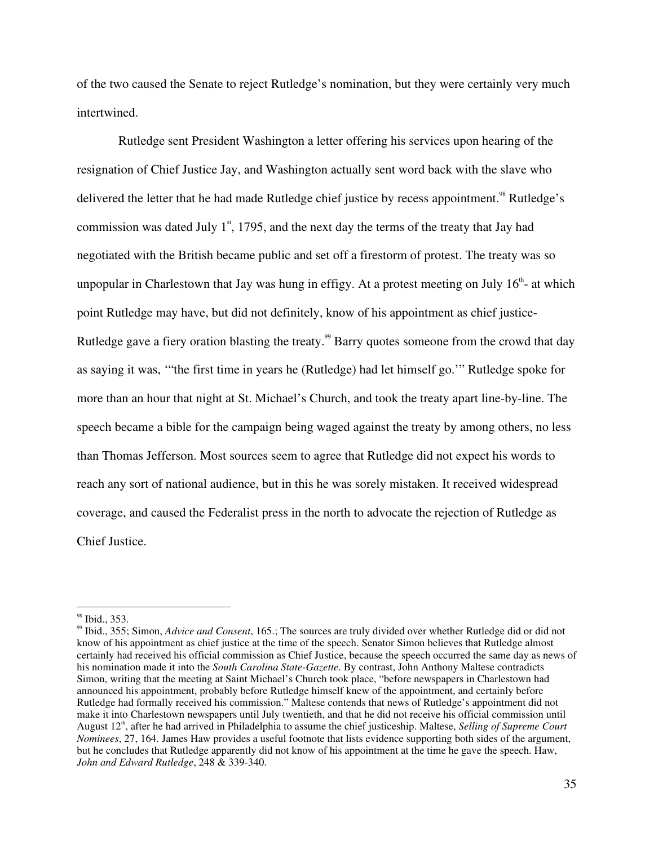of the two caused the Senate to reject Rutledge's nomination, but they were certainly very much intertwined.

Rutledge sent President Washington a letter offering his services upon hearing of the resignation of Chief Justice Jay, and Washington actually sent word back with the slave who delivered the letter that he had made Rutledge chief justice by recess appointment.<sup>98</sup> Rutledge's commission was dated July  $1<sup>st</sup>$ , 1795, and the next day the terms of the treaty that Jay had negotiated with the British became public and set off a firestorm of protest. The treaty was so unpopular in Charlestown that Jay was hung in effigy. At a protest meeting on July  $16<sup>th</sup>$ - at which point Rutledge may have, but did not definitely, know of his appointment as chief justice-Rutledge gave a fiery oration blasting the treaty.<sup>99</sup> Barry quotes someone from the crowd that day as saying it was, '"the first time in years he (Rutledge) had let himself go.'" Rutledge spoke for more than an hour that night at St. Michael's Church, and took the treaty apart line-by-line. The speech became a bible for the campaign being waged against the treaty by among others, no less than Thomas Jefferson. Most sources seem to agree that Rutledge did not expect his words to reach any sort of national audience, but in this he was sorely mistaken. It received widespread coverage, and caused the Federalist press in the north to advocate the rejection of Rutledge as Chief Justice.

 $98$  Ibid., 353.

Ibid., 355; Simon, *Advice and Consent*, 165.; The sources are truly divided over whether Rutledge did or did not know of his appointment as chief justice at the time of the speech. Senator Simon believes that Rutledge almost certainly had received his official commission as Chief Justice, because the speech occurred the same day as news of his nomination made it into the *South Carolina State-Gazette*. By contrast, John Anthony Maltese contradicts Simon, writing that the meeting at Saint Michael's Church took place, "before newspapers in Charlestown had announced his appointment, probably before Rutledge himself knew of the appointment, and certainly before Rutledge had formally received his commission." Maltese contends that news of Rutledge's appointment did not make it into Charlestown newspapers until July twentieth, and that he did not receive his official commission until August 12<sup>th</sup>, after he had arrived in Philadelphia to assume the chief justiceship. Maltese, *Selling of Supreme Court Nominees*, 27, 164. James Haw provides a useful footnote that lists evidence supporting both sides of the argument, but he concludes that Rutledge apparently did not know of his appointment at the time he gave the speech. Haw, *John and Edward Rutledge*, 248 & 339-340.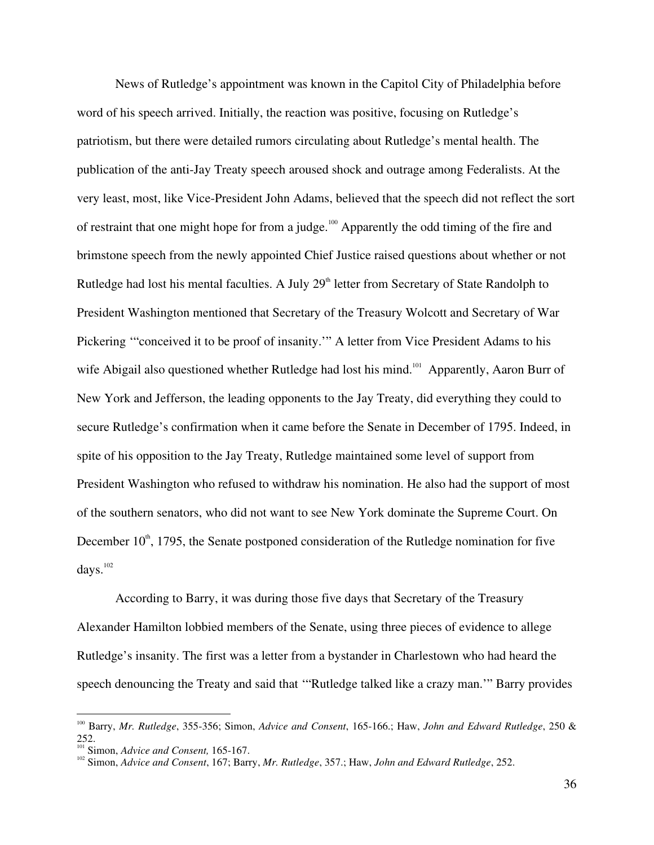News of Rutledge's appointment was known in the Capitol City of Philadelphia before word of his speech arrived. Initially, the reaction was positive, focusing on Rutledge's patriotism, but there were detailed rumors circulating about Rutledge's mental health. The publication of the anti-Jay Treaty speech aroused shock and outrage among Federalists. At the very least, most, like Vice-President John Adams, believed that the speech did not reflect the sort of restraint that one might hope for from a judge.<sup>100</sup> Apparently the odd timing of the fire and brimstone speech from the newly appointed Chief Justice raised questions about whether or not Rutledge had lost his mental faculties. A July 29<sup>th</sup> letter from Secretary of State Randolph to President Washington mentioned that Secretary of the Treasury Wolcott and Secretary of War Pickering '"conceived it to be proof of insanity.'" A letter from Vice President Adams to his wife Abigail also questioned whether Rutledge had lost his mind.<sup>101</sup> Apparently, Aaron Burr of New York and Jefferson, the leading opponents to the Jay Treaty, did everything they could to secure Rutledge's confirmation when it came before the Senate in December of 1795. Indeed, in spite of his opposition to the Jay Treaty, Rutledge maintained some level of support from President Washington who refused to withdraw his nomination. He also had the support of most of the southern senators, who did not want to see New York dominate the Supreme Court. On December  $10<sup>th</sup>$ , 1795, the Senate postponed consideration of the Rutledge nomination for five days. 102

According to Barry, it was during those five days that Secretary of the Treasury Alexander Hamilton lobbied members of the Senate, using three pieces of evidence to allege Rutledge's insanity. The first was a letter from a bystander in Charlestown who had heard the speech denouncing the Treaty and said that '"Rutledge talked like a crazy man.'" Barry provides

<sup>100</sup> Barry, *Mr. Rutledge*, 355-356; Simon, *Advice and Consent*, 165-166.; Haw, *John and Edward Rutledge*, 250 &  $252.$ 

<sup>&</sup>lt;sup>101</sup> Simon, *Advice and Consent,* 165-167.<br><sup>102</sup> Simon, *Advice and Consent,* 167; Barry, *Mr. Rutledge, 357.; Haw, John and Edward Rutledge, 252.*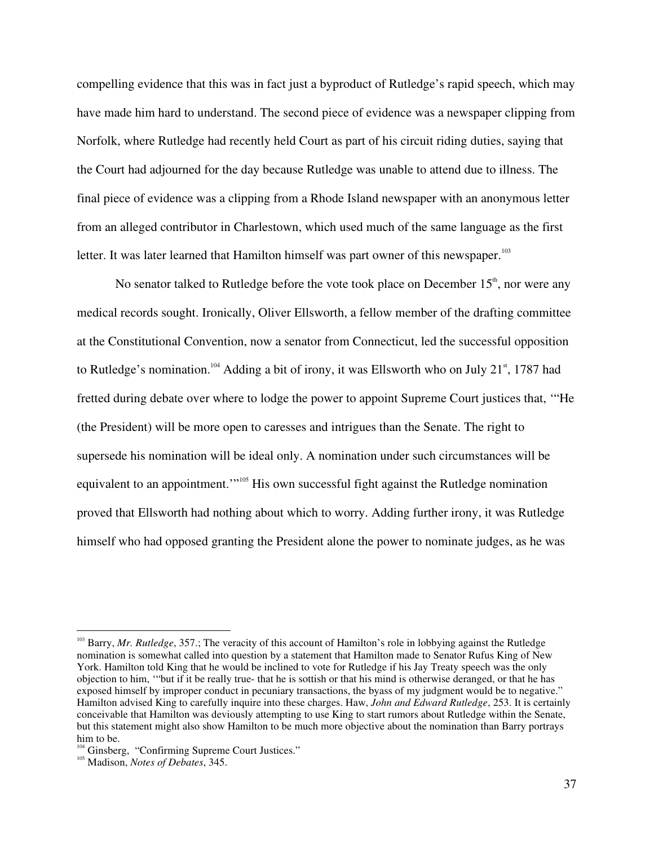compelling evidence that this was in fact just a byproduct of Rutledge's rapid speech, which may have made him hard to understand. The second piece of evidence was a newspaper clipping from Norfolk, where Rutledge had recently held Court as part of his circuit riding duties, saying that the Court had adjourned for the day because Rutledge was unable to attend due to illness. The final piece of evidence was a clipping from a Rhode Island newspaper with an anonymous letter from an alleged contributor in Charlestown, which used much of the same language as the first letter. It was later learned that Hamilton himself was part owner of this newspaper.<sup>103</sup>

No senator talked to Rutledge before the vote took place on December  $15^{\text{th}}$ , nor were any medical records sought. Ironically, Oliver Ellsworth, a fellow member of the drafting committee at the Constitutional Convention, now a senator from Connecticut, led the successful opposition to Rutledge's nomination.<sup>104</sup> Adding a bit of irony, it was Ellsworth who on July 21<sup>st</sup>, 1787 had fretted during debate over where to lodge the power to appoint Supreme Court justices that, '"He (the President) will be more open to caresses and intrigues than the Senate. The right to supersede his nomination will be ideal only. A nomination under such circumstances will be equivalent to an appointment."<sup>105</sup> His own successful fight against the Rutledge nomination proved that Ellsworth had nothing about which to worry. Adding further irony, it was Rutledge himself who had opposed granting the President alone the power to nominate judges, as he was

<sup>&</sup>lt;sup>103</sup> Barry, *Mr. Rutledge*, 357.; The veracity of this account of Hamilton's role in lobbying against the Rutledge nomination is somewhat called into question by a statement that Hamilton made to Senator Rufus King of New York. Hamilton told King that he would be inclined to vote for Rutledge if his Jay Treaty speech was the only objection to him, '"but if it be really true- that he is sottish or that his mind is otherwise deranged, or that he has exposed himself by improper conduct in pecuniary transactions, the byass of my judgment would be to negative." Hamilton advised King to carefully inquire into these charges. Haw, *John and Edward Rutledge*, 253. It is certainly conceivable that Hamilton was deviously attempting to use King to start rumors about Rutledge within the Senate, but this statement might also show Hamilton to be much more objective about the nomination than Barry portrays him to be.<br> $104$  Cinebas

 $\frac{104}{105}$  Ginsberg, "Confirming Supreme Court Justices."

Madison, *Notes of Debates*, 345.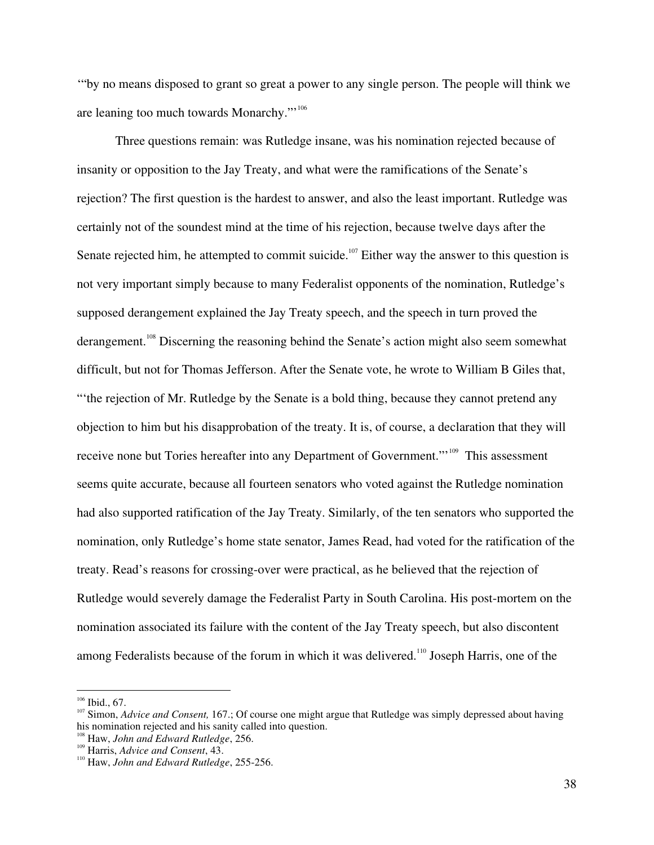'"by no means disposed to grant so great a power to any single person. The people will think we are leaning too much towards Monarchy."<sup>106</sup>

Three questions remain: was Rutledge insane, was his nomination rejected because of insanity or opposition to the Jay Treaty, and what were the ramifications of the Senate's rejection? The first question is the hardest to answer, and also the least important. Rutledge was certainly not of the soundest mind at the time of his rejection, because twelve days after the Senate rejected him, he attempted to commit suicide.<sup>107</sup> Either way the answer to this question is not very important simply because to many Federalist opponents of the nomination, Rutledge's supposed derangement explained the Jay Treaty speech, and the speech in turn proved the derangement.<sup>108</sup> Discerning the reasoning behind the Senate's action might also seem somewhat difficult, but not for Thomas Jefferson. After the Senate vote, he wrote to William B Giles that, "'the rejection of Mr. Rutledge by the Senate is a bold thing, because they cannot pretend any objection to him but his disapprobation of the treaty. It is, of course, a declaration that they will receive none but Tories hereafter into any Department of Government."<sup>109</sup> This assessment seems quite accurate, because all fourteen senators who voted against the Rutledge nomination had also supported ratification of the Jay Treaty. Similarly, of the ten senators who supported the nomination, only Rutledge's home state senator, James Read, had voted for the ratification of the treaty. Read's reasons for crossing-over were practical, as he believed that the rejection of Rutledge would severely damage the Federalist Party in South Carolina. His post-mortem on the nomination associated its failure with the content of the Jay Treaty speech, but also discontent among Federalists because of the forum in which it was delivered.<sup>110</sup> Joseph Harris, one of the

 $106$  Ibid., 67.

<sup>&</sup>lt;sup>107</sup> Simon, *Advice and Consent*, 167.; Of course one might argue that Rutledge was simply depressed about having his nomination rejected and his sanity called into question.

<sup>&</sup>lt;sup>108</sup> Haw, *John and Edward Rutledge*, 256.

<sup>&</sup>lt;sup>109</sup> Harris, *Advice and Consent*, 43.

Haw, *John and Edward Rutledge*, 255-256.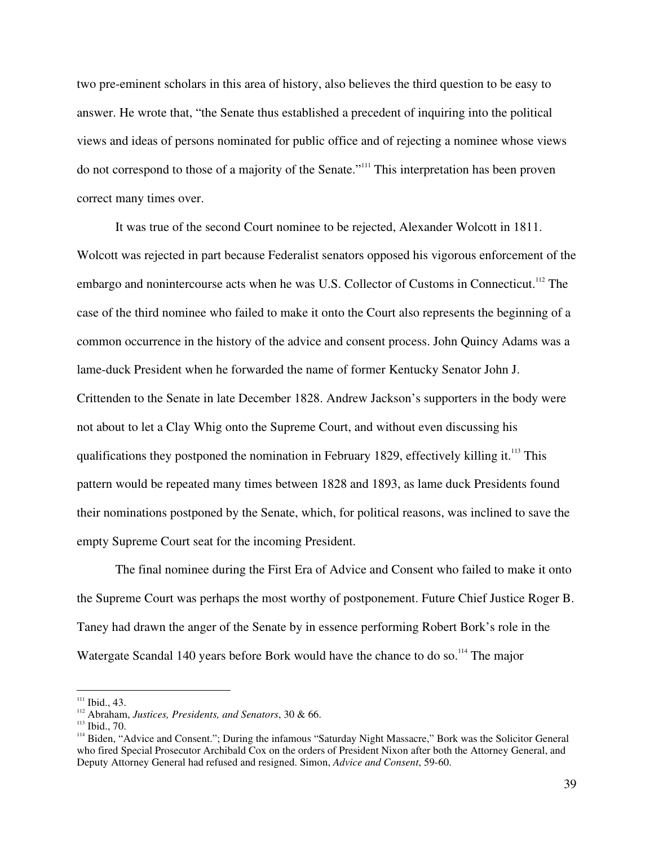two pre-eminent scholars in this area of history, also believes the third question to be easy to answer. He wrote that, "the Senate thus established a precedent of inquiring into the political views and ideas of persons nominated for public office and of rejecting a nominee whose views do not correspond to those of a majority of the Senate."<sup>111</sup> This interpretation has been proven correct many times over.

It was true of the second Court nominee to be rejected, Alexander Wolcott in 1811. Wolcott was rejected in part because Federalist senators opposed his vigorous enforcement of the embargo and nonintercourse acts when he was U.S. Collector of Customs in Connecticut.<sup>112</sup> The case of the third nominee who failed to make it onto the Court also represents the beginning of a common occurrence in the history of the advice and consent process. John Quincy Adams was a lame-duck President when he forwarded the name of former Kentucky Senator John J. Crittenden to the Senate in late December 1828. Andrew Jackson's supporters in the body were not about to let a Clay Whig onto the Supreme Court, and without even discussing his qualifications they postponed the nomination in February 1829, effectively killing it.<sup>113</sup> This pattern would be repeated many times between 1828 and 1893, as lame duck Presidents found their nominations postponed by the Senate, which, for political reasons, was inclined to save the empty Supreme Court seat for the incoming President.

The final nominee during the First Era of Advice and Consent who failed to make it onto the Supreme Court was perhaps the most worthy of postponement. Future Chief Justice Roger B. Taney had drawn the anger of the Senate by in essence performing Robert Bork's role in the Watergate Scandal 140 years before Bork would have the chance to do so.<sup>114</sup> The major

 $111$  Ibid., 43.

<sup>1&</sup>lt;sup>112</sup> Abraham, *Justices, Presidents, and Senators*, 30 & 66.

 $113$  Ibid., 70.

<sup>&</sup>lt;sup>114</sup> Biden, "Advice and Consent."; During the infamous "Saturday Night Massacre," Bork was the Solicitor General who fired Special Prosecutor Archibald Cox on the orders of President Nixon after both the Attorney General, and Deputy Attorney General had refused and resigned. Simon, *Advice and Consent*, 59-60.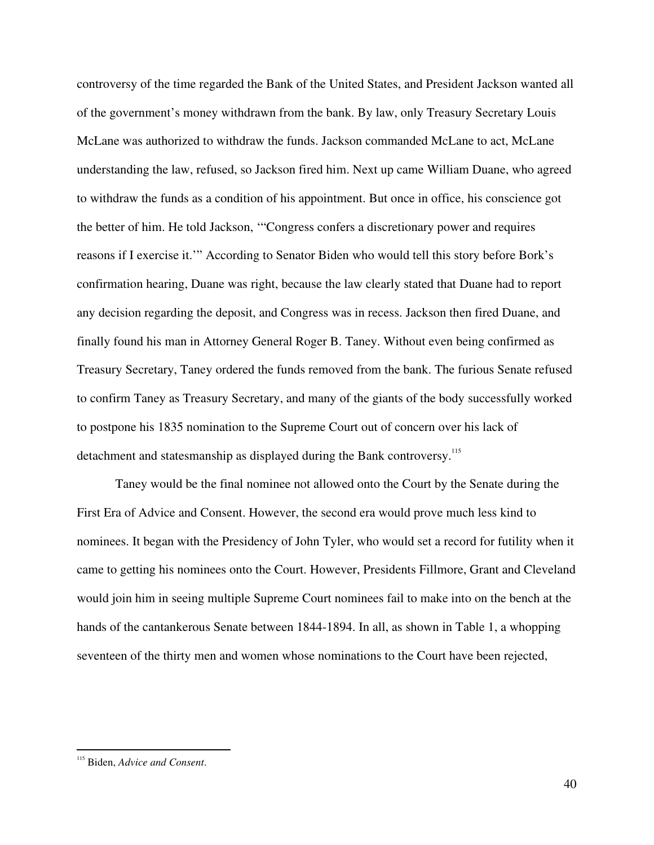controversy of the time regarded the Bank of the United States, and President Jackson wanted all of the government's money withdrawn from the bank. By law, only Treasury Secretary Louis McLane was authorized to withdraw the funds. Jackson commanded McLane to act, McLane understanding the law, refused, so Jackson fired him. Next up came William Duane, who agreed to withdraw the funds as a condition of his appointment. But once in office, his conscience got the better of him. He told Jackson, '"Congress confers a discretionary power and requires reasons if I exercise it.'" According to Senator Biden who would tell this story before Bork's confirmation hearing, Duane was right, because the law clearly stated that Duane had to report any decision regarding the deposit, and Congress was in recess. Jackson then fired Duane, and finally found his man in Attorney General Roger B. Taney. Without even being confirmed as Treasury Secretary, Taney ordered the funds removed from the bank. The furious Senate refused to confirm Taney as Treasury Secretary, and many of the giants of the body successfully worked to postpone his 1835 nomination to the Supreme Court out of concern over his lack of detachment and statesmanship as displayed during the Bank controversy.<sup>115</sup>

Taney would be the final nominee not allowed onto the Court by the Senate during the First Era of Advice and Consent. However, the second era would prove much less kind to nominees. It began with the Presidency of John Tyler, who would set a record for futility when it came to getting his nominees onto the Court. However, Presidents Fillmore, Grant and Cleveland would join him in seeing multiple Supreme Court nominees fail to make into on the bench at the hands of the cantankerous Senate between 1844-1894. In all, as shown in Table 1, a whopping seventeen of the thirty men and women whose nominations to the Court have been rejected,

<sup>115</sup> Biden, *Advice and Consent*.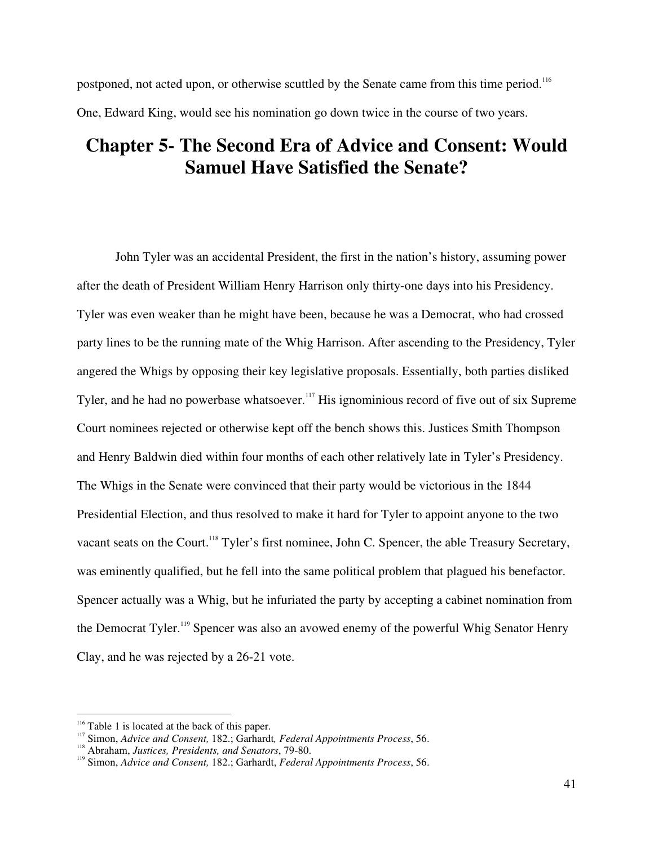postponed, not acted upon, or otherwise scuttled by the Senate came from this time period.<sup>116</sup> One, Edward King, would see his nomination go down twice in the course of two years.

## **Chapter 5- The Second Era of Advice and Consent: Would Samuel Have Satisfied the Senate?**

John Tyler was an accidental President, the first in the nation's history, assuming power after the death of President William Henry Harrison only thirty-one days into his Presidency. Tyler was even weaker than he might have been, because he was a Democrat, who had crossed party lines to be the running mate of the Whig Harrison. After ascending to the Presidency, Tyler angered the Whigs by opposing their key legislative proposals. Essentially, both parties disliked Tyler, and he had no powerbase whatsoever.<sup>117</sup> His ignominious record of five out of six Supreme Court nominees rejected or otherwise kept off the bench shows this. Justices Smith Thompson and Henry Baldwin died within four months of each other relatively late in Tyler's Presidency. The Whigs in the Senate were convinced that their party would be victorious in the 1844 Presidential Election, and thus resolved to make it hard for Tyler to appoint anyone to the two vacant seats on the Court.<sup>118</sup> Tyler's first nominee, John C. Spencer, the able Treasury Secretary, was eminently qualified, but he fell into the same political problem that plagued his benefactor. Spencer actually was a Whig, but he infuriated the party by accepting a cabinet nomination from the Democrat Tyler.<sup>119</sup> Spencer was also an avowed enemy of the powerful Whig Senator Henry Clay, and he was rejected by a 26-21 vote.

<sup>&</sup>lt;sup>116</sup> Table 1 is located at the back of this paper.<br><sup>117</sup> Simon, A drive and Consent, 182 . Cerboral

<sup>&</sup>lt;sup>117</sup> Simon, *Advice and Consent,* 182.; Garhardt, *Federal Appointments Process*, 56.

<sup>&</sup>lt;sup>118</sup> Abraham, *Justices, Presidents, and Senators, 79-80.* 

Simon, *Advice and Consent,* 182.; Garhardt, *Federal Appointments Process*, 56.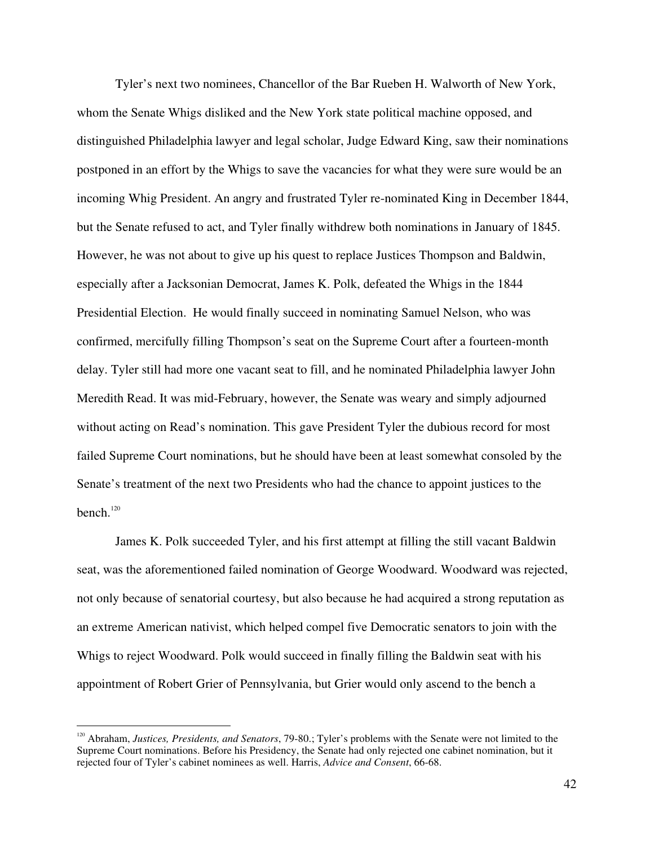Tyler's next two nominees, Chancellor of the Bar Rueben H. Walworth of New York, whom the Senate Whigs disliked and the New York state political machine opposed, and distinguished Philadelphia lawyer and legal scholar, Judge Edward King, saw their nominations postponed in an effort by the Whigs to save the vacancies for what they were sure would be an incoming Whig President. An angry and frustrated Tyler re-nominated King in December 1844, but the Senate refused to act, and Tyler finally withdrew both nominations in January of 1845. However, he was not about to give up his quest to replace Justices Thompson and Baldwin, especially after a Jacksonian Democrat, James K. Polk, defeated the Whigs in the 1844 Presidential Election. He would finally succeed in nominating Samuel Nelson, who was confirmed, mercifully filling Thompson's seat on the Supreme Court after a fourteen-month delay. Tyler still had more one vacant seat to fill, and he nominated Philadelphia lawyer John Meredith Read. It was mid-February, however, the Senate was weary and simply adjourned without acting on Read's nomination. This gave President Tyler the dubious record for most failed Supreme Court nominations, but he should have been at least somewhat consoled by the Senate's treatment of the next two Presidents who had the chance to appoint justices to the bench. 120

James K. Polk succeeded Tyler, and his first attempt at filling the still vacant Baldwin seat, was the aforementioned failed nomination of George Woodward. Woodward was rejected, not only because of senatorial courtesy, but also because he had acquired a strong reputation as an extreme American nativist, which helped compel five Democratic senators to join with the Whigs to reject Woodward. Polk would succeed in finally filling the Baldwin seat with his appointment of Robert Grier of Pennsylvania, but Grier would only ascend to the bench a

<sup>120</sup> Abraham, *Justices, Presidents, and Senators*, 79-80.; Tyler's problems with the Senate were not limited to the Supreme Court nominations. Before his Presidency, the Senate had only rejected one cabinet nomination, but it rejected four of Tyler's cabinet nominees as well. Harris, *Advice and Consent*, 66-68.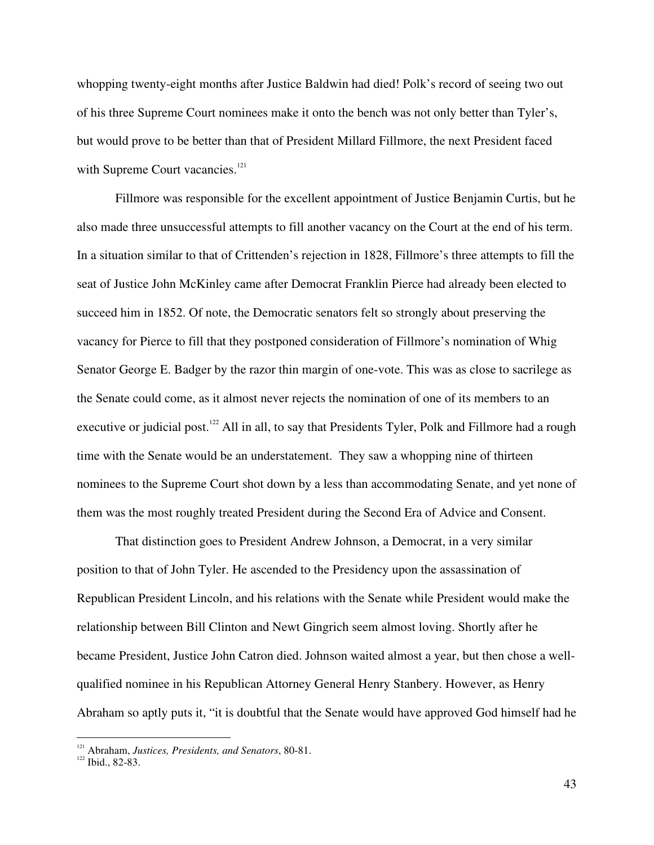whopping twenty-eight months after Justice Baldwin had died! Polk's record of seeing two out of his three Supreme Court nominees make it onto the bench was not only better than Tyler's, but would prove to be better than that of President Millard Fillmore, the next President faced with Supreme Court vacancies.<sup>121</sup>

Fillmore was responsible for the excellent appointment of Justice Benjamin Curtis, but he also made three unsuccessful attempts to fill another vacancy on the Court at the end of his term. In a situation similar to that of Crittenden's rejection in 1828, Fillmore's three attempts to fill the seat of Justice John McKinley came after Democrat Franklin Pierce had already been elected to succeed him in 1852. Of note, the Democratic senators felt so strongly about preserving the vacancy for Pierce to fill that they postponed consideration of Fillmore's nomination of Whig Senator George E. Badger by the razor thin margin of one-vote. This was as close to sacrilege as the Senate could come, as it almost never rejects the nomination of one of its members to an executive or judicial post.<sup>122</sup> All in all, to say that Presidents Tyler, Polk and Fillmore had a rough time with the Senate would be an understatement. They saw a whopping nine of thirteen nominees to the Supreme Court shot down by a less than accommodating Senate, and yet none of them was the most roughly treated President during the Second Era of Advice and Consent.

That distinction goes to President Andrew Johnson, a Democrat, in a very similar position to that of John Tyler. He ascended to the Presidency upon the assassination of Republican President Lincoln, and his relations with the Senate while President would make the relationship between Bill Clinton and Newt Gingrich seem almost loving. Shortly after he became President, Justice John Catron died. Johnson waited almost a year, but then chose a wellqualified nominee in his Republican Attorney General Henry Stanbery. However, as Henry Abraham so aptly puts it, "it is doubtful that the Senate would have approved God himself had he

<sup>&</sup>lt;sup>121</sup> Abraham, *Justices, Presidents, and Senators*, 80-81.<br><sup>122</sup> Ibid., 82-83.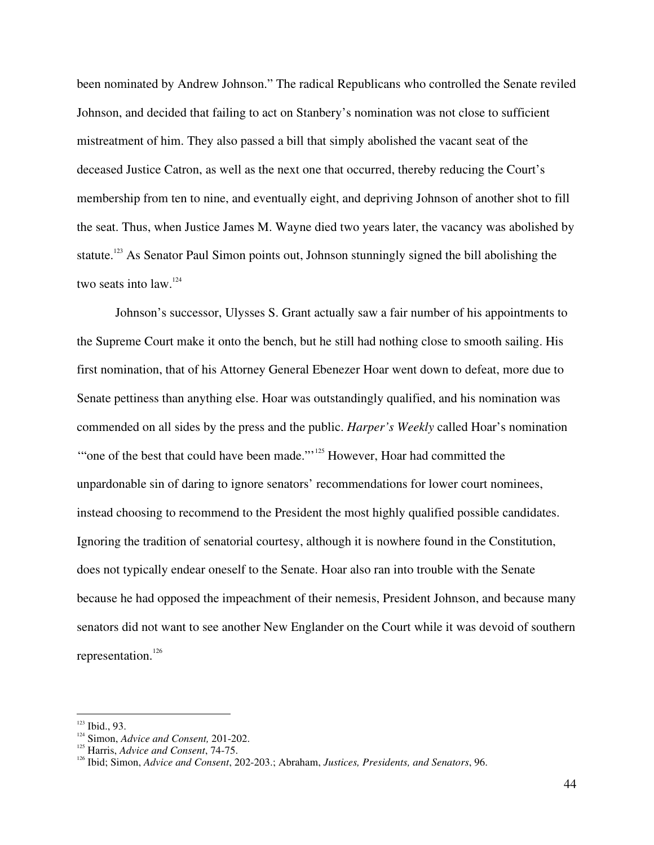been nominated by Andrew Johnson." The radical Republicans who controlled the Senate reviled Johnson, and decided that failing to act on Stanbery's nomination was not close to sufficient mistreatment of him. They also passed a bill that simply abolished the vacant seat of the deceased Justice Catron, as well as the next one that occurred, thereby reducing the Court's membership from ten to nine, and eventually eight, and depriving Johnson of another shot to fill the seat. Thus, when Justice James M. Wayne died two years later, the vacancy was abolished by statute.<sup>123</sup> As Senator Paul Simon points out, Johnson stunningly signed the bill abolishing the two seats into law.<sup>124</sup>

Johnson's successor, Ulysses S. Grant actually saw a fair number of his appointments to the Supreme Court make it onto the bench, but he still had nothing close to smooth sailing. His first nomination, that of his Attorney General Ebenezer Hoar went down to defeat, more due to Senate pettiness than anything else. Hoar was outstandingly qualified, and his nomination was commended on all sides by the press and the public. *Harper's Weekly* called Hoar's nomination "one of the best that could have been made."<sup>125</sup> However, Hoar had committed the unpardonable sin of daring to ignore senators' recommendations for lower court nominees, instead choosing to recommend to the President the most highly qualified possible candidates. Ignoring the tradition of senatorial courtesy, although it is nowhere found in the Constitution, does not typically endear oneself to the Senate. Hoar also ran into trouble with the Senate because he had opposed the impeachment of their nemesis, President Johnson, and because many senators did not want to see another New Englander on the Court while it was devoid of southern representation. 126

 $123$  Ibid., 93.  $\frac{123}{124}$  Ibid., 93.

<sup>&</sup>lt;sup>124</sup> Simon, *Advice and Consent*, 201-202.<br><sup>125</sup> Hawia Advice and *Consent*, 74.75

<sup>&</sup>lt;sup>125</sup> Harris, *Advice and Consent*, 74-75.

Ibid; Simon, *Advice and Consent*, 202-203.; Abraham, *Justices, Presidents, and Senators*, 96.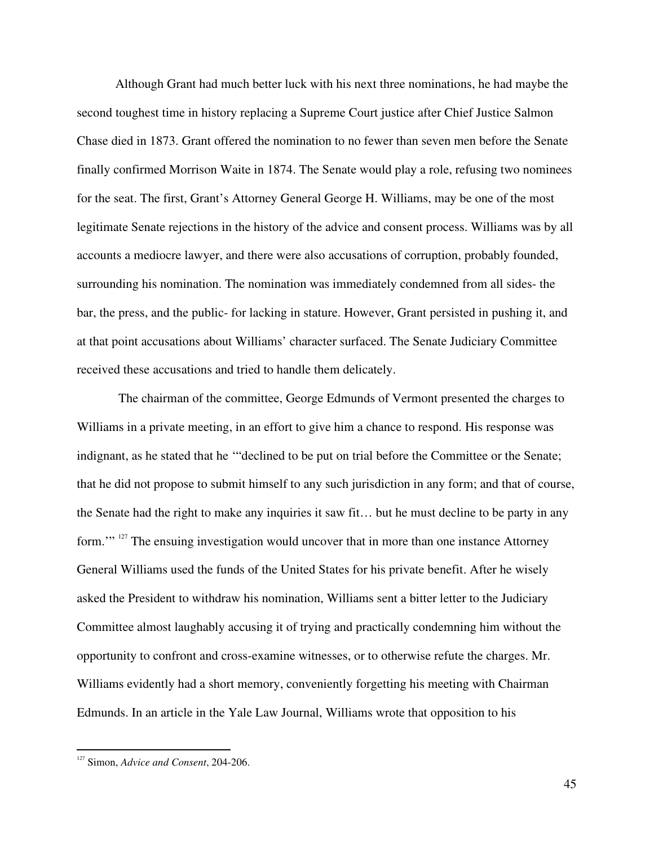Although Grant had much better luck with his next three nominations, he had maybe the second toughest time in history replacing a Supreme Court justice after Chief Justice Salmon Chase died in 1873. Grant offered the nomination to no fewer than seven men before the Senate finally confirmed Morrison Waite in 1874. The Senate would play a role, refusing two nominees for the seat. The first, Grant's Attorney General George H. Williams, may be one of the most legitimate Senate rejections in the history of the advice and consent process. Williams was by all accounts a mediocre lawyer, and there were also accusations of corruption, probably founded, surrounding his nomination. The nomination was immediately condemned from all sides- the bar, the press, and the public- for lacking in stature. However, Grant persisted in pushing it, and at that point accusations about Williams' character surfaced. The Senate Judiciary Committee received these accusations and tried to handle them delicately.

The chairman of the committee, George Edmunds of Vermont presented the charges to Williams in a private meeting, in an effort to give him a chance to respond. His response was indignant, as he stated that he '"declined to be put on trial before the Committee or the Senate; that he did not propose to submit himself to any such jurisdiction in any form; and that of course, the Senate had the right to make any inquiries it saw fit… but he must decline to be party in any form."<sup>127</sup> The ensuing investigation would uncover that in more than one instance Attorney General Williams used the funds of the United States for his private benefit. After he wisely asked the President to withdraw his nomination, Williams sent a bitter letter to the Judiciary Committee almost laughably accusing it of trying and practically condemning him without the opportunity to confront and cross-examine witnesses, or to otherwise refute the charges. Mr. Williams evidently had a short memory, conveniently forgetting his meeting with Chairman Edmunds. In an article in the Yale Law Journal, Williams wrote that opposition to his

<sup>127</sup> Simon, *Advice and Consent*, 204-206.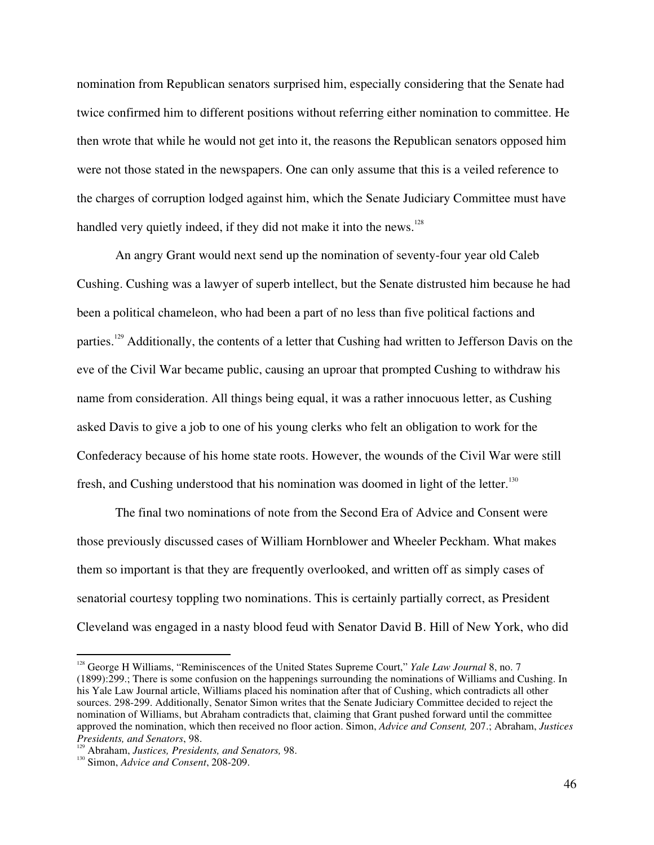nomination from Republican senators surprised him, especially considering that the Senate had twice confirmed him to different positions without referring either nomination to committee. He then wrote that while he would not get into it, the reasons the Republican senators opposed him were not those stated in the newspapers. One can only assume that this is a veiled reference to the charges of corruption lodged against him, which the Senate Judiciary Committee must have handled very quietly indeed, if they did not make it into the news.<sup>128</sup>

An angry Grant would next send up the nomination of seventy-four year old Caleb Cushing. Cushing was a lawyer of superb intellect, but the Senate distrusted him because he had been a political chameleon, who had been a part of no less than five political factions and parties.<sup>129</sup> Additionally, the contents of a letter that Cushing had written to Jefferson Davis on the eve of the Civil War became public, causing an uproar that prompted Cushing to withdraw his name from consideration. All things being equal, it was a rather innocuous letter, as Cushing asked Davis to give a job to one of his young clerks who felt an obligation to work for the Confederacy because of his home state roots. However, the wounds of the Civil War were still fresh, and Cushing understood that his nomination was doomed in light of the letter.<sup>130</sup>

The final two nominations of note from the Second Era of Advice and Consent were those previously discussed cases of William Hornblower and Wheeler Peckham. What makes them so important is that they are frequently overlooked, and written off as simply cases of senatorial courtesy toppling two nominations. This is certainly partially correct, as President Cleveland was engaged in a nasty blood feud with Senator David B. Hill of New York, who did

<sup>128</sup> George H Williams, "Reminiscences of the United States Supreme Court," *Yale Law Journal* 8, no. 7 (1899):299.; There is some confusion on the happenings surrounding the nominations of Williams and Cushing. In his Yale Law Journal article, Williams placed his nomination after that of Cushing, which contradicts all other sources. 298-299. Additionally, Senator Simon writes that the Senate Judiciary Committee decided to reject the nomination of Williams, but Abraham contradicts that, claiming that Grant pushed forward until the committee approved the nomination, which then received no floor action. Simon, *Advice and Consent,* 207.; Abraham, *Justices Presidents, and Senators, 98.* 

Abraham, Justices, Presidents, and Senators, 98.

Simon, *Advice and Consent*, 208-209.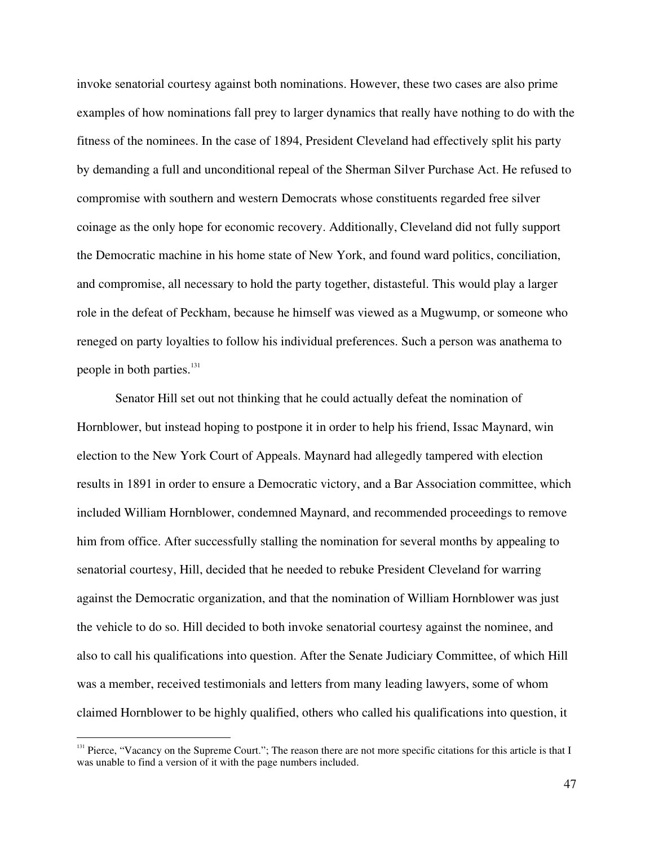invoke senatorial courtesy against both nominations. However, these two cases are also prime examples of how nominations fall prey to larger dynamics that really have nothing to do with the fitness of the nominees. In the case of 1894, President Cleveland had effectively split his party by demanding a full and unconditional repeal of the Sherman Silver Purchase Act. He refused to compromise with southern and western Democrats whose constituents regarded free silver coinage as the only hope for economic recovery. Additionally, Cleveland did not fully support the Democratic machine in his home state of New York, and found ward politics, conciliation, and compromise, all necessary to hold the party together, distasteful. This would play a larger role in the defeat of Peckham, because he himself was viewed as a Mugwump, or someone who reneged on party loyalties to follow his individual preferences. Such a person was anathema to people in both parties.<sup>131</sup>

Senator Hill set out not thinking that he could actually defeat the nomination of Hornblower, but instead hoping to postpone it in order to help his friend, Issac Maynard, win election to the New York Court of Appeals. Maynard had allegedly tampered with election results in 1891 in order to ensure a Democratic victory, and a Bar Association committee, which included William Hornblower, condemned Maynard, and recommended proceedings to remove him from office. After successfully stalling the nomination for several months by appealing to senatorial courtesy, Hill, decided that he needed to rebuke President Cleveland for warring against the Democratic organization, and that the nomination of William Hornblower was just the vehicle to do so. Hill decided to both invoke senatorial courtesy against the nominee, and also to call his qualifications into question. After the Senate Judiciary Committee, of which Hill was a member, received testimonials and letters from many leading lawyers, some of whom claimed Hornblower to be highly qualified, others who called his qualifications into question, it

<sup>&</sup>lt;sup>131</sup> Pierce, "Vacancy on the Supreme Court."; The reason there are not more specific citations for this article is that I was unable to find a version of it with the page numbers included.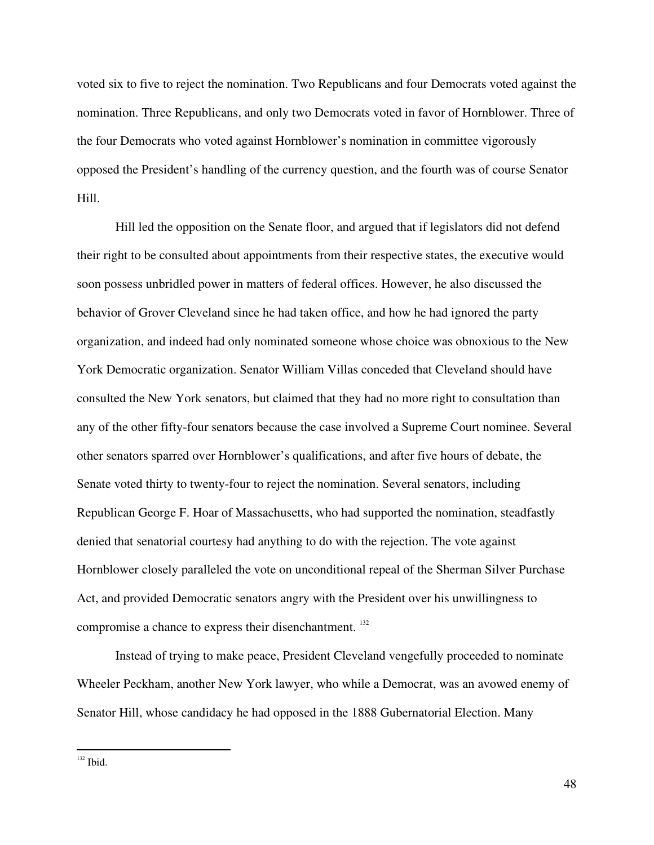voted six to five to reject the nomination. Two Republicans and four Democrats voted against the nomination. Three Republicans, and only two Democrats voted in favor of Hornblower. Three of the four Democrats who voted against Hornblower's nomination in committee vigorously opposed the President's handling of the currency question, and the fourth was of course Senator Hill.

Hill led the opposition on the Senate floor, and argued that if legislators did not defend their right to be consulted about appointments from their respective states, the executive would soon possess unbridled power in matters of federal offices. However, he also discussed the behavior of Grover Cleveland since he had taken office, and how he had ignored the party organization, and indeed had only nominated someone whose choice was obnoxious to the New York Democratic organization. Senator William Villas conceded that Cleveland should have consulted the New York senators, but claimed that they had no more right to consultation than any of the other fifty-four senators because the case involved a Supreme Court nominee. Several other senators sparred over Hornblower's qualifications, and after five hours of debate, the Senate voted thirty to twenty-four to reject the nomination. Several senators, including Republican George F. Hoar of Massachusetts, who had supported the nomination, steadfastly denied that senatorial courtesy had anything to do with the rejection. The vote against Hornblower closely paralleled the vote on unconditional repeal of the Sherman Silver Purchase Act, and provided Democratic senators angry with the President over his unwillingness to compromise a chance to express their disenchantment.<sup>132</sup>

Instead of trying to make peace, President Cleveland vengefully proceeded to nominate Wheeler Peckham, another New York lawyer, who while a Democrat, was an avowed enemy of Senator Hill, whose candidacy he had opposed in the 1888 Gubernatorial Election. Many

 $132$  Ibid.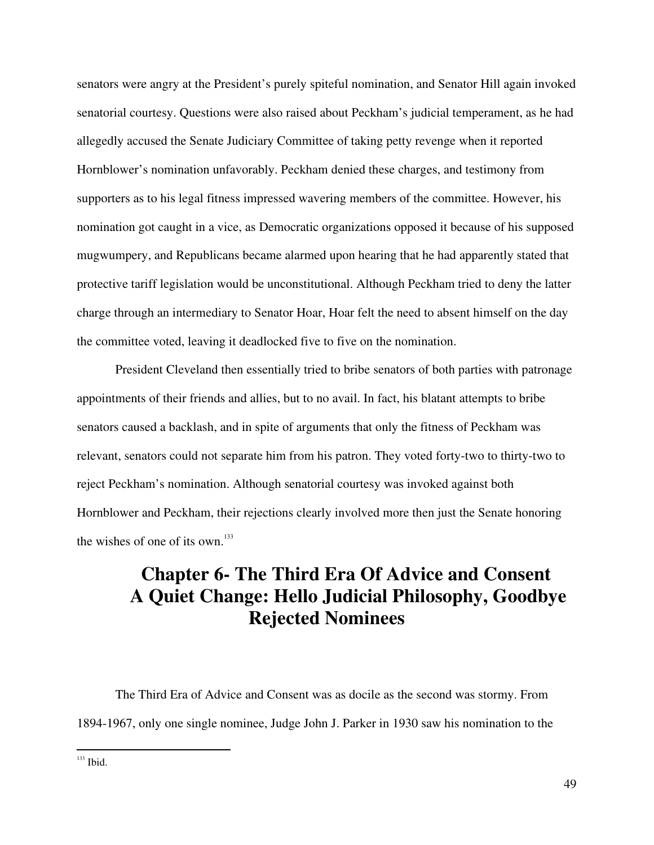senators were angry at the President's purely spiteful nomination, and Senator Hill again invoked senatorial courtesy. Questions were also raised about Peckham's judicial temperament, as he had allegedly accused the Senate Judiciary Committee of taking petty revenge when it reported Hornblower's nomination unfavorably. Peckham denied these charges, and testimony from supporters as to his legal fitness impressed wavering members of the committee. However, his nomination got caught in a vice, as Democratic organizations opposed it because of his supposed mugwumpery, and Republicans became alarmed upon hearing that he had apparently stated that protective tariff legislation would be unconstitutional. Although Peckham tried to deny the latter charge through an intermediary to Senator Hoar, Hoar felt the need to absent himself on the day the committee voted, leaving it deadlocked five to five on the nomination.

President Cleveland then essentially tried to bribe senators of both parties with patronage appointments of their friends and allies, but to no avail. In fact, his blatant attempts to bribe senators caused a backlash, and in spite of arguments that only the fitness of Peckham was relevant, senators could not separate him from his patron. They voted forty-two to thirty-two to reject Peckham's nomination. Although senatorial courtesy was invoked against both Hornblower and Peckham, their rejections clearly involved more then just the Senate honoring the wishes of one of its own.<sup>133</sup>

## **Chapter 6- The Third Era Of Advice and Consent A Quiet Change: Hello Judicial Philosophy, Goodbye Rejected Nominees**

The Third Era of Advice and Consent was as docile as the second was stormy. From 1894-1967, only one single nominee, Judge John J. Parker in 1930 saw his nomination to the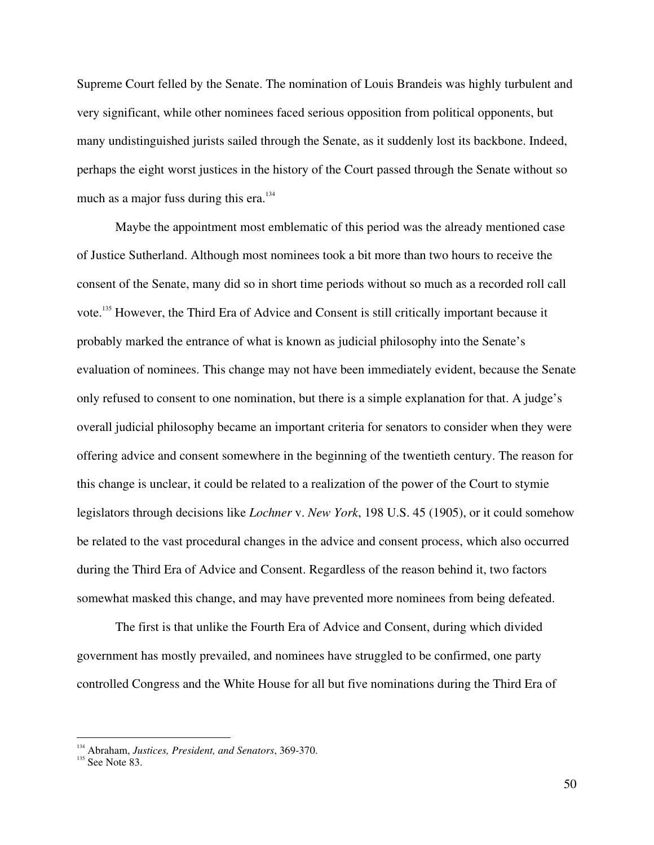Supreme Court felled by the Senate. The nomination of Louis Brandeis was highly turbulent and very significant, while other nominees faced serious opposition from political opponents, but many undistinguished jurists sailed through the Senate, as it suddenly lost its backbone. Indeed, perhaps the eight worst justices in the history of the Court passed through the Senate without so much as a major fuss during this era.<sup>134</sup>

Maybe the appointment most emblematic of this period was the already mentioned case of Justice Sutherland. Although most nominees took a bit more than two hours to receive the consent of the Senate, many did so in short time periods without so much as a recorded roll call vote.<sup>135</sup> However, the Third Era of Advice and Consent is still critically important because it probably marked the entrance of what is known as judicial philosophy into the Senate's evaluation of nominees. This change may not have been immediately evident, because the Senate only refused to consent to one nomination, but there is a simple explanation for that. A judge's overall judicial philosophy became an important criteria for senators to consider when they were offering advice and consent somewhere in the beginning of the twentieth century. The reason for this change is unclear, it could be related to a realization of the power of the Court to stymie legislators through decisions like *Lochner* v. *New York*, 198 U.S. 45 (1905), or it could somehow be related to the vast procedural changes in the advice and consent process, which also occurred during the Third Era of Advice and Consent. Regardless of the reason behind it, two factors somewhat masked this change, and may have prevented more nominees from being defeated.

The first is that unlike the Fourth Era of Advice and Consent, during which divided government has mostly prevailed, and nominees have struggled to be confirmed, one party controlled Congress and the White House for all but five nominations during the Third Era of

<sup>&</sup>lt;sup>134</sup> Abraham, *Justices, President, and Senators*, 369-370.<br><sup>135</sup> See Note 83.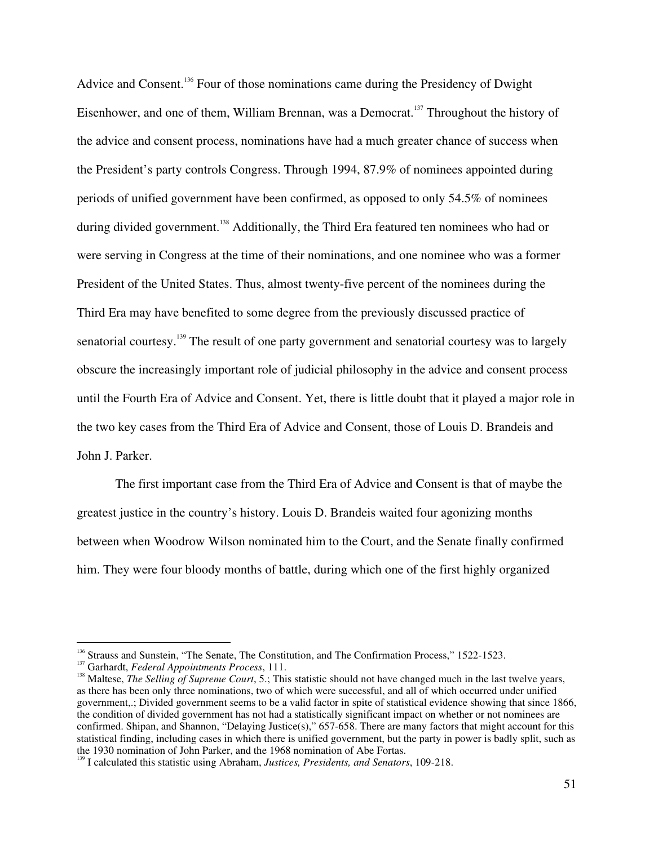Advice and Consent.<sup>136</sup> Four of those nominations came during the Presidency of Dwight Eisenhower, and one of them, William Brennan, was a Democrat.<sup>137</sup> Throughout the history of the advice and consent process, nominations have had a much greater chance of success when the President's party controls Congress. Through 1994, 87.9% of nominees appointed during periods of unified government have been confirmed, as opposed to only 54.5% of nominees during divided government.<sup>138</sup> Additionally, the Third Era featured ten nominees who had or were serving in Congress at the time of their nominations, and one nominee who was a former President of the United States. Thus, almost twenty-five percent of the nominees during the Third Era may have benefited to some degree from the previously discussed practice of senatorial courtesy.<sup>139</sup> The result of one party government and senatorial courtesy was to largely obscure the increasingly important role of judicial philosophy in the advice and consent process until the Fourth Era of Advice and Consent. Yet, there is little doubt that it played a major role in the two key cases from the Third Era of Advice and Consent, those of Louis D. Brandeis and John J. Parker.

The first important case from the Third Era of Advice and Consent is that of maybe the greatest justice in the country's history. Louis D. Brandeis waited four agonizing months between when Woodrow Wilson nominated him to the Court, and the Senate finally confirmed him. They were four bloody months of battle, during which one of the first highly organized

<sup>&</sup>lt;sup>136</sup> Strauss and Sunstein, "The Senate, The Constitution, and The Confirmation Process," 1522-1523.

<sup>&</sup>lt;sup>137</sup> Garhardt, *Federal Appointments Process*, 111.

<sup>&</sup>lt;sup>138</sup> Maltese, *The Selling of Supreme Court*, 5.; This statistic should not have changed much in the last twelve years, as there has been only three nominations, two of which were successful, and all of which occurred under unified government,.; Divided government seems to be a valid factor in spite of statistical evidence showing that since 1866, the condition of divided government has not had a statistically significant impact on whether or not nominees are confirmed. Shipan, and Shannon, "Delaying Justice(s)," 657-658. There are many factors that might account for this statistical finding, including cases in which there is unified government, but the party in power is badly split, such as the 1930 nomination of John Parker, and the 1968 nomination of Abe Fortas.

I calculated this statistic using Abraham, *Justices, Presidents, and Senators*, 109-218.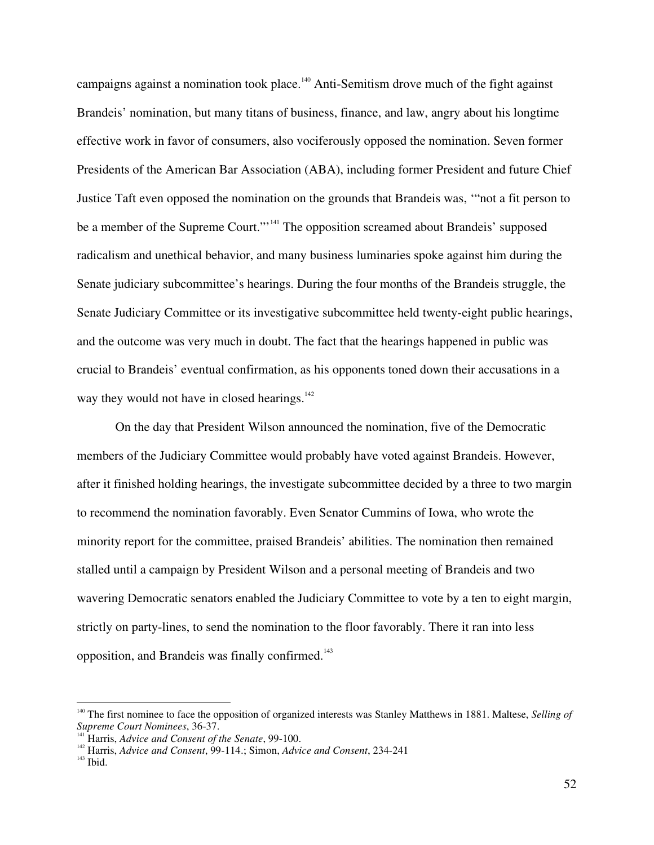campaigns against a nomination took place.<sup>140</sup> Anti-Semitism drove much of the fight against Brandeis' nomination, but many titans of business, finance, and law, angry about his longtime effective work in favor of consumers, also vociferously opposed the nomination. Seven former Presidents of the American Bar Association (ABA), including former President and future Chief Justice Taft even opposed the nomination on the grounds that Brandeis was, '"not a fit person to be a member of the Supreme Court."<sup>141</sup> The opposition screamed about Brandeis' supposed radicalism and unethical behavior, and many business luminaries spoke against him during the Senate judiciary subcommittee's hearings. During the four months of the Brandeis struggle, the Senate Judiciary Committee or its investigative subcommittee held twenty-eight public hearings, and the outcome was very much in doubt. The fact that the hearings happened in public was crucial to Brandeis' eventual confirmation, as his opponents toned down their accusations in a way they would not have in closed hearings.<sup>142</sup>

On the day that President Wilson announced the nomination, five of the Democratic members of the Judiciary Committee would probably have voted against Brandeis. However, after it finished holding hearings, the investigate subcommittee decided by a three to two margin to recommend the nomination favorably. Even Senator Cummins of Iowa, who wrote the minority report for the committee, praised Brandeis' abilities. The nomination then remained stalled until a campaign by President Wilson and a personal meeting of Brandeis and two wavering Democratic senators enabled the Judiciary Committee to vote by a ten to eight margin, strictly on party-lines, to send the nomination to the floor favorably. There it ran into less opposition, and Brandeis was finally confirmed.<sup>143</sup>

<sup>140</sup> The first nominee to face the opposition of organized interests was Stanley Matthews in 1881. Maltese, *Selling of Supreme Court Nominees*, 36-37.

 $\int$ **Harris,** *Advice and Consent of the Senate*, 99-100.

<sup>&</sup>lt;sup>142</sup> Harris, *Advice and Consent*, 99-114.; Simon, *Advice and Consent*, 234-241

 $143$  Ibid.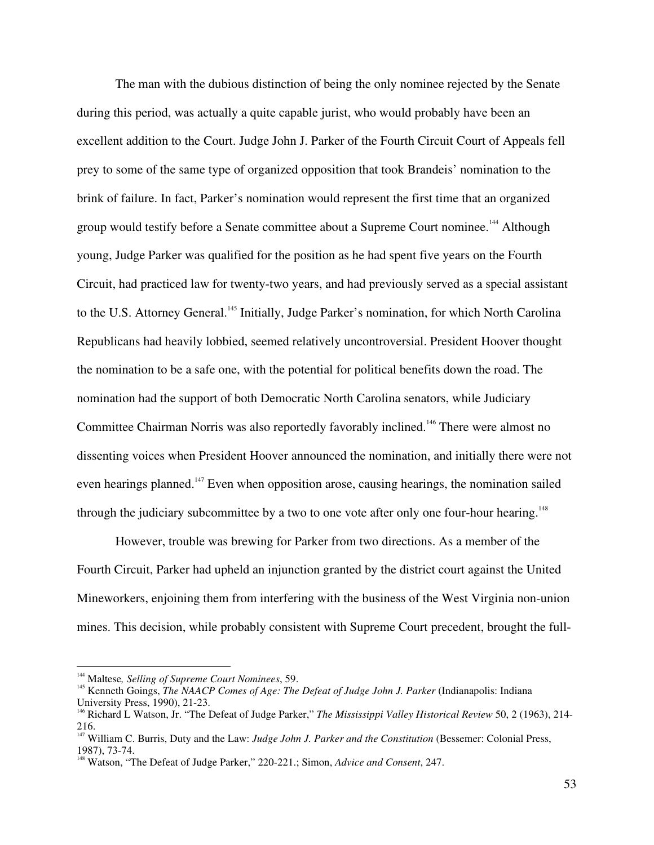The man with the dubious distinction of being the only nominee rejected by the Senate during this period, was actually a quite capable jurist, who would probably have been an excellent addition to the Court. Judge John J. Parker of the Fourth Circuit Court of Appeals fell prey to some of the same type of organized opposition that took Brandeis' nomination to the brink of failure. In fact, Parker's nomination would represent the first time that an organized group would testify before a Senate committee about a Supreme Court nominee.<sup>144</sup> Although young, Judge Parker was qualified for the position as he had spent five years on the Fourth Circuit, had practiced law for twenty-two years, and had previously served as a special assistant to the U.S. Attorney General.<sup>145</sup> Initially, Judge Parker's nomination, for which North Carolina Republicans had heavily lobbied, seemed relatively uncontroversial. President Hoover thought the nomination to be a safe one, with the potential for political benefits down the road. The nomination had the support of both Democratic North Carolina senators, while Judiciary Committee Chairman Norris was also reportedly favorably inclined.<sup>146</sup> There were almost no dissenting voices when President Hoover announced the nomination, and initially there were not even hearings planned.<sup>147</sup> Even when opposition arose, causing hearings, the nomination sailed through the judiciary subcommittee by a two to one vote after only one four-hour hearing.<sup>148</sup>

However, trouble was brewing for Parker from two directions. As a member of the Fourth Circuit, Parker had upheld an injunction granted by the district court against the United Mineworkers, enjoining them from interfering with the business of the West Virginia non-union mines. This decision, while probably consistent with Supreme Court precedent, brought the full-

<sup>144</sup> Maltese*, Selling of Supreme Court Nominees*, 59. <sup>145</sup>

Kenneth Goings, *The NAACP Comes of Age: The Defeat of Judge John J. Parker* (Indianapolis: Indiana

University Press, 1990), 21-23. <sup>146</sup> Richard <sup>L</sup> Watson, Jr. "The Defeat of Judge Parker," *The Mississippi Valley Historical Review* 50, <sup>2</sup> (1963), 214-

<sup>216.</sup> <sup>147</sup> William C. Burris, Duty and the Law: *Judge John J. Parker and the Constitution* (Bessemer: Colonial Press, 1987), 73-74.

Watson, "The Defeat of Judge Parker," 220-221.; Simon, *Advice and Consent*, 247.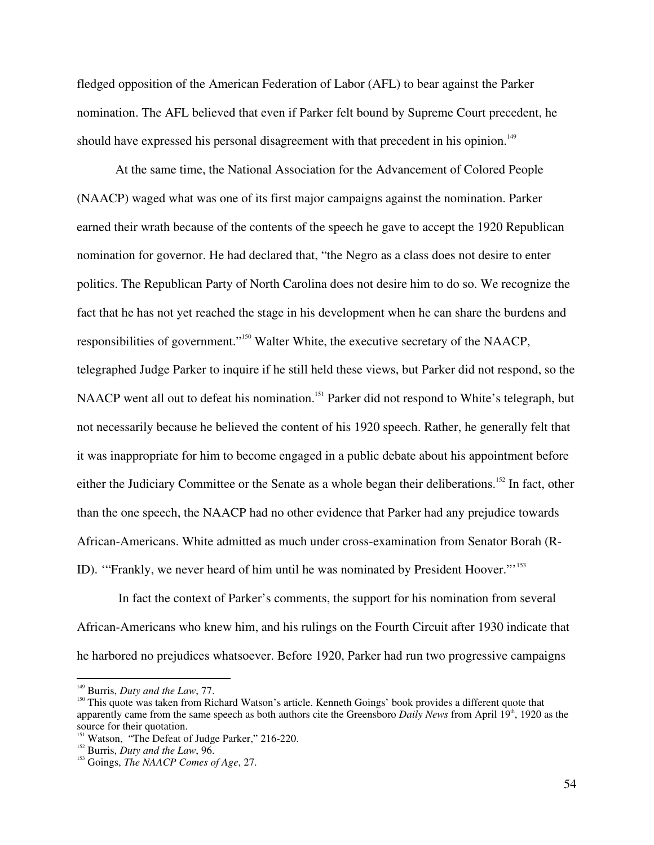fledged opposition of the American Federation of Labor (AFL) to bear against the Parker nomination. The AFL believed that even if Parker felt bound by Supreme Court precedent, he should have expressed his personal disagreement with that precedent in his opinion.<sup>149</sup>

At the same time, the National Association for the Advancement of Colored People (NAACP) waged what was one of its first major campaigns against the nomination. Parker earned their wrath because of the contents of the speech he gave to accept the 1920 Republican nomination for governor. He had declared that, "the Negro as a class does not desire to enter politics. The Republican Party of North Carolina does not desire him to do so. We recognize the fact that he has not yet reached the stage in his development when he can share the burdens and responsibilities of government."<sup>150</sup> Walter White, the executive secretary of the NAACP, telegraphed Judge Parker to inquire if he still held these views, but Parker did not respond, so the NAACP went all out to defeat his nomination.<sup>151</sup> Parker did not respond to White's telegraph, but not necessarily because he believed the content of his 1920 speech. Rather, he generally felt that it was inappropriate for him to become engaged in a public debate about his appointment before either the Judiciary Committee or the Senate as a whole began their deliberations.<sup>152</sup> In fact, other than the one speech, the NAACP had no other evidence that Parker had any prejudice towards African-Americans. White admitted as much under cross-examination from Senator Borah (R-ID). "Frankly, we never heard of him until he was nominated by President Hoover."<sup>153</sup>

In fact the context of Parker's comments, the support for his nomination from several African-Americans who knew him, and his rulings on the Fourth Circuit after 1930 indicate that he harbored no prejudices whatsoever. Before 1920, Parker had run two progressive campaigns

<sup>&</sup>lt;sup>149</sup> Burris, *Duty and the Law*, 77.

<sup>&</sup>lt;sup>150</sup> This quote was taken from Richard Watson's article. Kenneth Goings' book provides a different quote that apparently came from the same speech as both authors cite the Greensboro *Daily News* from April 19<sup>th</sup>, 1920 as the source for their quotation.<br> $151 \text{ W}$ 

<sup>&</sup>lt;sup>151</sup> Watson, "The Defeat of Judge Parker," 216-220.

<sup>&</sup>lt;sup>152</sup> Burris, *Duty and the Law*, 96.

Goings, *The NAACP Comes of Age*, 27.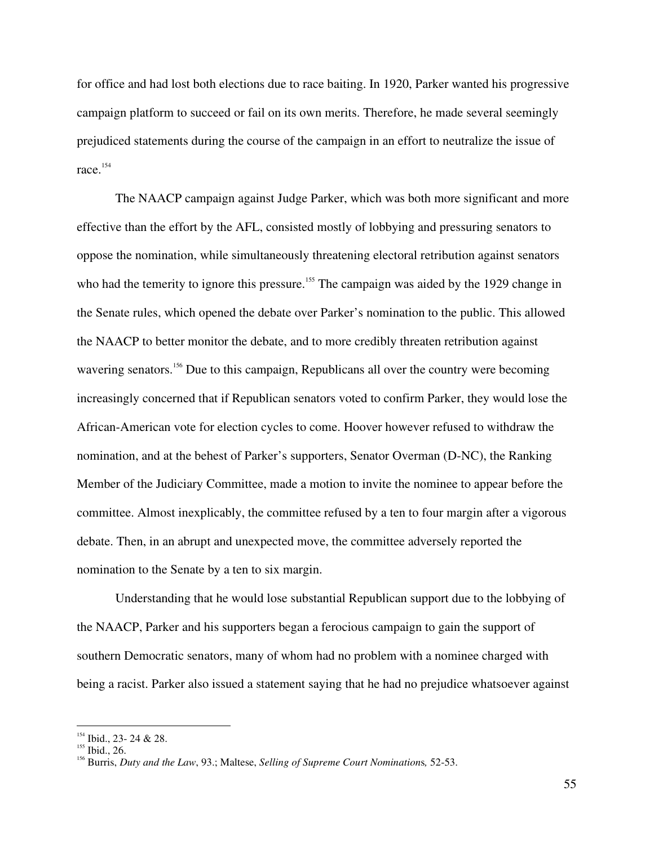for office and had lost both elections due to race baiting. In 1920, Parker wanted his progressive campaign platform to succeed or fail on its own merits. Therefore, he made several seemingly prejudiced statements during the course of the campaign in an effort to neutralize the issue of race. 154

The NAACP campaign against Judge Parker, which was both more significant and more effective than the effort by the AFL, consisted mostly of lobbying and pressuring senators to oppose the nomination, while simultaneously threatening electoral retribution against senators who had the temerity to ignore this pressure.<sup>155</sup> The campaign was aided by the 1929 change in the Senate rules, which opened the debate over Parker's nomination to the public. This allowed the NAACP to better monitor the debate, and to more credibly threaten retribution against wavering senators.<sup>156</sup> Due to this campaign, Republicans all over the country were becoming increasingly concerned that if Republican senators voted to confirm Parker, they would lose the African-American vote for election cycles to come. Hoover however refused to withdraw the nomination, and at the behest of Parker's supporters, Senator Overman (D-NC), the Ranking Member of the Judiciary Committee, made a motion to invite the nominee to appear before the committee. Almost inexplicably, the committee refused by a ten to four margin after a vigorous debate. Then, in an abrupt and unexpected move, the committee adversely reported the nomination to the Senate by a ten to six margin.

Understanding that he would lose substantial Republican support due to the lobbying of the NAACP, Parker and his supporters began a ferocious campaign to gain the support of southern Democratic senators, many of whom had no problem with a nominee charged with being a racist. Parker also issued a statement saying that he had no prejudice whatsoever against

 $^{154}$  Ibid., 23- 24 & 28.

 $\frac{155}{156}$  Ibid., 26.

Burris, *Duty and the Law*, 93.; Maltese, *Selling of Supreme Court Nomination*s*,* 52-53.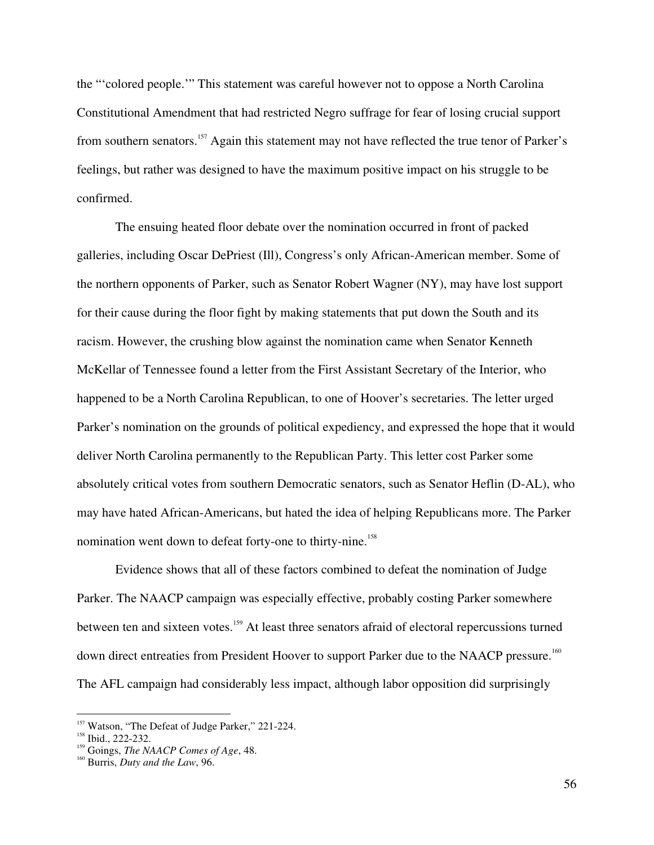the "'colored people.'" This statement was careful however not to oppose a North Carolina Constitutional Amendment that had restricted Negro suffrage for fear of losing crucial support from southern senators.<sup>157</sup> Again this statement may not have reflected the true tenor of Parker's feelings, but rather was designed to have the maximum positive impact on his struggle to be confirmed.

The ensuing heated floor debate over the nomination occurred in front of packed galleries, including Oscar DePriest (Ill), Congress's only African-American member. Some of the northern opponents of Parker, such as Senator Robert Wagner (NY), may have lost support for their cause during the floor fight by making statements that put down the South and its racism. However, the crushing blow against the nomination came when Senator Kenneth McKellar of Tennessee found a letter from the First Assistant Secretary of the Interior, who happened to be a North Carolina Republican, to one of Hoover's secretaries. The letter urged Parker's nomination on the grounds of political expediency, and expressed the hope that it would deliver North Carolina permanently to the Republican Party. This letter cost Parker some absolutely critical votes from southern Democratic senators, such as Senator Heflin (D-AL), who may have hated African-Americans, but hated the idea of helping Republicans more. The Parker nomination went down to defeat forty-one to thirty-nine. 158

Evidence shows that all of these factors combined to defeat the nomination of Judge Parker. The NAACP campaign was especially effective, probably costing Parker somewhere between ten and sixteen votes.<sup>159</sup> At least three senators afraid of electoral repercussions turned down direct entreaties from President Hoover to support Parker due to the NAACP pressure.<sup>160</sup> The AFL campaign had considerably less impact, although labor opposition did surprisingly

<sup>&</sup>lt;sup>157</sup> Watson, "The Defeat of Judge Parker," 221-224.

 $\frac{158}{159}$  Ibid., 222-232.

<sup>&</sup>lt;sup>159</sup> Goings, *The NAACP Comes of Age*, 48.

Burris, *Duty and the Law*, 96.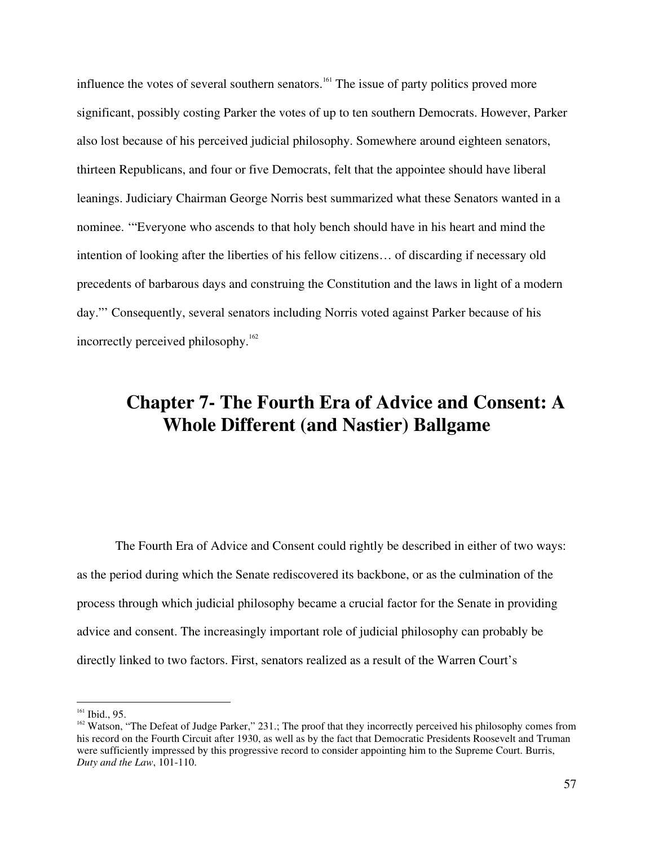influence the votes of several southern senators. 161 The issue of party politics proved more significant, possibly costing Parker the votes of up to ten southern Democrats. However, Parker also lost because of his perceived judicial philosophy. Somewhere around eighteen senators, thirteen Republicans, and four or five Democrats, felt that the appointee should have liberal leanings. Judiciary Chairman George Norris best summarized what these Senators wanted in a nominee. '"Everyone who ascends to that holy bench should have in his heart and mind the intention of looking after the liberties of his fellow citizens… of discarding if necessary old precedents of barbarous days and construing the Constitution and the laws in light of a modern day."' Consequently, several senators including Norris voted against Parker because of his incorrectly perceived philosophy. 162

## **Chapter 7- The Fourth Era of Advice and Consent: A Whole Different (and Nastier) Ballgame**

The Fourth Era of Advice and Consent could rightly be described in either of two ways: as the period during which the Senate rediscovered its backbone, or as the culmination of the process through which judicial philosophy became a crucial factor for the Senate in providing advice and consent. The increasingly important role of judicial philosophy can probably be directly linked to two factors. First, senators realized as a result of the Warren Court's

 $161$  Ibid., 95.

 $162$  Watson, "The Defeat of Judge Parker," 231.; The proof that they incorrectly perceived his philosophy comes from his record on the Fourth Circuit after 1930, as well as by the fact that Democratic Presidents Roosevelt and Truman were sufficiently impressed by this progressive record to consider appointing him to the Supreme Court. Burris, *Duty and the Law*, 101-110.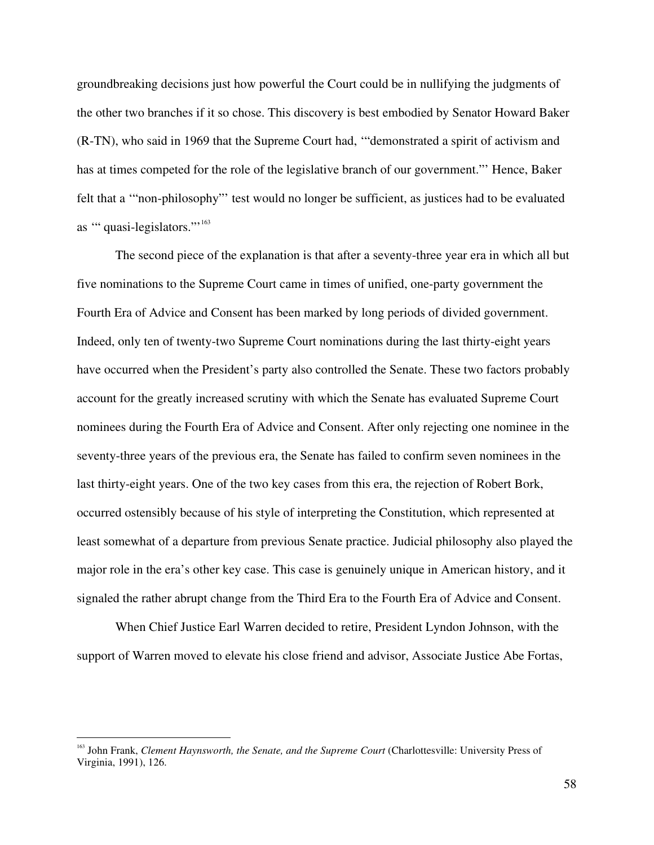groundbreaking decisions just how powerful the Court could be in nullifying the judgments of the other two branches if it so chose. This discovery is best embodied by Senator Howard Baker (R-TN), who said in 1969 that the Supreme Court had, '"demonstrated a spirit of activism and has at times competed for the role of the legislative branch of our government."' Hence, Baker felt that a '"non-philosophy"' test would no longer be sufficient, as justices had to be evaluated as "quasi-legislators."<sup>163</sup>

The second piece of the explanation is that after a seventy-three year era in which all but five nominations to the Supreme Court came in times of unified, one-party government the Fourth Era of Advice and Consent has been marked by long periods of divided government. Indeed, only ten of twenty-two Supreme Court nominations during the last thirty-eight years have occurred when the President's party also controlled the Senate. These two factors probably account for the greatly increased scrutiny with which the Senate has evaluated Supreme Court nominees during the Fourth Era of Advice and Consent. After only rejecting one nominee in the seventy-three years of the previous era, the Senate has failed to confirm seven nominees in the last thirty-eight years. One of the two key cases from this era, the rejection of Robert Bork, occurred ostensibly because of his style of interpreting the Constitution, which represented at least somewhat of a departure from previous Senate practice. Judicial philosophy also played the major role in the era's other key case. This case is genuinely unique in American history, and it signaled the rather abrupt change from the Third Era to the Fourth Era of Advice and Consent.

When Chief Justice Earl Warren decided to retire, President Lyndon Johnson, with the support of Warren moved to elevate his close friend and advisor, Associate Justice Abe Fortas,

<sup>163</sup> John Frank, *Clement Haynsworth, the Senate, and the Supreme Court* (Charlottesville: University Press of Virginia, 1991), 126.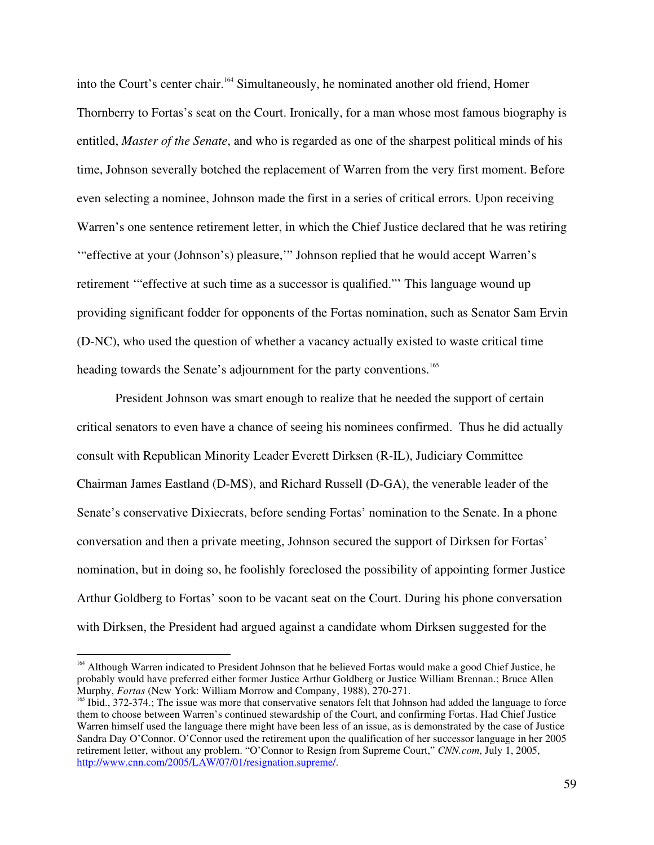into the Court's center chair. 164 Simultaneously, he nominated another old friend, Homer Thornberry to Fortas's seat on the Court. Ironically, for a man whose most famous biography is entitled, *Master of the Senate*, and who is regarded as one of the sharpest political minds of his time, Johnson severally botched the replacement of Warren from the very first moment. Before even selecting a nominee, Johnson made the first in a series of critical errors. Upon receiving Warren's one sentence retirement letter, in which the Chief Justice declared that he was retiring '"effective at your (Johnson's) pleasure,'" Johnson replied that he would accept Warren's retirement '"effective at such time as a successor is qualified."' This language wound up providing significant fodder for opponents of the Fortas nomination, such as Senator Sam Ervin (D-NC), who used the question of whether a vacancy actually existed to waste critical time heading towards the Senate's adjournment for the party conventions.<sup>165</sup>

President Johnson was smart enough to realize that he needed the support of certain critical senators to even have a chance of seeing his nominees confirmed. Thus he did actually consult with Republican Minority Leader Everett Dirksen (R-IL), Judiciary Committee Chairman James Eastland (D-MS), and Richard Russell (D-GA), the venerable leader of the Senate's conservative Dixiecrats, before sending Fortas' nomination to the Senate. In a phone conversation and then a private meeting, Johnson secured the support of Dirksen for Fortas' nomination, but in doing so, he foolishly foreclosed the possibility of appointing former Justice Arthur Goldberg to Fortas' soon to be vacant seat on the Court. During his phone conversation with Dirksen, the President had argued against a candidate whom Dirksen suggested for the

<sup>&</sup>lt;sup>164</sup> Although Warren indicated to President Johnson that he believed Fortas would make a good Chief Justice, he probably would have preferred either former Justice Arthur Goldberg or Justice William Brennan.; Bruce Allen Murphy, *Fortas* (New York: William Morrow and Company, 1988), 270-271.

<sup>&</sup>lt;sup>165</sup> Ibid., 372-374.; The issue was more that conservative senators felt that Johnson had added the language to force them to choose between Warren's continued stewardship of the Court, and confirming Fortas. Had Chief Justice Warren himself used the language there might have been less of an issue, as is demonstrated by the case of Justice Sandra Day O'Connor. O'Connor used the retirement upon the qualification of her successor language in her 2005 retirement letter, without any problem. "O'Connor to Resign from Supreme Court," *CNN.com*, July 1, 2005, http://www.cnn.com/2005/LAW/07/01/resignation.supreme/.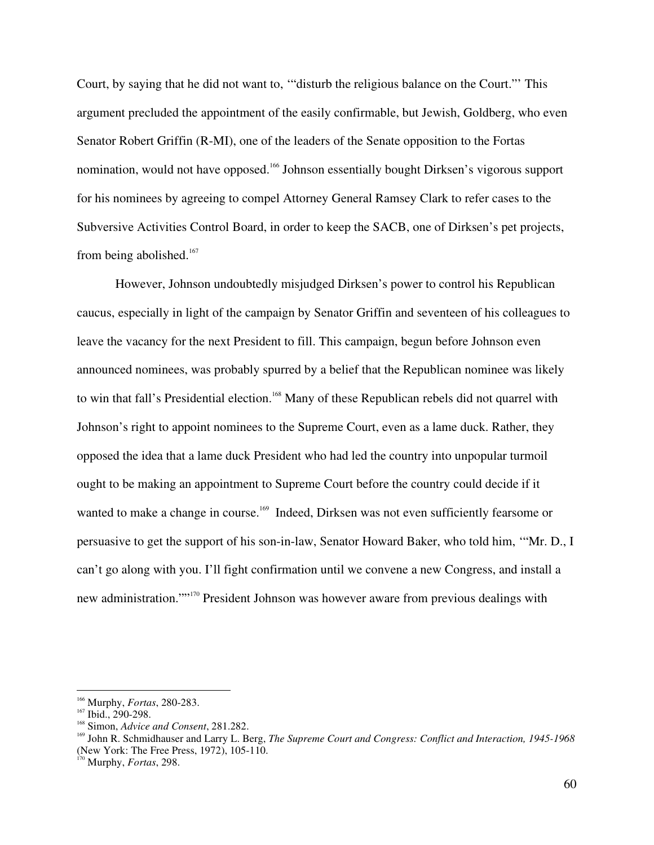Court, by saying that he did not want to, '"disturb the religious balance on the Court."' This argument precluded the appointment of the easily confirmable, but Jewish, Goldberg, who even Senator Robert Griffin (R-MI), one of the leaders of the Senate opposition to the Fortas nomination, would not have opposed.<sup>166</sup> Johnson essentially bought Dirksen's vigorous support for his nominees by agreeing to compel Attorney General Ramsey Clark to refer cases to the Subversive Activities Control Board, in order to keep the SACB, one of Dirksen's pet projects, from being abolished.<sup>167</sup>

However, Johnson undoubtedly misjudged Dirksen's power to control his Republican caucus, especially in light of the campaign by Senator Griffin and seventeen of his colleagues to leave the vacancy for the next President to fill. This campaign, begun before Johnson even announced nominees, was probably spurred by a belief that the Republican nominee was likely to win that fall's Presidential election.<sup>168</sup> Many of these Republican rebels did not quarrel with Johnson's right to appoint nominees to the Supreme Court, even as a lame duck. Rather, they opposed the idea that a lame duck President who had led the country into unpopular turmoil ought to be making an appointment to Supreme Court before the country could decide if it wanted to make a change in course.<sup>169</sup> Indeed, Dirksen was not even sufficiently fearsome or persuasive to get the support of his son-in-law, Senator Howard Baker, who told him, '"Mr. D., I can't go along with you. I'll fight confirmation until we convene a new Congress, and install a new administration.""<sup>170</sup> President Johnson was however aware from previous dealings with

<sup>&</sup>lt;sup>166</sup> Murphy, Fortas, 280-283.

<sup>167</sup> Ibid., 290-298.

<sup>&</sup>lt;sup>168</sup> Simon, *Advice and Consent*, 281.282.

John R. Schmidhauser and Larry L. Berg, *The Supreme Court and Congress: Conflict and Interaction, 1945-1968* (New York: The Free Press, 1972), 105-110.

Murphy, *Fortas*, 298.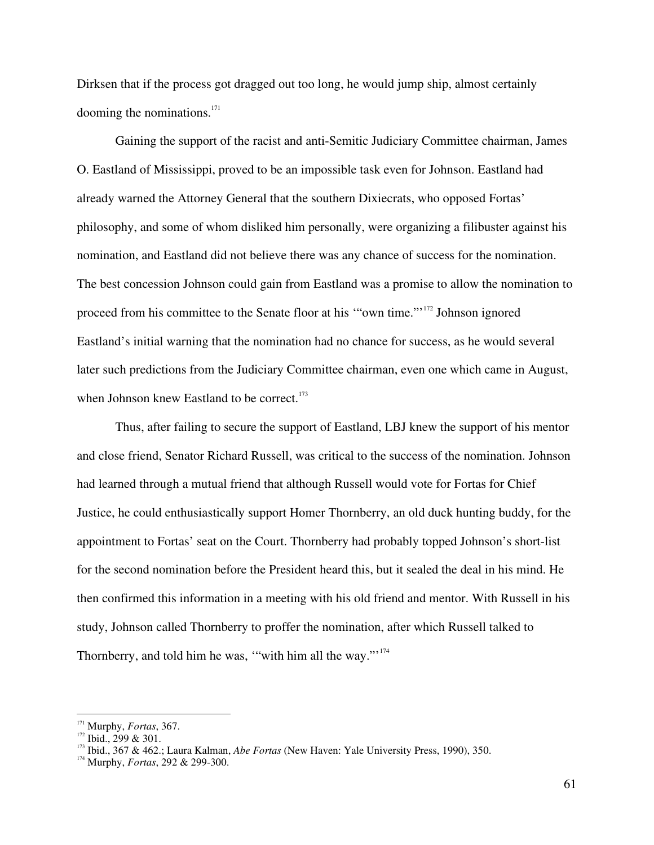Dirksen that if the process got dragged out too long, he would jump ship, almost certainly dooming the nominations. 171

Gaining the support of the racist and anti-Semitic Judiciary Committee chairman, James O. Eastland of Mississippi, proved to be an impossible task even for Johnson. Eastland had already warned the Attorney General that the southern Dixiecrats, who opposed Fortas' philosophy, and some of whom disliked him personally, were organizing a filibuster against his nomination, and Eastland did not believe there was any chance of success for the nomination. The best concession Johnson could gain from Eastland was a promise to allow the nomination to proceed from his committee to the Senate floor at his "own time."<sup>172</sup> Johnson ignored Eastland's initial warning that the nomination had no chance for success, as he would several later such predictions from the Judiciary Committee chairman, even one which came in August, when Johnson knew Eastland to be correct.<sup>173</sup>

Thus, after failing to secure the support of Eastland, LBJ knew the support of his mentor and close friend, Senator Richard Russell, was critical to the success of the nomination. Johnson had learned through a mutual friend that although Russell would vote for Fortas for Chief Justice, he could enthusiastically support Homer Thornberry, an old duck hunting buddy, for the appointment to Fortas' seat on the Court. Thornberry had probably topped Johnson's short-list for the second nomination before the President heard this, but it sealed the deal in his mind. He then confirmed this information in a meeting with his old friend and mentor. With Russell in his study, Johnson called Thornberry to proffer the nomination, after which Russell talked to Thornberry, and told him he was, "with him all the way."<sup>174</sup>

<sup>&</sup>lt;sup>171</sup> Murphy, *Fortas*, 367.

 $\frac{1}{2}$  Ibid., 299 & 301.

<sup>&</sup>lt;sup>173</sup> Ibid., 367 & 462.; Laura Kalman, *Abe Fortas* (New Haven: Yale University Press, 1990), 350.<br><sup>174</sup> Mumber Eartes, 202, 8, 200, 200.

Murphy, *Fortas*, 292 & 299-300.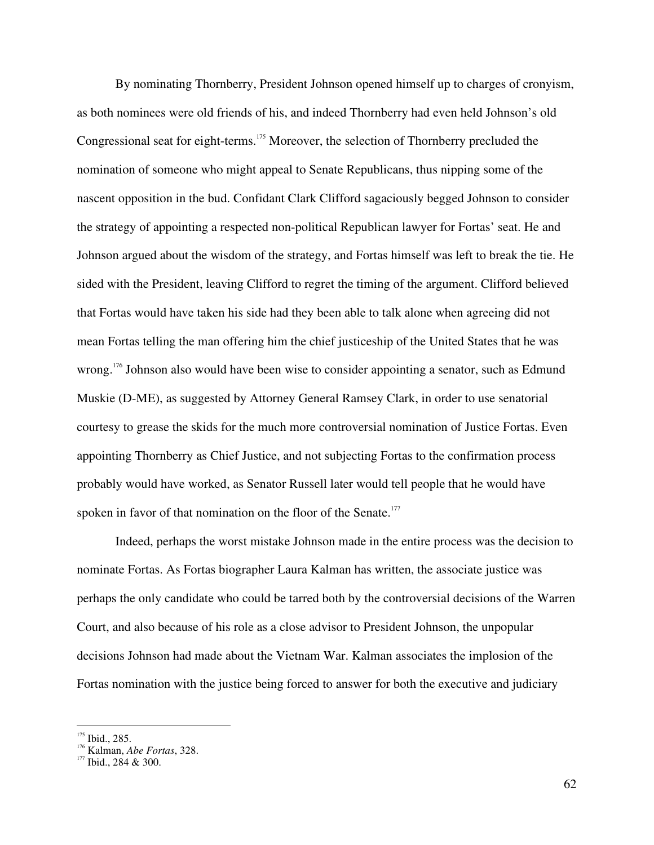By nominating Thornberry, President Johnson opened himself up to charges of cronyism, as both nominees were old friends of his, and indeed Thornberry had even held Johnson's old Congressional seat for eight-terms.<sup>175</sup> Moreover, the selection of Thornberry precluded the nomination of someone who might appeal to Senate Republicans, thus nipping some of the nascent opposition in the bud. Confidant Clark Clifford sagaciously begged Johnson to consider the strategy of appointing a respected non-political Republican lawyer for Fortas' seat. He and Johnson argued about the wisdom of the strategy, and Fortas himself was left to break the tie. He sided with the President, leaving Clifford to regret the timing of the argument. Clifford believed that Fortas would have taken his side had they been able to talk alone when agreeing did not mean Fortas telling the man offering him the chief justiceship of the United States that he was wrong.<sup>176</sup> Johnson also would have been wise to consider appointing a senator, such as Edmund Muskie (D-ME), as suggested by Attorney General Ramsey Clark, in order to use senatorial courtesy to grease the skids for the much more controversial nomination of Justice Fortas. Even appointing Thornberry as Chief Justice, and not subjecting Fortas to the confirmation process probably would have worked, as Senator Russell later would tell people that he would have spoken in favor of that nomination on the floor of the Senate.<sup>177</sup>

Indeed, perhaps the worst mistake Johnson made in the entire process was the decision to nominate Fortas. As Fortas biographer Laura Kalman has written, the associate justice was perhaps the only candidate who could be tarred both by the controversial decisions of the Warren Court, and also because of his role as a close advisor to President Johnson, the unpopular decisions Johnson had made about the Vietnam War. Kalman associates the implosion of the Fortas nomination with the justice being forced to answer for both the executive and judiciary

 $^{175}$  Ibid., 285.

<sup>&</sup>lt;sup>176</sup> Kalman, *Abe Fortas*, 328.<br><sup>177</sup> Ibid., 284 & 300.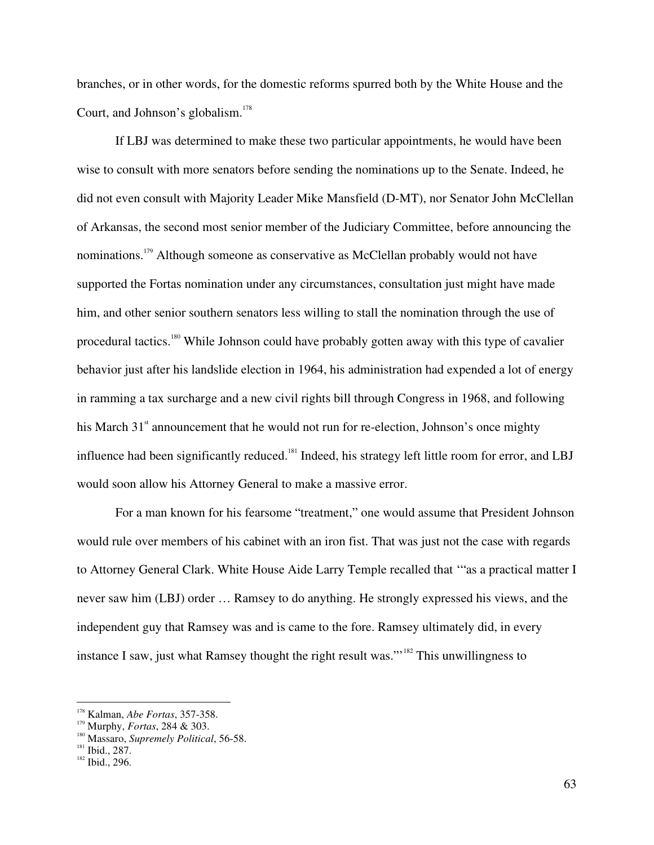branches, or in other words, for the domestic reforms spurred both by the White House and the Court, and Johnson's globalism. 178

If LBJ was determined to make these two particular appointments, he would have been wise to consult with more senators before sending the nominations up to the Senate. Indeed, he did not even consult with Majority Leader Mike Mansfield (D-MT), nor Senator John McClellan of Arkansas, the second most senior member of the Judiciary Committee, before announcing the nominations.<sup>179</sup> Although someone as conservative as McClellan probably would not have supported the Fortas nomination under any circumstances, consultation just might have made him, and other senior southern senators less willing to stall the nomination through the use of procedural tactics.<sup>180</sup> While Johnson could have probably gotten away with this type of cavalier behavior just after his landslide election in 1964, his administration had expended a lot of energy in ramming a tax surcharge and a new civil rights bill through Congress in 1968, and following his March 31<sup>st</sup> announcement that he would not run for re-election, Johnson's once mighty influence had been significantly reduced.<sup>181</sup> Indeed, his strategy left little room for error, and LBJ would soon allow his Attorney General to make a massive error.

For a man known for his fearsome "treatment," one would assume that President Johnson would rule over members of his cabinet with an iron fist. That was just not the case with regards to Attorney General Clark. White House Aide Larry Temple recalled that '"as a practical matter I never saw him (LBJ) order … Ramsey to do anything. He strongly expressed his views, and the independent guy that Ramsey was and is came to the fore. Ramsey ultimately did, in every instance I saw, just what Ramsey thought the right result was."<sup>182</sup> This unwillingness to

<sup>&</sup>lt;sup>178</sup> Kalman, *Abe Fortas*, 357-358.

<sup>&</sup>lt;sup>179</sup> Murphy, *Fortas*, 284 & 303.

<sup>&</sup>lt;sup>180</sup> Massaro, *Supremely Political*, 56-58.

 $\frac{181}{182}$  Ibid., 287.<br>Ibid., 296.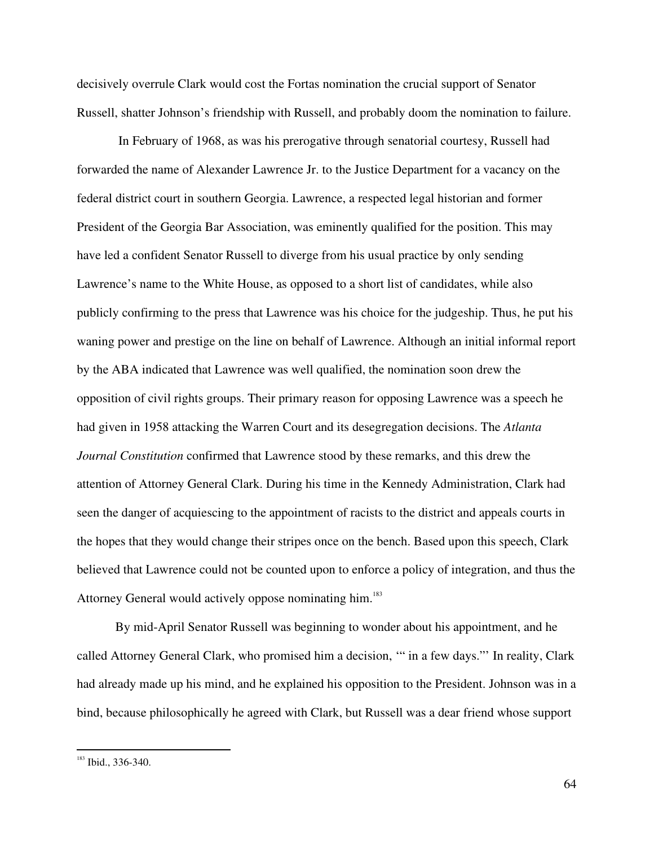decisively overrule Clark would cost the Fortas nomination the crucial support of Senator Russell, shatter Johnson's friendship with Russell, and probably doom the nomination to failure.

In February of 1968, as was his prerogative through senatorial courtesy, Russell had forwarded the name of Alexander Lawrence Jr. to the Justice Department for a vacancy on the federal district court in southern Georgia. Lawrence, a respected legal historian and former President of the Georgia Bar Association, was eminently qualified for the position. This may have led a confident Senator Russell to diverge from his usual practice by only sending Lawrence's name to the White House, as opposed to a short list of candidates, while also publicly confirming to the press that Lawrence was his choice for the judgeship. Thus, he put his waning power and prestige on the line on behalf of Lawrence. Although an initial informal report by the ABA indicated that Lawrence was well qualified, the nomination soon drew the opposition of civil rights groups. Their primary reason for opposing Lawrence was a speech he had given in 1958 attacking the Warren Court and its desegregation decisions. The *Atlanta Journal Constitution* confirmed that Lawrence stood by these remarks, and this drew the attention of Attorney General Clark. During his time in the Kennedy Administration, Clark had seen the danger of acquiescing to the appointment of racists to the district and appeals courts in the hopes that they would change their stripes once on the bench. Based upon this speech, Clark believed that Lawrence could not be counted upon to enforce a policy of integration, and thus the Attorney General would actively oppose nominating him.<sup>183</sup>

By mid-April Senator Russell was beginning to wonder about his appointment, and he called Attorney General Clark, who promised him a decision, '" in a few days."' In reality, Clark had already made up his mind, and he explained his opposition to the President. Johnson was in a bind, because philosophically he agreed with Clark, but Russell was a dear friend whose support

<sup>&</sup>lt;sup>183</sup> Ibid., 336-340.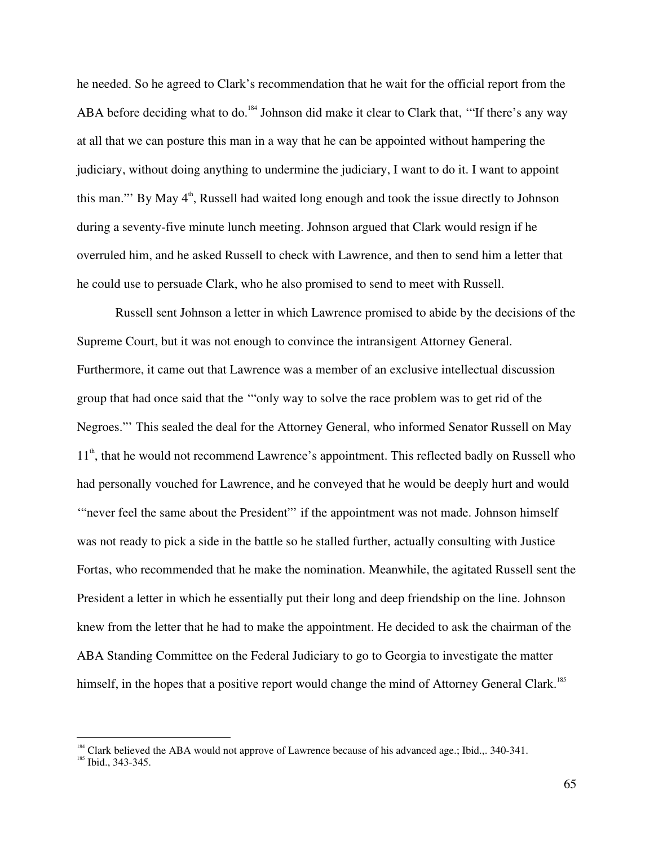he needed. So he agreed to Clark's recommendation that he wait for the official report from the ABA before deciding what to do.<sup>184</sup> Johnson did make it clear to Clark that, "If there's any way at all that we can posture this man in a way that he can be appointed without hampering the judiciary, without doing anything to undermine the judiciary, I want to do it. I want to appoint this man."" By May 4<sup>th</sup>, Russell had waited long enough and took the issue directly to Johnson during a seventy-five minute lunch meeting. Johnson argued that Clark would resign if he overruled him, and he asked Russell to check with Lawrence, and then to send him a letter that he could use to persuade Clark, who he also promised to send to meet with Russell.

Russell sent Johnson a letter in which Lawrence promised to abide by the decisions of the Supreme Court, but it was not enough to convince the intransigent Attorney General. Furthermore, it came out that Lawrence was a member of an exclusive intellectual discussion group that had once said that the '"only way to solve the race problem was to get rid of the Negroes."' This sealed the deal for the Attorney General, who informed Senator Russell on May 11<sup>th</sup>, that he would not recommend Lawrence's appointment. This reflected badly on Russell who had personally vouched for Lawrence, and he conveyed that he would be deeply hurt and would "never feel the same about the President" if the appointment was not made. Johnson himself was not ready to pick a side in the battle so he stalled further, actually consulting with Justice Fortas, who recommended that he make the nomination. Meanwhile, the agitated Russell sent the President a letter in which he essentially put their long and deep friendship on the line. Johnson knew from the letter that he had to make the appointment. He decided to ask the chairman of the ABA Standing Committee on the Federal Judiciary to go to Georgia to investigate the matter himself, in the hopes that a positive report would change the mind of Attorney General Clark.<sup>185</sup>

<sup>&</sup>lt;sup>184</sup> Clark believed the ABA would not approve of Lawrence because of his advanced age.; Ibid.,. 340-341.<br><sup>185</sup> Ibid., 242,245

 $\frac{185}{185}$  Ibid., 343-345.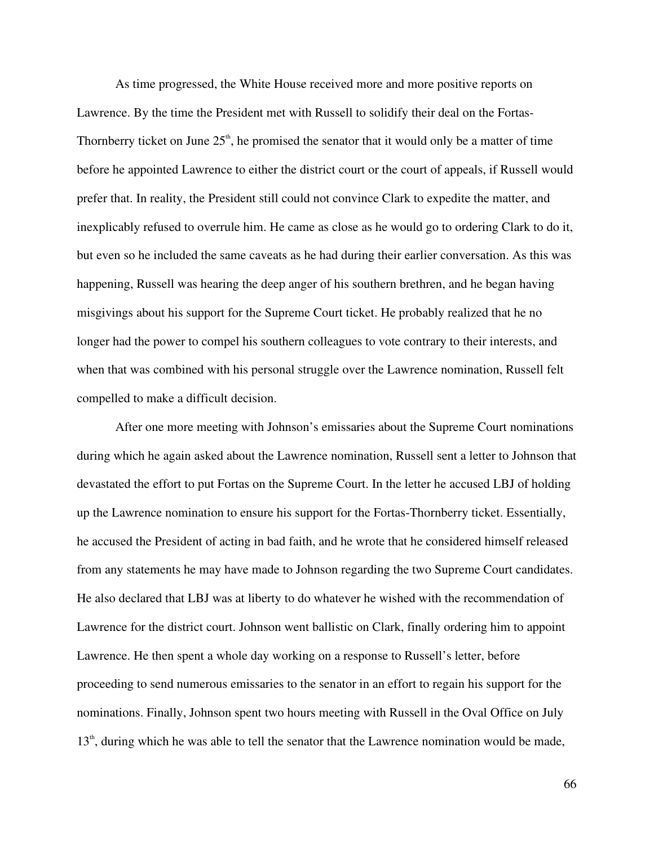As time progressed, the White House received more and more positive reports on Lawrence. By the time the President met with Russell to solidify their deal on the Fortas-Thornberry ticket on June  $25<sup>th</sup>$ , he promised the senator that it would only be a matter of time before he appointed Lawrence to either the district court or the court of appeals, if Russell would prefer that. In reality, the President still could not convince Clark to expedite the matter, and inexplicably refused to overrule him. He came as close as he would go to ordering Clark to do it, but even so he included the same caveats as he had during their earlier conversation. As this was happening, Russell was hearing the deep anger of his southern brethren, and he began having misgivings about his support for the Supreme Court ticket. He probably realized that he no longer had the power to compel his southern colleagues to vote contrary to their interests, and when that was combined with his personal struggle over the Lawrence nomination, Russell felt compelled to make a difficult decision.

After one more meeting with Johnson's emissaries about the Supreme Court nominations during which he again asked about the Lawrence nomination, Russell sent a letter to Johnson that devastated the effort to put Fortas on the Supreme Court. In the letter he accused LBJ of holding up the Lawrence nomination to ensure his support for the Fortas-Thornberry ticket. Essentially, he accused the President of acting in bad faith, and he wrote that he considered himself released from any statements he may have made to Johnson regarding the two Supreme Court candidates. He also declared that LBJ was at liberty to do whatever he wished with the recommendation of Lawrence for the district court. Johnson went ballistic on Clark, finally ordering him to appoint Lawrence. He then spent a whole day working on a response to Russell's letter, before proceeding to send numerous emissaries to the senator in an effort to regain his support for the nominations. Finally, Johnson spent two hours meeting with Russell in the Oval Office on July 13<sup>th</sup>, during which he was able to tell the senator that the Lawrence nomination would be made,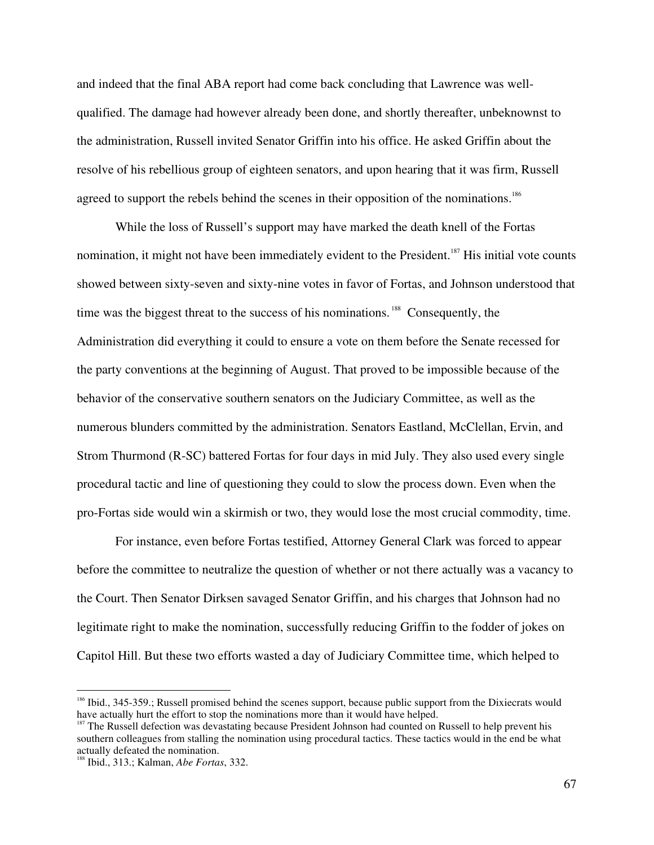and indeed that the final ABA report had come back concluding that Lawrence was wellqualified. The damage had however already been done, and shortly thereafter, unbeknownst to the administration, Russell invited Senator Griffin into his office. He asked Griffin about the resolve of his rebellious group of eighteen senators, and upon hearing that it was firm, Russell agreed to support the rebels behind the scenes in their opposition of the nominations.<sup>186</sup>

While the loss of Russell's support may have marked the death knell of the Fortas nomination, it might not have been immediately evident to the President.<sup>187</sup> His initial vote counts showed between sixty-seven and sixty-nine votes in favor of Fortas, and Johnson understood that time was the biggest threat to the success of his nominations.<sup>188</sup> Consequently, the Administration did everything it could to ensure a vote on them before the Senate recessed for the party conventions at the beginning of August. That proved to be impossible because of the behavior of the conservative southern senators on the Judiciary Committee, as well as the numerous blunders committed by the administration. Senators Eastland, McClellan, Ervin, and Strom Thurmond (R-SC) battered Fortas for four days in mid July. They also used every single procedural tactic and line of questioning they could to slow the process down. Even when the pro-Fortas side would win a skirmish or two, they would lose the most crucial commodity, time.

For instance, even before Fortas testified, Attorney General Clark was forced to appear before the committee to neutralize the question of whether or not there actually was a vacancy to the Court. Then Senator Dirksen savaged Senator Griffin, and his charges that Johnson had no legitimate right to make the nomination, successfully reducing Griffin to the fodder of jokes on Capitol Hill. But these two efforts wasted a day of Judiciary Committee time, which helped to

<sup>&</sup>lt;sup>186</sup> Ibid., 345-359.; Russell promised behind the scenes support, because public support from the Dixiecrats would have actually hurt the effort to stop the nominations more than it would have helped.

 $187$  The Russell defection was devastating because President Johnson had counted on Russell to help prevent his southern colleagues from stalling the nomination using procedural tactics. These tactics would in the end be what actually defeated the nomination. <sup>188</sup> Ibid., 313.; Kalman, *Abe Fortas*, 332.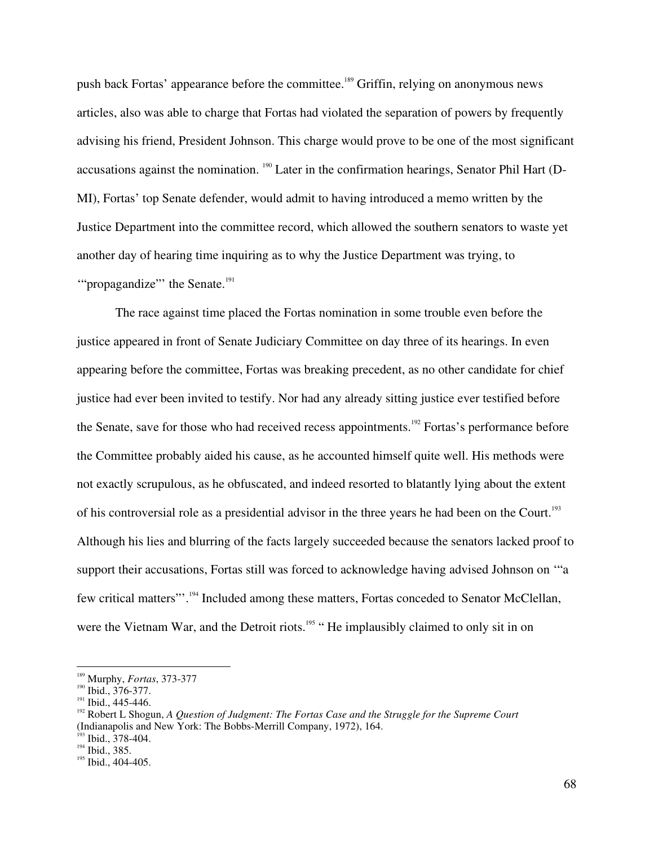push back Fortas' appearance before the committee. 189 Griffin, relying on anonymous news articles, also was able to charge that Fortas had violated the separation of powers by frequently advising his friend, President Johnson. This charge would prove to be one of the most significant accusations against the nomination. <sup>190</sup> Later in the confirmation hearings, Senator Phil Hart (D-MI), Fortas' top Senate defender, would admit to having introduced a memo written by the Justice Department into the committee record, which allowed the southern senators to waste yet another day of hearing time inquiring as to why the Justice Department was trying, to "propagandize" the Senate.<sup>191</sup>

The race against time placed the Fortas nomination in some trouble even before the justice appeared in front of Senate Judiciary Committee on day three of its hearings. In even appearing before the committee, Fortas was breaking precedent, as no other candidate for chief justice had ever been invited to testify. Nor had any already sitting justice ever testified before the Senate, save for those who had received recess appointments.<sup>192</sup> Fortas's performance before the Committee probably aided his cause, as he accounted himself quite well. His methods were not exactly scrupulous, as he obfuscated, and indeed resorted to blatantly lying about the extent of his controversial role as a presidential advisor in the three years he had been on the Court.<sup>193</sup> Although his lies and blurring of the facts largely succeeded because the senators lacked proof to support their accusations, Fortas still was forced to acknowledge having advised Johnson on '"a few critical matters"'.<sup>194</sup> Included among these matters, Fortas conceded to Senator McClellan, were the Vietnam War, and the Detroit riots.<sup>195</sup> "He implausibly claimed to only sit in on

 $193$  Ibid., 378-404.

<sup>&</sup>lt;sup>189</sup> Murphy, *Fortas*, 373-377<br><sup>190</sup> Ibid, 276, 277

 $^{190}$  Ibid., 376-377.<br><sup>191</sup> Ibid., 445-446.

Ibid., 445-446. <sup>192</sup> Robert <sup>L</sup> Shogun, *<sup>A</sup> Question of Judgment: The Fortas Case and the Struggle for the Supreme Court* (Indianapolis and New York: The Bobbs-Merrill Company, 1972), 164.

 $194$  Ibid., 385.

<sup>&</sup>lt;sup>195</sup> Ibid., 404-405.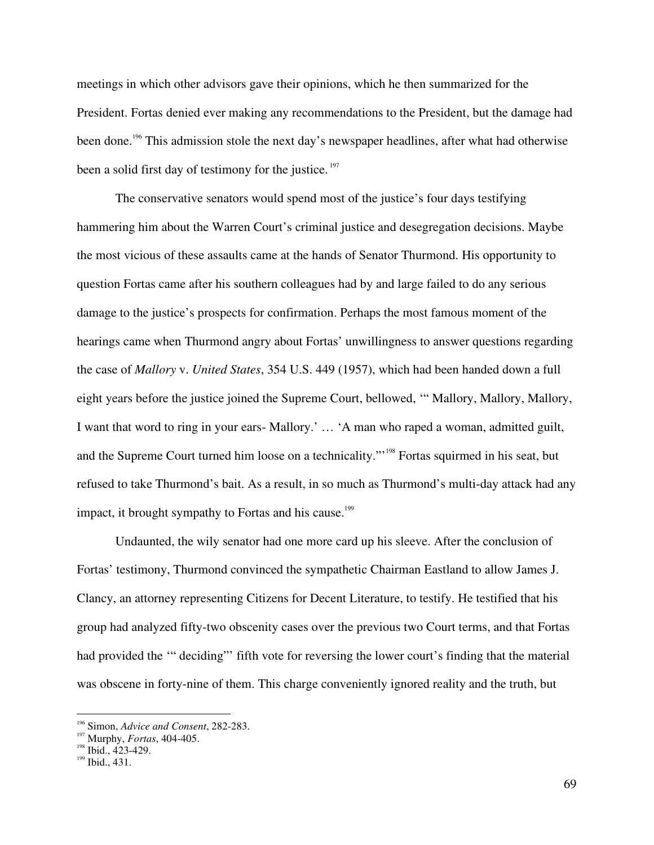meetings in which other advisors gave their opinions, which he then summarized for the President. Fortas denied ever making any recommendations to the President, but the damage had been done.<sup>196</sup> This admission stole the next day's newspaper headlines, after what had otherwise been a solid first day of testimony for the justice.<sup>197</sup>

The conservative senators would spend most of the justice's four days testifying hammering him about the Warren Court's criminal justice and desegregation decisions. Maybe the most vicious of these assaults came at the hands of Senator Thurmond. His opportunity to question Fortas came after his southern colleagues had by and large failed to do any serious damage to the justice's prospects for confirmation. Perhaps the most famous moment of the hearings came when Thurmond angry about Fortas' unwillingness to answer questions regarding the case of *Mallory* v. *United States*, 354 U.S. 449 (1957), which had been handed down a full eight years before the justice joined the Supreme Court, bellowed, '" Mallory, Mallory, Mallory, I want that word to ring in your ears- Mallory.' … 'A man who raped a woman, admitted guilt, and the Supreme Court turned him loose on a technicality."<sup>198</sup> Fortas squirmed in his seat, but refused to take Thurmond's bait. As a result, in so much as Thurmond's multi-day attack had any impact, it brought sympathy to Fortas and his cause.<sup>199</sup>

Undaunted, the wily senator had one more card up his sleeve. After the conclusion of Fortas' testimony, Thurmond convinced the sympathetic Chairman Eastland to allow James J. Clancy, an attorney representing Citizens for Decent Literature, to testify. He testified that his group had analyzed fifty-two obscenity cases over the previous two Court terms, and that Fortas had provided the "" deciding" fifth vote for reversing the lower court's finding that the material was obscene in forty-nine of them. This charge conveniently ignored reality and the truth, but

<sup>&</sup>lt;sup>196</sup> Simon, *Advice and Consent*, 282-283.

<sup>&</sup>lt;sup>197</sup> Murphy, *Fortas*, 404-405.

<sup>&</sup>lt;sup>198</sup> Ibid., 423-429.<br><sup>199</sup> Ibid., 421

 $199$  Ibid., 431.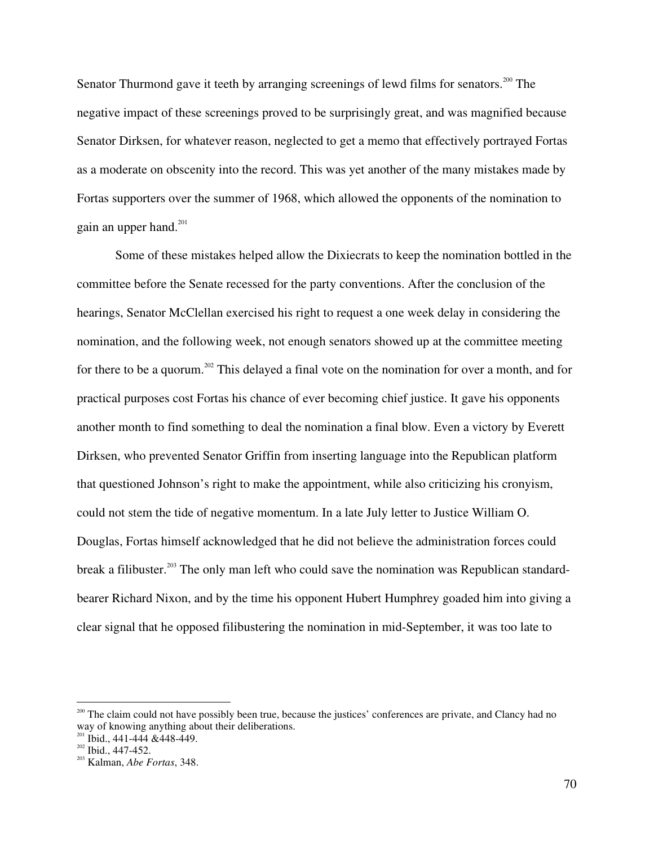Senator Thurmond gave it teeth by arranging screenings of lewd films for senators.<sup>200</sup> The negative impact of these screenings proved to be surprisingly great, and was magnified because Senator Dirksen, for whatever reason, neglected to get a memo that effectively portrayed Fortas as a moderate on obscenity into the record. This was yet another of the many mistakes made by Fortas supporters over the summer of 1968, which allowed the opponents of the nomination to gain an upper hand.<sup>201</sup>

Some of these mistakes helped allow the Dixiecrats to keep the nomination bottled in the committee before the Senate recessed for the party conventions. After the conclusion of the hearings, Senator McClellan exercised his right to request a one week delay in considering the nomination, and the following week, not enough senators showed up at the committee meeting for there to be a quorum.<sup>202</sup> This delayed a final vote on the nomination for over a month, and for practical purposes cost Fortas his chance of ever becoming chief justice. It gave his opponents another month to find something to deal the nomination a final blow. Even a victory by Everett Dirksen, who prevented Senator Griffin from inserting language into the Republican platform that questioned Johnson's right to make the appointment, while also criticizing his cronyism, could not stem the tide of negative momentum. In a late July letter to Justice William O. Douglas, Fortas himself acknowledged that he did not believe the administration forces could break a filibuster.<sup>203</sup> The only man left who could save the nomination was Republican standardbearer Richard Nixon, and by the time his opponent Hubert Humphrey goaded him into giving a clear signal that he opposed filibustering the nomination in mid-September, it was too late to

<sup>&</sup>lt;sup>200</sup> The claim could not have possibly been true, because the justices' conferences are private, and Clancy had no way of knowing anything about their deliberations.

 $^{201}$  Ibid., 441-444 & 448-449.

 $^{202}$  Ibid., 447-452.

Kalman, *Abe Fortas*, 348.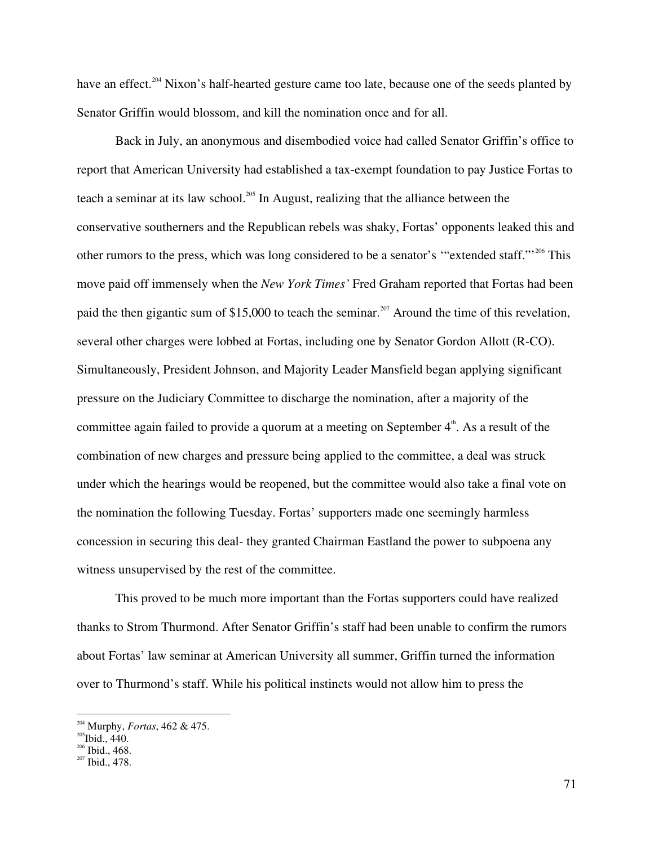have an effect.<sup>204</sup> Nixon's half-hearted gesture came too late, because one of the seeds planted by Senator Griffin would blossom, and kill the nomination once and for all.

Back in July, an anonymous and disembodied voice had called Senator Griffin's office to report that American University had established a tax-exempt foundation to pay Justice Fortas to teach a seminar at its law school.<sup>205</sup> In August, realizing that the alliance between the conservative southerners and the Republican rebels was shaky, Fortas' opponents leaked this and other rumors to the press, which was long considered to be a senator's "extended staff."<sup>206</sup> This move paid off immensely when the *New York Times'* Fred Graham reported that Fortas had been paid the then gigantic sum of \$15,000 to teach the seminar.<sup>207</sup> Around the time of this revelation, several other charges were lobbed at Fortas, including one by Senator Gordon Allott (R-CO). Simultaneously, President Johnson, and Majority Leader Mansfield began applying significant pressure on the Judiciary Committee to discharge the nomination, after a majority of the committee again failed to provide a quorum at a meeting on September  $4^{\text{th}}$ . As a result of the combination of new charges and pressure being applied to the committee, a deal was struck under which the hearings would be reopened, but the committee would also take a final vote on the nomination the following Tuesday. Fortas' supporters made one seemingly harmless concession in securing this deal- they granted Chairman Eastland the power to subpoena any witness unsupervised by the rest of the committee.

This proved to be much more important than the Fortas supporters could have realized thanks to Strom Thurmond. After Senator Griffin's staff had been unable to confirm the rumors about Fortas' law seminar at American University all summer, Griffin turned the information over to Thurmond's staff. While his political instincts would not allow him to press the

<sup>&</sup>lt;sup>204</sup> Murphy, *Fortas*, 462 & 475.

<sup>&</sup>lt;sup>205</sup>Ibid., 440.<br><sup>206</sup> H.: 4, 469.

<sup>&</sup>lt;sup>206</sup> Ibid., 468.<br><sup>207</sup> Ibid., 478.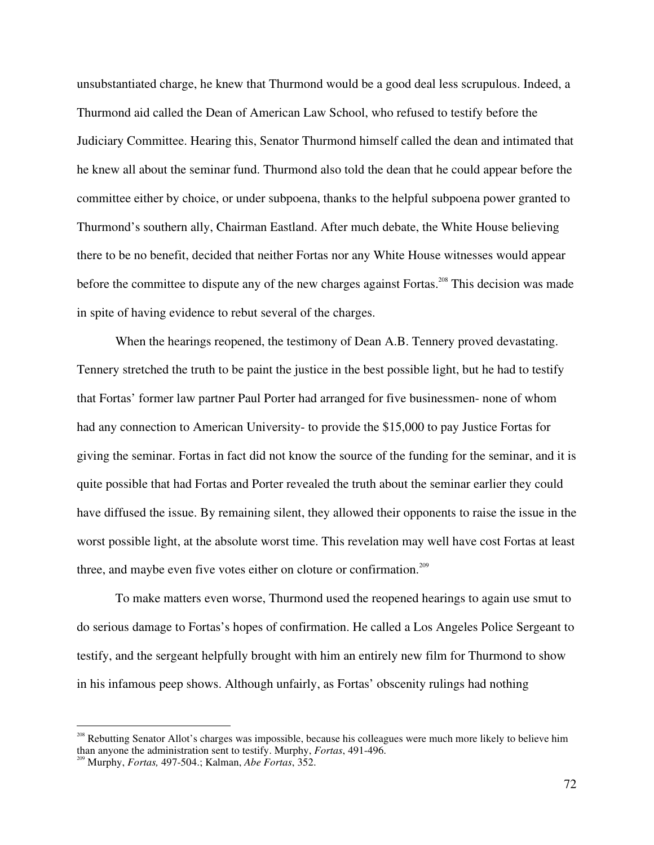unsubstantiated charge, he knew that Thurmond would be a good deal less scrupulous. Indeed, a Thurmond aid called the Dean of American Law School, who refused to testify before the Judiciary Committee. Hearing this, Senator Thurmond himself called the dean and intimated that he knew all about the seminar fund. Thurmond also told the dean that he could appear before the committee either by choice, or under subpoena, thanks to the helpful subpoena power granted to Thurmond's southern ally, Chairman Eastland. After much debate, the White House believing there to be no benefit, decided that neither Fortas nor any White House witnesses would appear before the committee to dispute any of the new charges against Fortas.<sup>208</sup> This decision was made in spite of having evidence to rebut several of the charges.

When the hearings reopened, the testimony of Dean A.B. Tennery proved devastating. Tennery stretched the truth to be paint the justice in the best possible light, but he had to testify that Fortas' former law partner Paul Porter had arranged for five businessmen- none of whom had any connection to American University- to provide the \$15,000 to pay Justice Fortas for giving the seminar. Fortas in fact did not know the source of the funding for the seminar, and it is quite possible that had Fortas and Porter revealed the truth about the seminar earlier they could have diffused the issue. By remaining silent, they allowed their opponents to raise the issue in the worst possible light, at the absolute worst time. This revelation may well have cost Fortas at least three, and maybe even five votes either on cloture or confirmation.<sup>209</sup>

To make matters even worse, Thurmond used the reopened hearings to again use smut to do serious damage to Fortas's hopes of confirmation. He called a Los Angeles Police Sergeant to testify, and the sergeant helpfully brought with him an entirely new film for Thurmond to show in his infamous peep shows. Although unfairly, as Fortas' obscenity rulings had nothing

<sup>&</sup>lt;sup>208</sup> Rebutting Senator Allot's charges was impossible, because his colleagues were much more likely to believe him than anyone the administration sent to testify. Murphy, *Fortas*, 491-496.

Murphy, *Fortas,* 497-504.; Kalman, *Abe Fortas*, 352.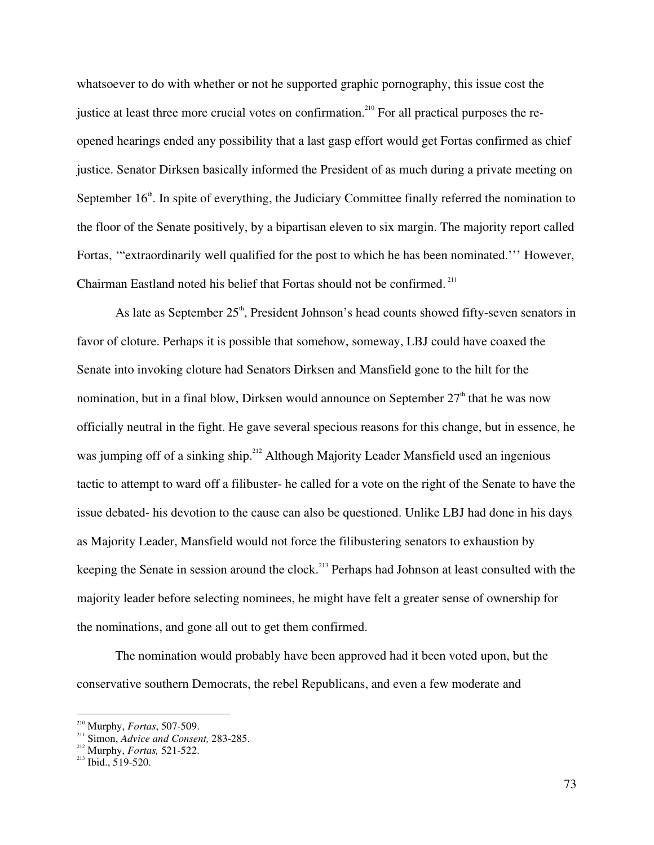whatsoever to do with whether or not he supported graphic pornography, this issue cost the justice at least three more crucial votes on confirmation.<sup>210</sup> For all practical purposes the reopened hearings ended any possibility that a last gasp effort would get Fortas confirmed as chief justice. Senator Dirksen basically informed the President of as much during a private meeting on September  $16<sup>th</sup>$ . In spite of everything, the Judiciary Committee finally referred the nomination to the floor of the Senate positively, by a bipartisan eleven to six margin. The majority report called Fortas, '"extraordinarily well qualified for the post to which he has been nominated.''' However, Chairman Eastland noted his belief that Fortas should not be confirmed.<sup>211</sup>

As late as September  $25<sup>th</sup>$ , President Johnson's head counts showed fifty-seven senators in favor of cloture. Perhaps it is possible that somehow, someway, LBJ could have coaxed the Senate into invoking cloture had Senators Dirksen and Mansfield gone to the hilt for the nomination, but in a final blow, Dirksen would announce on September  $27<sup>th</sup>$  that he was now officially neutral in the fight. He gave several specious reasons for this change, but in essence, he was jumping off of a sinking ship.<sup>212</sup> Although Majority Leader Mansfield used an ingenious tactic to attempt to ward off a filibuster- he called for a vote on the right of the Senate to have the issue debated- his devotion to the cause can also be questioned. Unlike LBJ had done in his days as Majority Leader, Mansfield would not force the filibustering senators to exhaustion by keeping the Senate in session around the clock.<sup>213</sup> Perhaps had Johnson at least consulted with the majority leader before selecting nominees, he might have felt a greater sense of ownership for the nominations, and gone all out to get them confirmed.

The nomination would probably have been approved had it been voted upon, but the conservative southern Democrats, the rebel Republicans, and even a few moderate and

 $^{210}$  Murphy, *Fortas*, 507-509. <sup>210</sup> Murphy, *Fortas*, 507-509.

<sup>&</sup>lt;sup>211</sup> Simon, *Advice and Consent*, 283-285.<br><sup>212</sup> Magnha *Eastas 5*21-522.

<sup>&</sup>lt;sup>212</sup> Murphy, *Fortas*, 521-522.

 $^{111}$ Ibid., 519-520.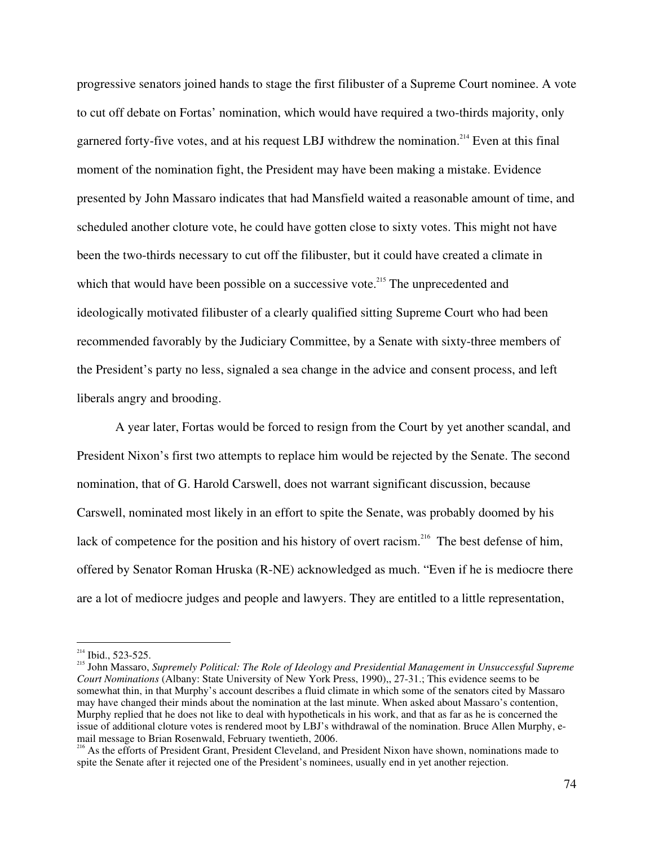progressive senators joined hands to stage the first filibuster of a Supreme Court nominee. A vote to cut off debate on Fortas' nomination, which would have required a two-thirds majority, only garnered forty-five votes, and at his request LBJ withdrew the nomination.<sup>214</sup> Even at this final moment of the nomination fight, the President may have been making a mistake. Evidence presented by John Massaro indicates that had Mansfield waited a reasonable amount of time, and scheduled another cloture vote, he could have gotten close to sixty votes. This might not have been the two-thirds necessary to cut off the filibuster, but it could have created a climate in which that would have been possible on a successive vote.<sup>215</sup> The unprecedented and ideologically motivated filibuster of a clearly qualified sitting Supreme Court who had been recommended favorably by the Judiciary Committee, by a Senate with sixty-three members of the President's party no less, signaled a sea change in the advice and consent process, and left liberals angry and brooding.

A year later, Fortas would be forced to resign from the Court by yet another scandal, and President Nixon's first two attempts to replace him would be rejected by the Senate. The second nomination, that of G. Harold Carswell, does not warrant significant discussion, because Carswell, nominated most likely in an effort to spite the Senate, was probably doomed by his lack of competence for the position and his history of overt racism.<sup>216</sup> The best defense of him, offered by Senator Roman Hruska (R-NE) acknowledged as much. "Even if he is mediocre there are a lot of mediocre judges and people and lawyers. They are entitled to a little representation,

 $214$  Ibid., 523-525.

John Massaro, *Supremely Political: The Role of Ideology and Presidential Management in Unsuccessful Supreme Court Nominations* (Albany: State University of New York Press, 1990),, 27-31.; This evidence seems to be somewhat thin, in that Murphy's account describes a fluid climate in which some of the senators cited by Massaro may have changed their minds about the nomination at the last minute. When asked about Massaro's contention, Murphy replied that he does not like to deal with hypotheticals in his work, and that as far as he is concerned the issue of additional cloture votes is rendered moot by LBJ's withdrawal of the nomination. Bruce Allen Murphy, e-

mail message to Brian Rosenwald, February twentieth, 2006.<br><sup>216</sup> As the efforts of President Grant, President Cleveland, and President Nixon have shown, nominations made to spite the Senate after it rejected one of the President's nominees, usually end in yet another rejection.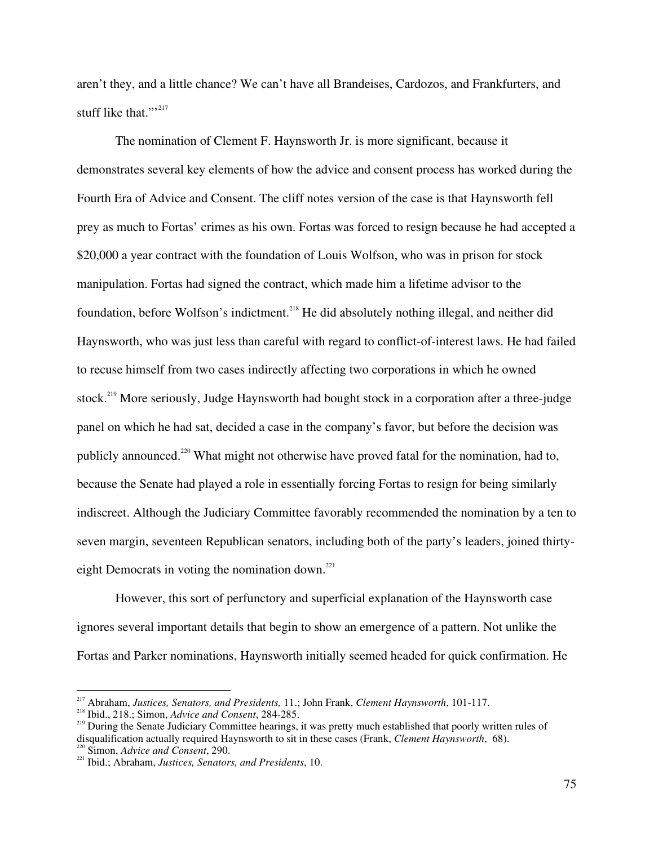aren't they, and a little chance? We can't have all Brandeises, Cardozos, and Frankfurters, and stuff like that."<sup>"</sup>

The nomination of Clement F. Haynsworth Jr. is more significant, because it demonstrates several key elements of how the advice and consent process has worked during the Fourth Era of Advice and Consent. The cliff notes version of the case is that Haynsworth fell prey as much to Fortas' crimes as his own. Fortas was forced to resign because he had accepted a \$20,000 a year contract with the foundation of Louis Wolfson, who was in prison for stock manipulation. Fortas had signed the contract, which made him a lifetime advisor to the foundation, before Wolfson's indictment.<sup>218</sup> He did absolutely nothing illegal, and neither did Haynsworth, who was just less than careful with regard to conflict-of-interest laws. He had failed to recuse himself from two cases indirectly affecting two corporations in which he owned stock. 219 More seriously, Judge Haynsworth had bought stock in a corporation after a three-judge panel on which he had sat, decided a case in the company's favor, but before the decision was publicly announced.<sup>220</sup> What might not otherwise have proved fatal for the nomination, had to, because the Senate had played a role in essentially forcing Fortas to resign for being similarly indiscreet. Although the Judiciary Committee favorably recommended the nomination by a ten to seven margin, seventeen Republican senators, including both of the party's leaders, joined thirtyeight Democrats in voting the nomination down.<sup>221</sup>

However, this sort of perfunctory and superficial explanation of the Haynsworth case ignores several important details that begin to show an emergence of a pattern. Not unlike the Fortas and Parker nominations, Haynsworth initially seemed headed for quick confirmation. He

<sup>217</sup> Abraham, *Justices, Senators, and Presidents,* 11.; John Frank, *Clement Haynsworth*, 101-117. <sup>218</sup> Ibid., 218.; Simon, *Advice and Consent*, 284-285. <sup>219</sup>

<sup>&</sup>lt;sup>219</sup> During the Senate Judiciary Committee hearings, it was pretty much established that poorly written rules of disqualification actually required Haynsworth to sit in these cases (Frank, *Clement Haynsworth*, 68).

<sup>&</sup>lt;sup>220</sup> Simon, *Advice and Consent*, 290.<br><sup>221</sup> Ibid.; Abraham, *Justices, Senators, and Presidents*, 10.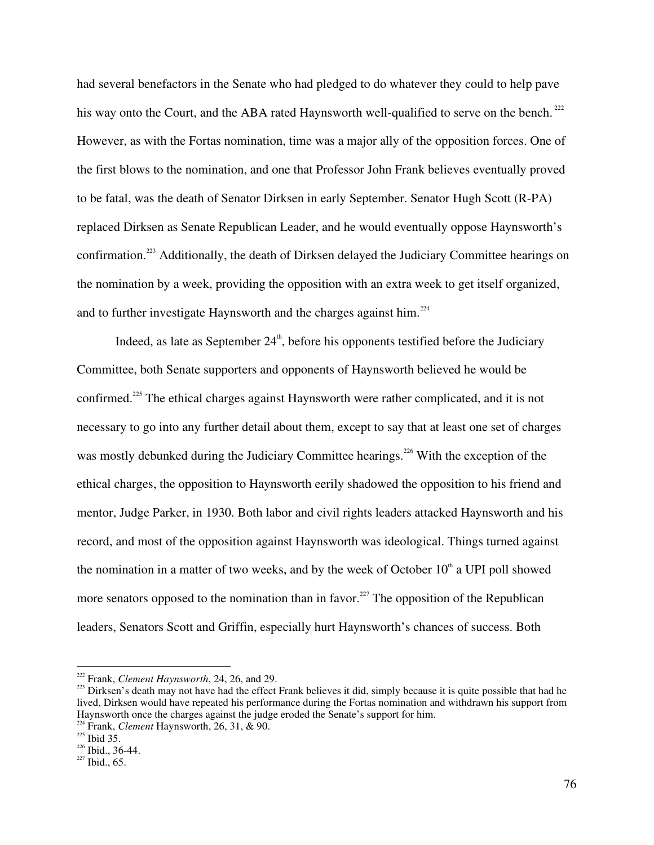had several benefactors in the Senate who had pledged to do whatever they could to help pave his way onto the Court, and the ABA rated Haynsworth well-qualified to serve on the bench.<sup>222</sup> However, as with the Fortas nomination, time was a major ally of the opposition forces. One of the first blows to the nomination, and one that Professor John Frank believes eventually proved to be fatal, was the death of Senator Dirksen in early September. Senator Hugh Scott (R-PA) replaced Dirksen as Senate Republican Leader, and he would eventually oppose Haynsworth's confirmation.<sup>223</sup> Additionally, the death of Dirksen delayed the Judiciary Committee hearings on the nomination by a week, providing the opposition with an extra week to get itself organized, and to further investigate Haynsworth and the charges against him.<sup>224</sup>

Indeed, as late as September  $24^{\text{th}}$ , before his opponents testified before the Judiciary Committee, both Senate supporters and opponents of Haynsworth believed he would be confirmed.<sup>225</sup> The ethical charges against Haynsworth were rather complicated, and it is not necessary to go into any further detail about them, except to say that at least one set of charges was mostly debunked during the Judiciary Committee hearings.<sup>226</sup> With the exception of the ethical charges, the opposition to Haynsworth eerily shadowed the opposition to his friend and mentor, Judge Parker, in 1930. Both labor and civil rights leaders attacked Haynsworth and his record, and most of the opposition against Haynsworth was ideological. Things turned against the nomination in a matter of two weeks, and by the week of October  $10<sup>th</sup>$  a UPI poll showed more senators opposed to the nomination than in favor.<sup>227</sup> The opposition of the Republican leaders, Senators Scott and Griffin, especially hurt Haynsworth's chances of success. Both

<sup>&</sup>lt;sup>222</sup> Frank, *Clement Haynsworth*, 24, 26, and 29.<br><sup>223</sup> Dirkson's dooth may not have had the effect

<sup>&</sup>lt;sup>223</sup> Dirksen's death may not have had the effect Frank believes it did, simply because it is quite possible that had he lived, Dirksen would have repeated his performance during the Fortas nomination and withdrawn his support from Haynsworth once the charges against the judge eroded the Senate's support for him.

 $^{224}$  Frank, *Clement* Haynsworth, 26, 31, & 90.

<sup>&</sup>lt;sup>225</sup> Ibid 35.<br><sup>226</sup> Ibid 26

 $^{226}$  Ibid., 36-44.<br> $^{227}$  Ibid., 65.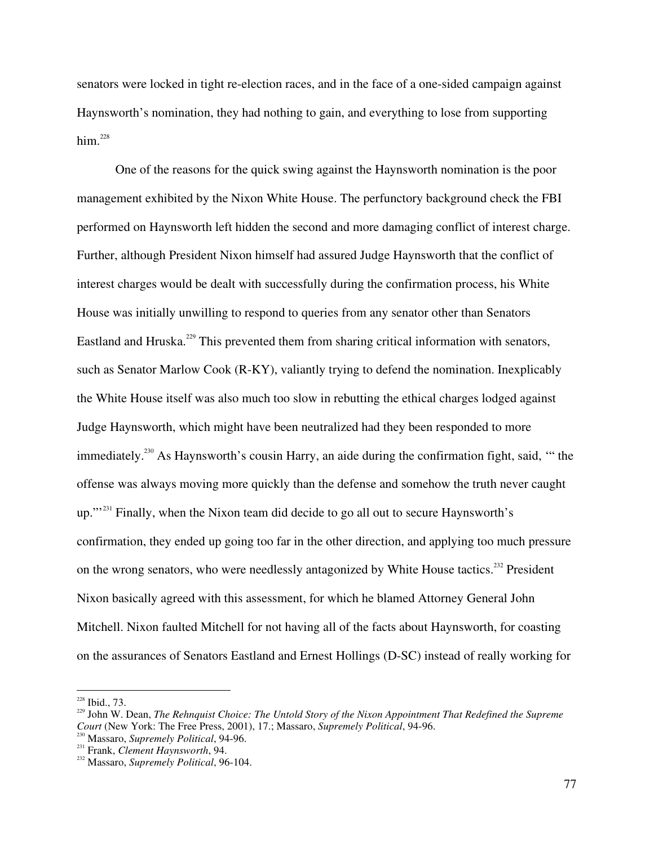senators were locked in tight re-election races, and in the face of a one-sided campaign against Haynsworth's nomination, they had nothing to gain, and everything to lose from supporting him. 228

One of the reasons for the quick swing against the Haynsworth nomination is the poor management exhibited by the Nixon White House. The perfunctory background check the FBI performed on Haynsworth left hidden the second and more damaging conflict of interest charge. Further, although President Nixon himself had assured Judge Haynsworth that the conflict of interest charges would be dealt with successfully during the confirmation process, his White House was initially unwilling to respond to queries from any senator other than Senators Eastland and Hruska.<sup>229</sup> This prevented them from sharing critical information with senators, such as Senator Marlow Cook (R-KY), valiantly trying to defend the nomination. Inexplicably the White House itself was also much too slow in rebutting the ethical charges lodged against Judge Haynsworth, which might have been neutralized had they been responded to more immediately.<sup>230</sup> As Haynsworth's cousin Harry, an aide during the confirmation fight, said, "" the offense was always moving more quickly than the defense and somehow the truth never caught up."<sup>231</sup> Finally, when the Nixon team did decide to go all out to secure Haynsworth's confirmation, they ended up going too far in the other direction, and applying too much pressure on the wrong senators, who were needlessly antagonized by White House tactics.<sup>232</sup> President Nixon basically agreed with this assessment, for which he blamed Attorney General John Mitchell. Nixon faulted Mitchell for not having all of the facts about Haynsworth, for coasting on the assurances of Senators Eastland and Ernest Hollings (D-SC) instead of really working for

 $228$  Ibid., 73.

Ibid., 73. <sup>229</sup> John W. Dean, *The Rehnquist Choice: The Untold Story of the Nixon Appointment That Redefined the Supreme Court* (New York: The Free Press, 2001), 17.; Massaro, *Supremely Political*, 94-96. <sup>230</sup>

<sup>&</sup>lt;sup>230</sup> Massaro, *Supremely Political*, 94-96.<br><sup>231</sup> Frank, *Clauset Hauroward,* 94.

<sup>&</sup>lt;sup>231</sup> Frank, *Clement Haynsworth*, 94.

Massaro, *Supremely Political*, 96-104.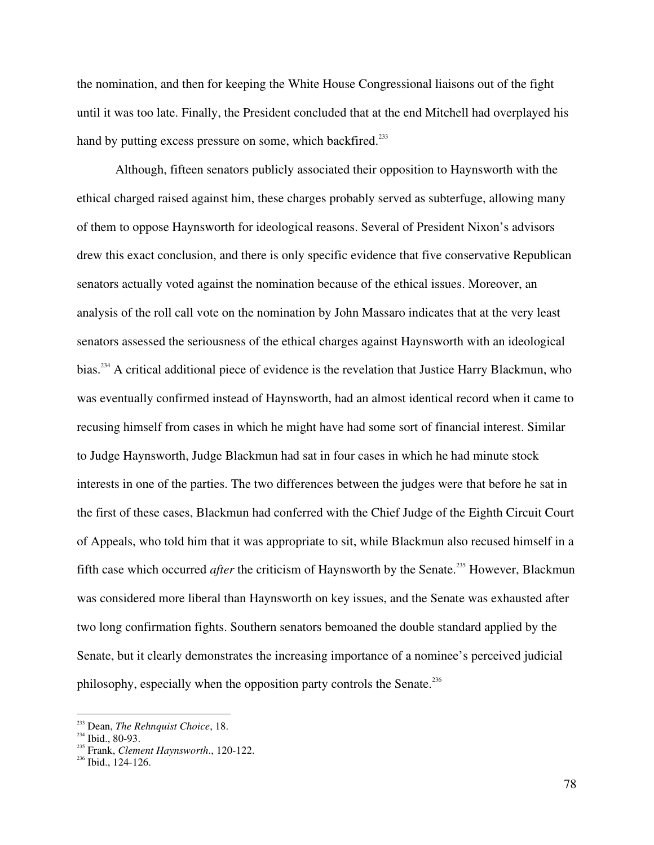the nomination, and then for keeping the White House Congressional liaisons out of the fight until it was too late. Finally, the President concluded that at the end Mitchell had overplayed his hand by putting excess pressure on some, which backfired.<sup>233</sup>

Although, fifteen senators publicly associated their opposition to Haynsworth with the ethical charged raised against him, these charges probably served as subterfuge, allowing many of them to oppose Haynsworth for ideological reasons. Several of President Nixon's advisors drew this exact conclusion, and there is only specific evidence that five conservative Republican senators actually voted against the nomination because of the ethical issues. Moreover, an analysis of the roll call vote on the nomination by John Massaro indicates that at the very least senators assessed the seriousness of the ethical charges against Haynsworth with an ideological bias.<sup>234</sup> A critical additional piece of evidence is the revelation that Justice Harry Blackmun, who was eventually confirmed instead of Haynsworth, had an almost identical record when it came to recusing himself from cases in which he might have had some sort of financial interest. Similar to Judge Haynsworth, Judge Blackmun had sat in four cases in which he had minute stock interests in one of the parties. The two differences between the judges were that before he sat in the first of these cases, Blackmun had conferred with the Chief Judge of the Eighth Circuit Court of Appeals, who told him that it was appropriate to sit, while Blackmun also recused himself in a fifth case which occurred *after* the criticism of Haynsworth by the Senate.<sup>235</sup> However, Blackmun was considered more liberal than Haynsworth on key issues, and the Senate was exhausted after two long confirmation fights. Southern senators bemoaned the double standard applied by the Senate, but it clearly demonstrates the increasing importance of a nominee's perceived judicial philosophy, especially when the opposition party controls the Senate.<sup>236</sup>

<sup>&</sup>lt;sup>233</sup> Dean, *The Rehnquist Choice*, 18. <sup>233</sup> Dean, *The Rehnquist Choice*, 18.<br><sup>234</sup> Ibid. 80.03

 $\frac{234}{235}$  Ibid., 80-93.

<sup>&</sup>lt;sup>235</sup> Frank, *Clement Haynsworth.*, 120-122.<br><sup>236</sup> Ibid., 124-126.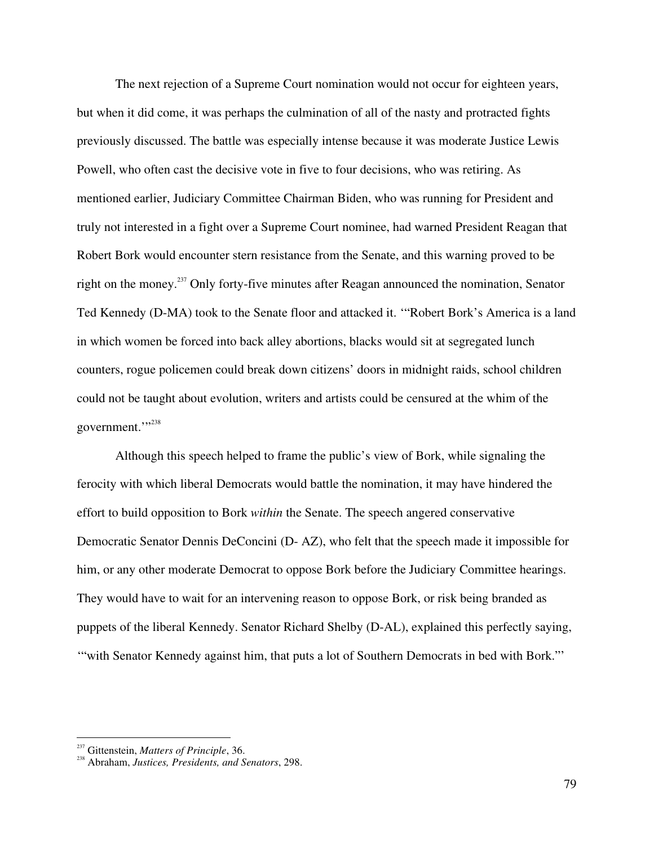The next rejection of a Supreme Court nomination would not occur for eighteen years, but when it did come, it was perhaps the culmination of all of the nasty and protracted fights previously discussed. The battle was especially intense because it was moderate Justice Lewis Powell, who often cast the decisive vote in five to four decisions, who was retiring. As mentioned earlier, Judiciary Committee Chairman Biden, who was running for President and truly not interested in a fight over a Supreme Court nominee, had warned President Reagan that Robert Bork would encounter stern resistance from the Senate, and this warning proved to be right on the money.<sup>237</sup> Only forty-five minutes after Reagan announced the nomination, Senator Ted Kennedy (D-MA) took to the Senate floor and attacked it. '"Robert Bork's America is a land in which women be forced into back alley abortions, blacks would sit at segregated lunch counters, rogue policemen could break down citizens' doors in midnight raids, school children could not be taught about evolution, writers and artists could be censured at the whim of the government.""

Although this speech helped to frame the public's view of Bork, while signaling the ferocity with which liberal Democrats would battle the nomination, it may have hindered the effort to build opposition to Bork *within* the Senate. The speech angered conservative Democratic Senator Dennis DeConcini (D- AZ), who felt that the speech made it impossible for him, or any other moderate Democrat to oppose Bork before the Judiciary Committee hearings. They would have to wait for an intervening reason to oppose Bork, or risk being branded as puppets of the liberal Kennedy. Senator Richard Shelby (D-AL), explained this perfectly saying, '"with Senator Kennedy against him, that puts a lot of Southern Democrats in bed with Bork."'

<sup>&</sup>lt;sup>237</sup> Gittenstein, *Matters of Principle*, 36.

Abraham, *Justices, Presidents, and Senators*, 298.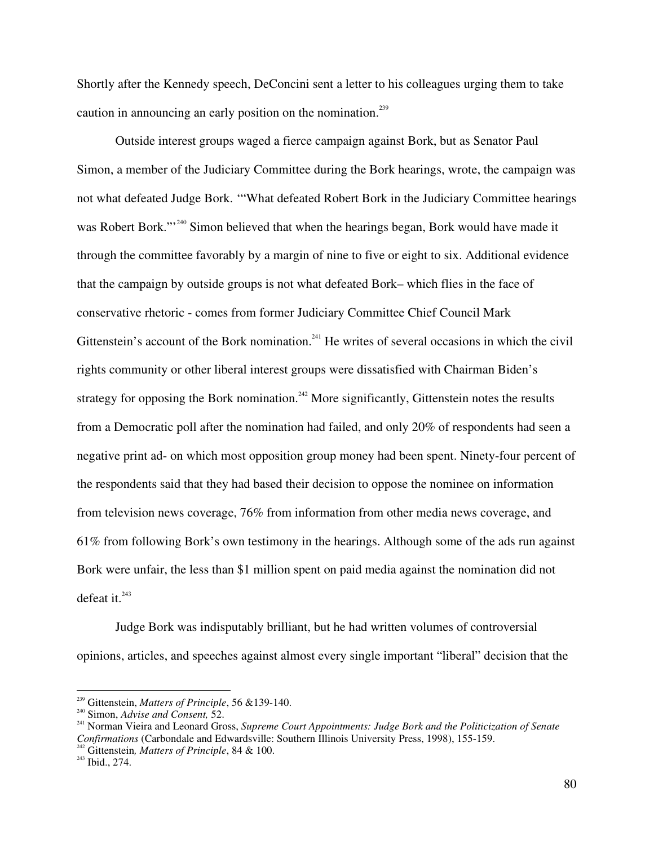Shortly after the Kennedy speech, DeConcini sent a letter to his colleagues urging them to take caution in announcing an early position on the nomination.<sup>239</sup>

Outside interest groups waged a fierce campaign against Bork, but as Senator Paul Simon, a member of the Judiciary Committee during the Bork hearings, wrote, the campaign was not what defeated Judge Bork. '"What defeated Robert Bork in the Judiciary Committee hearings was Robert Bork."<sup>240</sup> Simon believed that when the hearings began, Bork would have made it through the committee favorably by a margin of nine to five or eight to six. Additional evidence that the campaign by outside groups is not what defeated Bork– which flies in the face of conservative rhetoric - comes from former Judiciary Committee Chief Council Mark Gittenstein's account of the Bork nomination.<sup>241</sup> He writes of several occasions in which the civil rights community or other liberal interest groups were dissatisfied with Chairman Biden's strategy for opposing the Bork nomination.<sup>242</sup> More significantly, Gittenstein notes the results from a Democratic poll after the nomination had failed, and only 20% of respondents had seen a negative print ad- on which most opposition group money had been spent. Ninety-four percent of the respondents said that they had based their decision to oppose the nominee on information from television news coverage, 76% from information from other media news coverage, and 61% from following Bork's own testimony in the hearings. Although some of the ads run against Bork were unfair, the less than \$1 million spent on paid media against the nomination did not defeat it. 243

Judge Bork was indisputably brilliant, but he had written volumes of controversial opinions, articles, and speeches against almost every single important "liberal" decision that the

<sup>&</sup>lt;sup>239</sup> Gittenstein, *Matters of Principle*, 56 &139-140.<br><sup>240</sup> Simon, *Advise and Consent*, 52.<br><sup>241</sup> Newser Visits and Leaped Graes *Symmus G*.

Norman Vieira and Leonard Gross, *Supreme Court Appointments: Judge Bork and the Politicization of Senate Confirmations* (Carbondale and Edwardsville: Southern Illinois University Press, 1998), 155-159. <sup>242</sup> Citteration Matters of Principle 84. 8-100.

<sup>&</sup>lt;sup>242</sup> Gittenstein, *Matters of Principle*, 84 & 100.

 $^{243}$  Ibid., 274.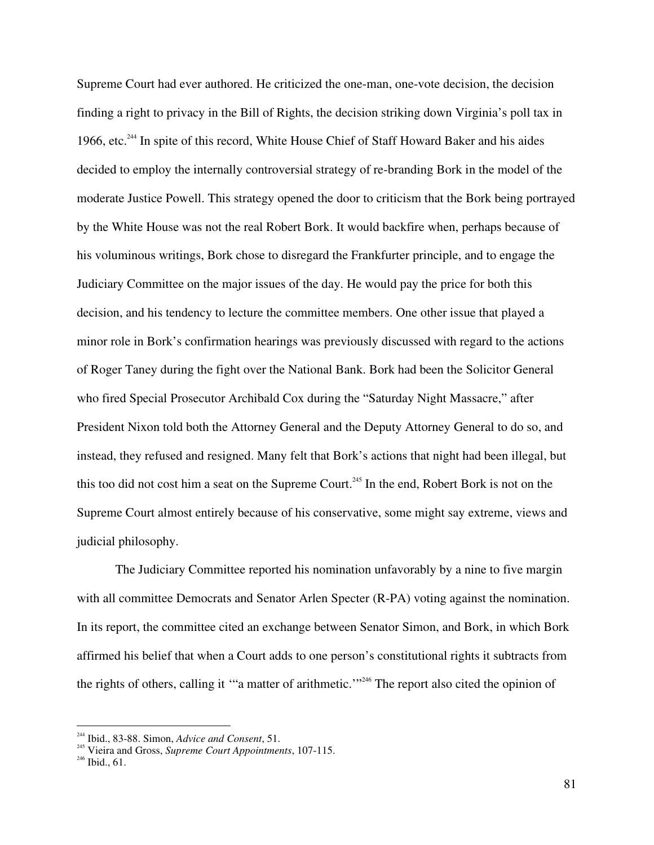Supreme Court had ever authored. He criticized the one-man, one-vote decision, the decision finding a right to privacy in the Bill of Rights, the decision striking down Virginia's poll tax in 1966, etc.<sup>244</sup> In spite of this record, White House Chief of Staff Howard Baker and his aides decided to employ the internally controversial strategy of re-branding Bork in the model of the moderate Justice Powell. This strategy opened the door to criticism that the Bork being portrayed by the White House was not the real Robert Bork. It would backfire when, perhaps because of his voluminous writings, Bork chose to disregard the Frankfurter principle, and to engage the Judiciary Committee on the major issues of the day. He would pay the price for both this decision, and his tendency to lecture the committee members. One other issue that played a minor role in Bork's confirmation hearings was previously discussed with regard to the actions of Roger Taney during the fight over the National Bank. Bork had been the Solicitor General who fired Special Prosecutor Archibald Cox during the "Saturday Night Massacre," after President Nixon told both the Attorney General and the Deputy Attorney General to do so, and instead, they refused and resigned. Many felt that Bork's actions that night had been illegal, but this too did not cost him a seat on the Supreme Court.<sup>245</sup> In the end, Robert Bork is not on the Supreme Court almost entirely because of his conservative, some might say extreme, views and judicial philosophy.

The Judiciary Committee reported his nomination unfavorably by a nine to five margin with all committee Democrats and Senator Arlen Specter (R-PA) voting against the nomination. In its report, the committee cited an exchange between Senator Simon, and Bork, in which Bork affirmed his belief that when a Court adds to one person's constitutional rights it subtracts from the rights of others, calling it "a matter of arithmetic."<sup>246</sup> The report also cited the opinion of

<sup>244</sup> Ibid., 83-88. Simon, *Advice and Consent*, 51. <sup>245</sup>

<sup>&</sup>lt;sup>245</sup> Vieira and Gross, *Supreme Court Appointments*, 107-115.

 $^{246}$  Ibid., 61.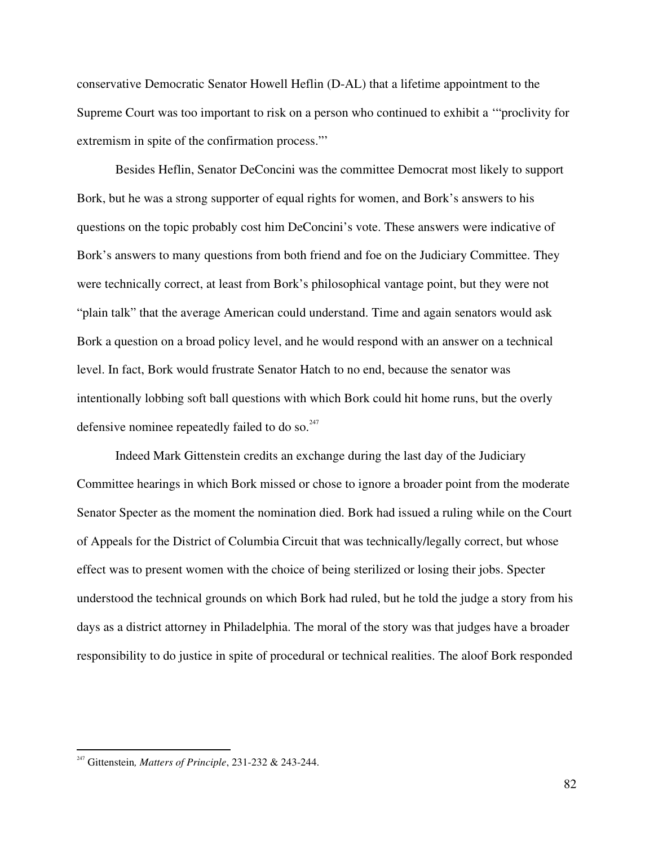conservative Democratic Senator Howell Heflin (D-AL) that a lifetime appointment to the Supreme Court was too important to risk on a person who continued to exhibit a '"proclivity for extremism in spite of the confirmation process."'

Besides Heflin, Senator DeConcini was the committee Democrat most likely to support Bork, but he was a strong supporter of equal rights for women, and Bork's answers to his questions on the topic probably cost him DeConcini's vote. These answers were indicative of Bork's answers to many questions from both friend and foe on the Judiciary Committee. They were technically correct, at least from Bork's philosophical vantage point, but they were not "plain talk" that the average American could understand. Time and again senators would ask Bork a question on a broad policy level, and he would respond with an answer on a technical level. In fact, Bork would frustrate Senator Hatch to no end, because the senator was intentionally lobbing soft ball questions with which Bork could hit home runs, but the overly defensive nominee repeatedly failed to do so.<sup>247</sup>

Indeed Mark Gittenstein credits an exchange during the last day of the Judiciary Committee hearings in which Bork missed or chose to ignore a broader point from the moderate Senator Specter as the moment the nomination died. Bork had issued a ruling while on the Court of Appeals for the District of Columbia Circuit that was technically/legally correct, but whose effect was to present women with the choice of being sterilized or losing their jobs. Specter understood the technical grounds on which Bork had ruled, but he told the judge a story from his days as a district attorney in Philadelphia. The moral of the story was that judges have a broader responsibility to do justice in spite of procedural or technical realities. The aloof Bork responded

<sup>247</sup> Gittenstein*, Matters of Principle*, 231-232 & 243-244.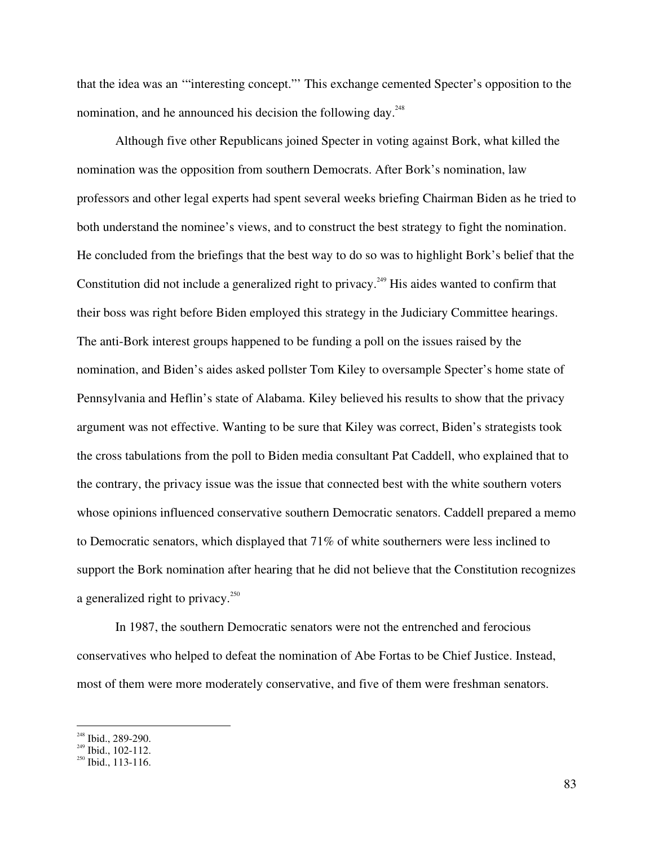that the idea was an '"interesting concept."' This exchange cemented Specter's opposition to the nomination, and he announced his decision the following day.<sup>248</sup>

Although five other Republicans joined Specter in voting against Bork, what killed the nomination was the opposition from southern Democrats. After Bork's nomination, law professors and other legal experts had spent several weeks briefing Chairman Biden as he tried to both understand the nominee's views, and to construct the best strategy to fight the nomination. He concluded from the briefings that the best way to do so was to highlight Bork's belief that the Constitution did not include a generalized right to privacy.<sup>249</sup> His aides wanted to confirm that their boss was right before Biden employed this strategy in the Judiciary Committee hearings. The anti-Bork interest groups happened to be funding a poll on the issues raised by the nomination, and Biden's aides asked pollster Tom Kiley to oversample Specter's home state of Pennsylvania and Heflin's state of Alabama. Kiley believed his results to show that the privacy argument was not effective. Wanting to be sure that Kiley was correct, Biden's strategists took the cross tabulations from the poll to Biden media consultant Pat Caddell, who explained that to the contrary, the privacy issue was the issue that connected best with the white southern voters whose opinions influenced conservative southern Democratic senators. Caddell prepared a memo to Democratic senators, which displayed that 71% of white southerners were less inclined to support the Bork nomination after hearing that he did not believe that the Constitution recognizes a generalized right to privacy.<sup>250</sup>

In 1987, the southern Democratic senators were not the entrenched and ferocious conservatives who helped to defeat the nomination of Abe Fortas to be Chief Justice. Instead, most of them were more moderately conservative, and five of them were freshman senators.

<sup>&</sup>lt;sup>248</sup> Ibid., 289-290.<br><sup>249</sup> Ibid., 102, 112.

<sup>&</sup>lt;sup>249</sup> Ibid., 102-112.<br><sup>250</sup> Ibid., 113-116.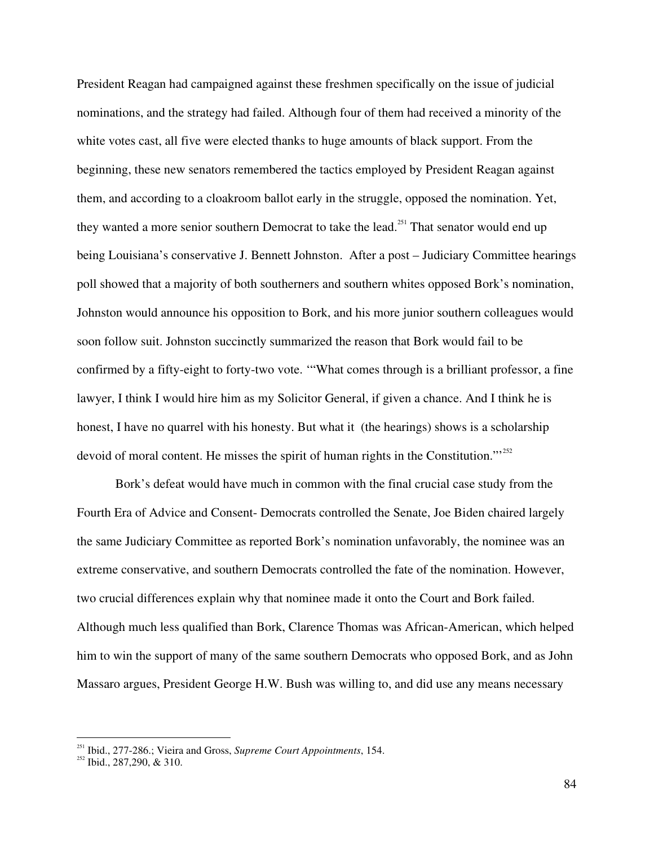President Reagan had campaigned against these freshmen specifically on the issue of judicial nominations, and the strategy had failed. Although four of them had received a minority of the white votes cast, all five were elected thanks to huge amounts of black support. From the beginning, these new senators remembered the tactics employed by President Reagan against them, and according to a cloakroom ballot early in the struggle, opposed the nomination. Yet, they wanted a more senior southern Democrat to take the lead.<sup>251</sup> That senator would end up being Louisiana's conservative J. Bennett Johnston. After a post – Judiciary Committee hearings poll showed that a majority of both southerners and southern whites opposed Bork's nomination, Johnston would announce his opposition to Bork, and his more junior southern colleagues would soon follow suit. Johnston succinctly summarized the reason that Bork would fail to be confirmed by a fifty-eight to forty-two vote. '"What comes through is a brilliant professor, a fine lawyer, I think I would hire him as my Solicitor General, if given a chance. And I think he is honest, I have no quarrel with his honesty. But what it (the hearings) shows is a scholarship devoid of moral content. He misses the spirit of human rights in the Constitution."<sup>252</sup>

Bork's defeat would have much in common with the final crucial case study from the Fourth Era of Advice and Consent- Democrats controlled the Senate, Joe Biden chaired largely the same Judiciary Committee as reported Bork's nomination unfavorably, the nominee was an extreme conservative, and southern Democrats controlled the fate of the nomination. However, two crucial differences explain why that nominee made it onto the Court and Bork failed. Although much less qualified than Bork, Clarence Thomas was African-American, which helped him to win the support of many of the same southern Democrats who opposed Bork, and as John Massaro argues, President George H.W. Bush was willing to, and did use any means necessary

<sup>251</sup> Ibid., 277-286.; Vieira and Gross, *Supreme Court Appointments*, 154. <sup>252</sup> Ibid., 287,290, & 310.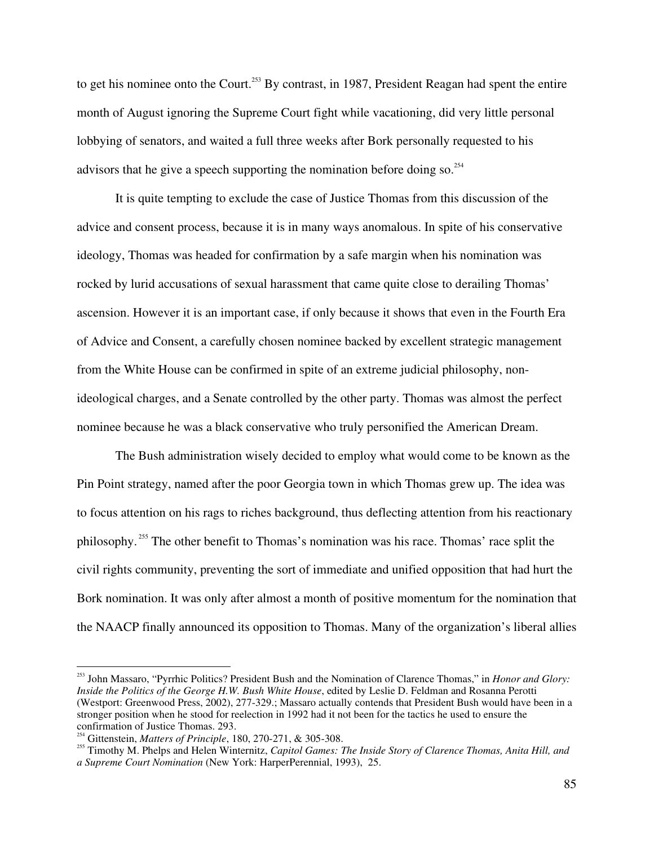to get his nominee onto the Court.<sup>253</sup> By contrast, in 1987, President Reagan had spent the entire month of August ignoring the Supreme Court fight while vacationing, did very little personal lobbying of senators, and waited a full three weeks after Bork personally requested to his advisors that he give a speech supporting the nomination before doing so.<sup>254</sup>

It is quite tempting to exclude the case of Justice Thomas from this discussion of the advice and consent process, because it is in many ways anomalous. In spite of his conservative ideology, Thomas was headed for confirmation by a safe margin when his nomination was rocked by lurid accusations of sexual harassment that came quite close to derailing Thomas' ascension. However it is an important case, if only because it shows that even in the Fourth Era of Advice and Consent, a carefully chosen nominee backed by excellent strategic management from the White House can be confirmed in spite of an extreme judicial philosophy, nonideological charges, and a Senate controlled by the other party. Thomas was almost the perfect nominee because he was a black conservative who truly personified the American Dream.

The Bush administration wisely decided to employ what would come to be known as the Pin Point strategy, named after the poor Georgia town in which Thomas grew up. The idea was to focus attention on his rags to riches background, thus deflecting attention from his reactionary philosophy.<sup>255</sup> The other benefit to Thomas's nomination was his race. Thomas' race split the civil rights community, preventing the sort of immediate and unified opposition that had hurt the Bork nomination. It was only after almost a month of positive momentum for the nomination that the NAACP finally announced its opposition to Thomas. Many of the organization's liberal allies

<sup>253</sup> John Massaro, "Pyrrhic Politics? President Bush and the Nomination of Clarence Thomas," in *Honor and Glory: Inside the Politics of the George H.W. Bush White House*, edited by Leslie D. Feldman and Rosanna Perotti (Westport: Greenwood Press, 2002), 277-329.; Massaro actually contends that President Bush would have been in a stronger position when he stood for reelection in 1992 had it not been for the tactics he used to ensure the confirmation of Justice Thomas. 293.

Gittenstein, *Matters of Principle*, 180, 270-271, & 305-308. <sup>255</sup>

Timothy M. Phelps and Helen Winternitz, *Capitol Games: The Inside Story of Clarence Thomas, Anita Hill, and a Supreme Court Nomination* (New York: HarperPerennial, 1993), 25.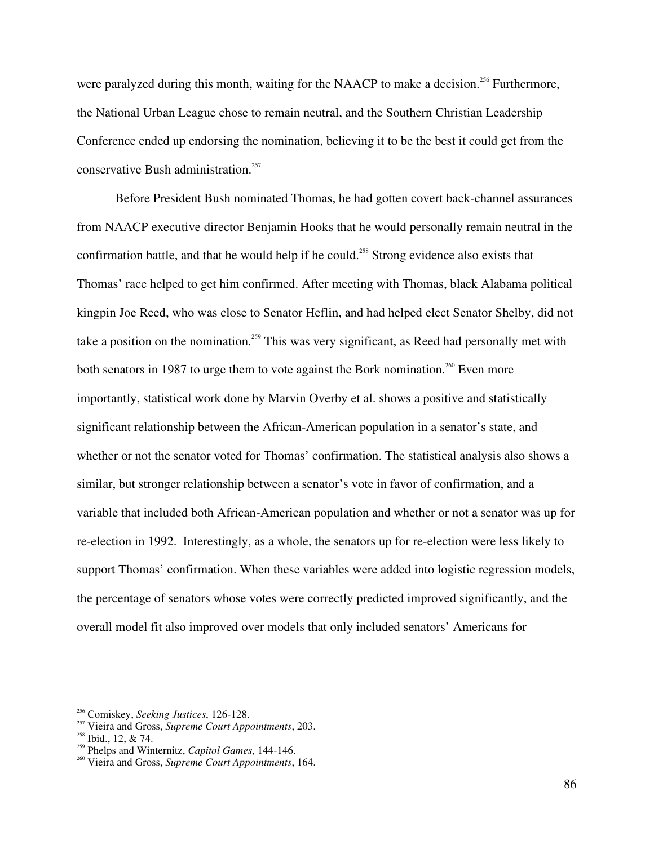were paralyzed during this month, waiting for the NAACP to make a decision.<sup>256</sup> Furthermore, the National Urban League chose to remain neutral, and the Southern Christian Leadership Conference ended up endorsing the nomination, believing it to be the best it could get from the conservative Bush administration. 257

Before President Bush nominated Thomas, he had gotten covert back-channel assurances from NAACP executive director Benjamin Hooks that he would personally remain neutral in the confirmation battle, and that he would help if he could.<sup>258</sup> Strong evidence also exists that Thomas' race helped to get him confirmed. After meeting with Thomas, black Alabama political kingpin Joe Reed, who was close to Senator Heflin, and had helped elect Senator Shelby, did not take a position on the nomination.<sup>259</sup> This was very significant, as Reed had personally met with both senators in 1987 to urge them to vote against the Bork nomination.<sup>260</sup> Even more importantly, statistical work done by Marvin Overby et al. shows a positive and statistically significant relationship between the African-American population in a senator's state, and whether or not the senator voted for Thomas' confirmation. The statistical analysis also shows a similar, but stronger relationship between a senator's vote in favor of confirmation, and a variable that included both African-American population and whether or not a senator was up for re-election in 1992. Interestingly, as a whole, the senators up for re-election were less likely to support Thomas' confirmation. When these variables were added into logistic regression models, the percentage of senators whose votes were correctly predicted improved significantly, and the overall model fit also improved over models that only included senators' Americans for

<sup>&</sup>lt;sup>256</sup> Comiskey, *Seeking Justices*, 126-128.

<sup>&</sup>lt;sup>257</sup> Vieira and Gross, *Supreme Court Appointments*, 203.

<sup>&</sup>lt;sup>258</sup> Ibid., 12, & 74.

<sup>&</sup>lt;sup>259</sup> Phelps and Winternitz, *Capitol Games*, 144-146.

Vieira and Gross, *Supreme Court Appointments*, 164.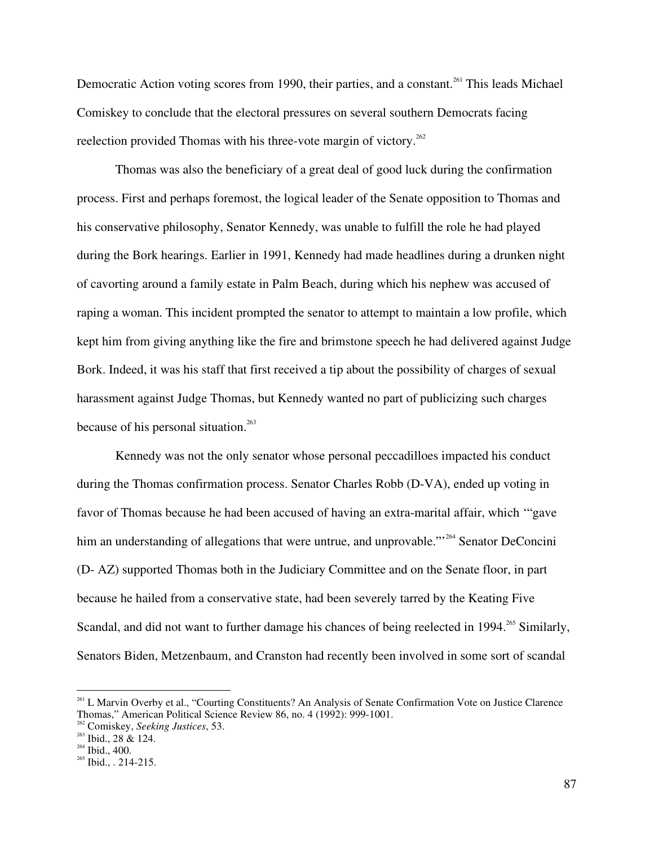Democratic Action voting scores from 1990, their parties, and a constant.<sup>261</sup> This leads Michael Comiskey to conclude that the electoral pressures on several southern Democrats facing reelection provided Thomas with his three-vote margin of victory.<sup>262</sup>

Thomas was also the beneficiary of a great deal of good luck during the confirmation process. First and perhaps foremost, the logical leader of the Senate opposition to Thomas and his conservative philosophy, Senator Kennedy, was unable to fulfill the role he had played during the Bork hearings. Earlier in 1991, Kennedy had made headlines during a drunken night of cavorting around a family estate in Palm Beach, during which his nephew was accused of raping a woman. This incident prompted the senator to attempt to maintain a low profile, which kept him from giving anything like the fire and brimstone speech he had delivered against Judge Bork. Indeed, it was his staff that first received a tip about the possibility of charges of sexual harassment against Judge Thomas, but Kennedy wanted no part of publicizing such charges because of his personal situation. 263

Kennedy was not the only senator whose personal peccadilloes impacted his conduct during the Thomas confirmation process. Senator Charles Robb (D-VA), ended up voting in favor of Thomas because he had been accused of having an extra-marital affair, which '"gave him an understanding of allegations that were untrue, and unprovable."<sup>264</sup> Senator DeConcini (D- AZ) supported Thomas both in the Judiciary Committee and on the Senate floor, in part because he hailed from a conservative state, had been severely tarred by the Keating Five Scandal, and did not want to further damage his chances of being reelected in 1994.<sup>265</sup> Similarly, Senators Biden, Metzenbaum, and Cranston had recently been involved in some sort of scandal

<sup>&</sup>lt;sup>261</sup> L Marvin Overby et al., "Courting Constituents? An Analysis of Senate Confirmation Vote on Justice Clarence Thomas," American Political Science Review 86, no. 4 (1992): 999-1001.

<sup>&</sup>lt;sup>262</sup> Comiskey, *Seeking Justices*, 53.

 $^{263}$  Ibid., 28 & 124.

 $^{264}$  Ibid., 400.

 $^{265}$  Ibid., . 214-215.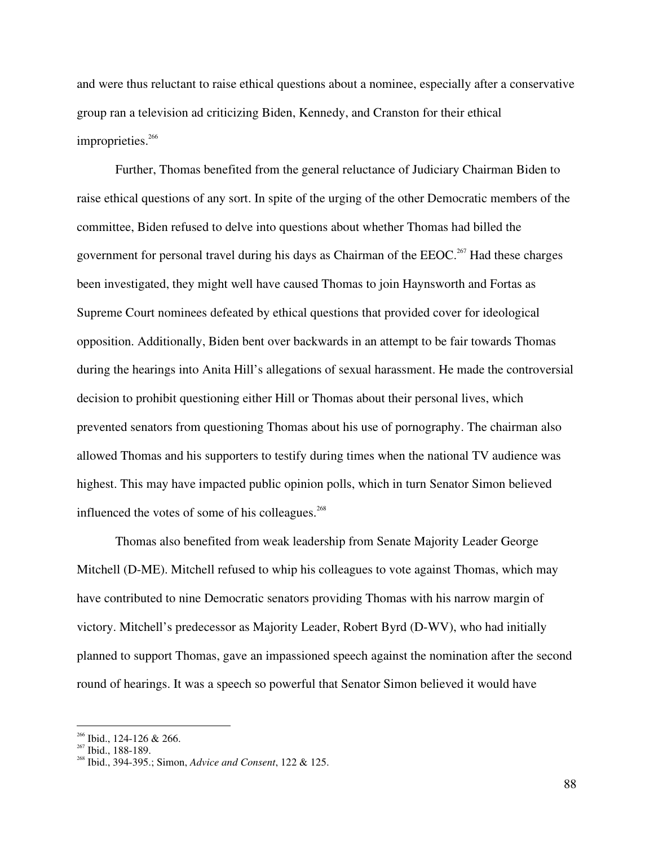and were thus reluctant to raise ethical questions about a nominee, especially after a conservative group ran a television ad criticizing Biden, Kennedy, and Cranston for their ethical improprieties.<sup>266</sup>

Further, Thomas benefited from the general reluctance of Judiciary Chairman Biden to raise ethical questions of any sort. In spite of the urging of the other Democratic members of the committee, Biden refused to delve into questions about whether Thomas had billed the government for personal travel during his days as Chairman of the  $EEOC$ <sup>267</sup> Had these charges been investigated, they might well have caused Thomas to join Haynsworth and Fortas as Supreme Court nominees defeated by ethical questions that provided cover for ideological opposition. Additionally, Biden bent over backwards in an attempt to be fair towards Thomas during the hearings into Anita Hill's allegations of sexual harassment. He made the controversial decision to prohibit questioning either Hill or Thomas about their personal lives, which prevented senators from questioning Thomas about his use of pornography. The chairman also allowed Thomas and his supporters to testify during times when the national TV audience was highest. This may have impacted public opinion polls, which in turn Senator Simon believed influenced the votes of some of his colleagues.<sup>268</sup>

Thomas also benefited from weak leadership from Senate Majority Leader George Mitchell (D-ME). Mitchell refused to whip his colleagues to vote against Thomas, which may have contributed to nine Democratic senators providing Thomas with his narrow margin of victory. Mitchell's predecessor as Majority Leader, Robert Byrd (D-WV), who had initially planned to support Thomas, gave an impassioned speech against the nomination after the second round of hearings. It was a speech so powerful that Senator Simon believed it would have

 $\frac{266}{267}$  Ibid., 124-126 & 266.

<sup>&</sup>lt;sup>267</sup> Ibid., 188-189.<br><sup>268</sup> Ibid., 204, 205.

Ibid., 394-395.; Simon, *Advice and Consent*, 122 & 125.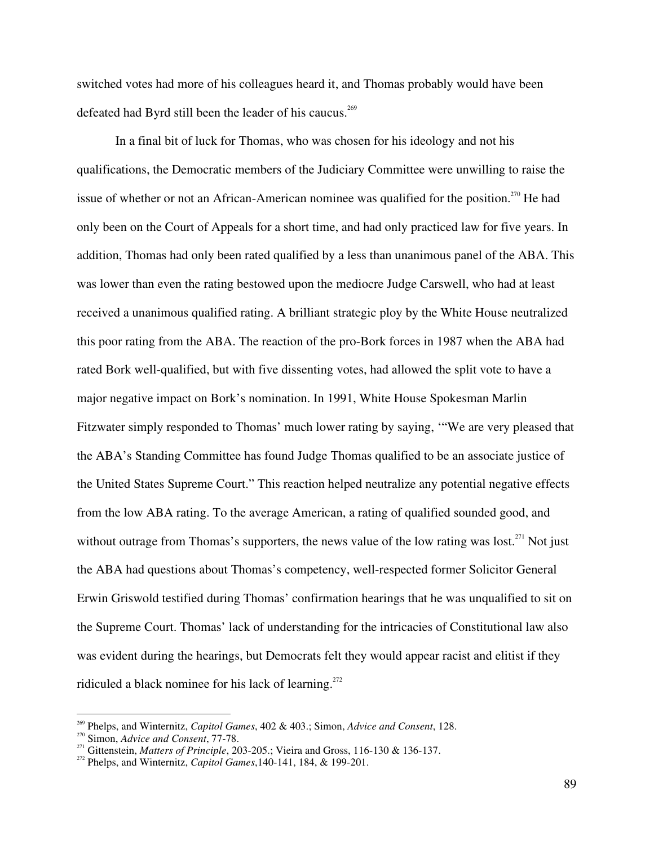switched votes had more of his colleagues heard it, and Thomas probably would have been defeated had Byrd still been the leader of his caucus.<sup>269</sup>

In a final bit of luck for Thomas, who was chosen for his ideology and not his qualifications, the Democratic members of the Judiciary Committee were unwilling to raise the issue of whether or not an African-American nominee was qualified for the position.<sup>270</sup> He had only been on the Court of Appeals for a short time, and had only practiced law for five years. In addition, Thomas had only been rated qualified by a less than unanimous panel of the ABA. This was lower than even the rating bestowed upon the mediocre Judge Carswell, who had at least received a unanimous qualified rating. A brilliant strategic ploy by the White House neutralized this poor rating from the ABA. The reaction of the pro-Bork forces in 1987 when the ABA had rated Bork well-qualified, but with five dissenting votes, had allowed the split vote to have a major negative impact on Bork's nomination. In 1991, White House Spokesman Marlin Fitzwater simply responded to Thomas' much lower rating by saying, '"We are very pleased that the ABA's Standing Committee has found Judge Thomas qualified to be an associate justice of the United States Supreme Court." This reaction helped neutralize any potential negative effects from the low ABA rating. To the average American, a rating of qualified sounded good, and without outrage from Thomas's supporters, the news value of the low rating was lost. $^{271}$  Not just the ABA had questions about Thomas's competency, well-respected former Solicitor General Erwin Griswold testified during Thomas' confirmation hearings that he was unqualified to sit on the Supreme Court. Thomas' lack of understanding for the intricacies of Constitutional law also was evident during the hearings, but Democrats felt they would appear racist and elitist if they ridiculed a black nominee for his lack of learning.<sup>272</sup>

<sup>&</sup>lt;sup>269</sup> Phelps, and Winternitz, *Capitol Games*, 402 & 403.; Simon, *Advice and Consent*, 128.

<sup>&</sup>lt;sup>270</sup> Simon, *Advice and Consent*, 77-78.

<sup>2&</sup>lt;sup>211</sup> Gittenstein, *Matters of Principle*, 203-205.; Vieira and Gross, 116-130 & 136-137.

Phelps, and Winternitz, *Capitol Games*,140-141, 184, & 199-201.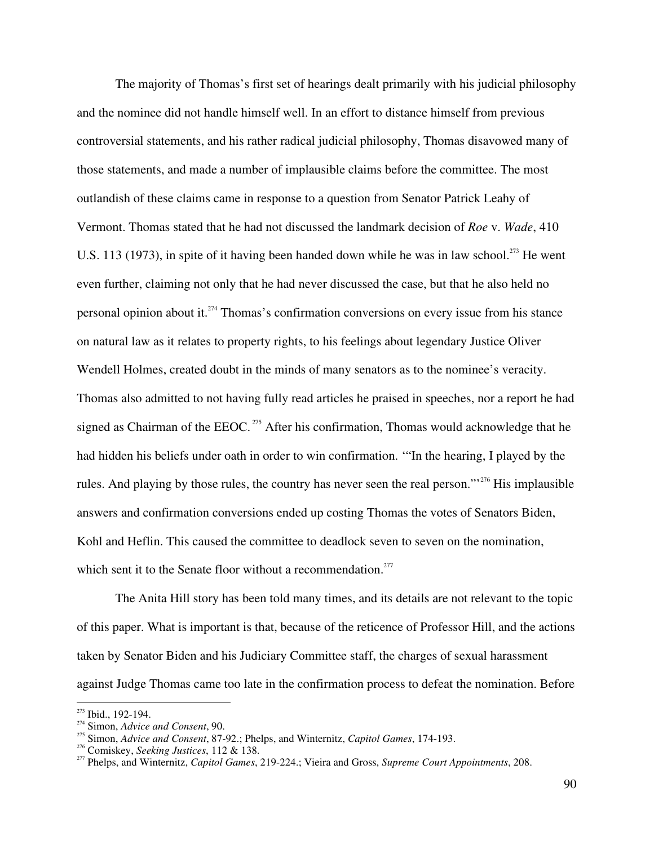The majority of Thomas's first set of hearings dealt primarily with his judicial philosophy and the nominee did not handle himself well. In an effort to distance himself from previous controversial statements, and his rather radical judicial philosophy, Thomas disavowed many of those statements, and made a number of implausible claims before the committee. The most outlandish of these claims came in response to a question from Senator Patrick Leahy of Vermont. Thomas stated that he had not discussed the landmark decision of *Roe* v. *Wade*, 410 U.S. 113 (1973), in spite of it having been handed down while he was in law school.<sup>273</sup> He went even further, claiming not only that he had never discussed the case, but that he also held no personal opinion about it. 274 Thomas's confirmation conversions on every issue from his stance on natural law as it relates to property rights, to his feelings about legendary Justice Oliver Wendell Holmes, created doubt in the minds of many senators as to the nominee's veracity. Thomas also admitted to not having fully read articles he praised in speeches, nor a report he had signed as Chairman of the EEOC.<sup>275</sup> After his confirmation, Thomas would acknowledge that he had hidden his beliefs under oath in order to win confirmation. '"In the hearing, I played by the rules. And playing by those rules, the country has never seen the real person."<sup>276</sup> His implausible answers and confirmation conversions ended up costing Thomas the votes of Senators Biden, Kohl and Heflin. This caused the committee to deadlock seven to seven on the nomination, which sent it to the Senate floor without a recommendation.<sup>277</sup>

The Anita Hill story has been told many times, and its details are not relevant to the topic of this paper. What is important is that, because of the reticence of Professor Hill, and the actions taken by Senator Biden and his Judiciary Committee staff, the charges of sexual harassment against Judge Thomas came too late in the confirmation process to defeat the nomination. Before

 $273$  Ibid., 192-194.

<sup>&</sup>lt;sup>274</sup> Simon, *Advice and Consent*, 90.

Simon, *Advice and Consent*, 87-92.; Phelps, and Winternitz, *Capitol Games*, 174-193. <sup>276</sup>

<sup>&</sup>lt;sup>276</sup> Comiskey, *Seeking Justices*, 112 & 138.

Phelps, and Winternitz, *Capitol Games*, 219-224.; Vieira and Gross, *Supreme Court Appointments*, 208.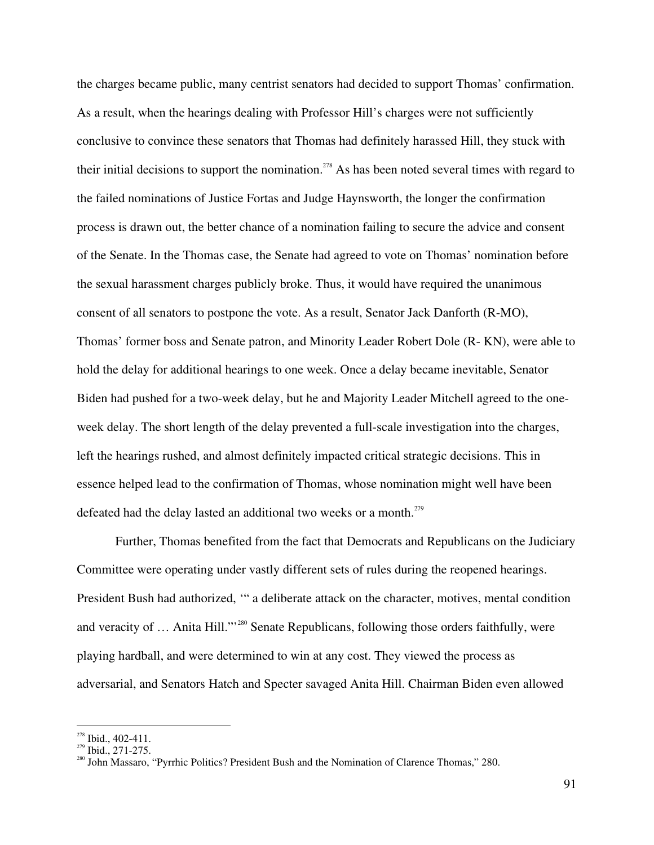the charges became public, many centrist senators had decided to support Thomas' confirmation. As a result, when the hearings dealing with Professor Hill's charges were not sufficiently conclusive to convince these senators that Thomas had definitely harassed Hill, they stuck with their initial decisions to support the nomination.<sup>278</sup> As has been noted several times with regard to the failed nominations of Justice Fortas and Judge Haynsworth, the longer the confirmation process is drawn out, the better chance of a nomination failing to secure the advice and consent of the Senate. In the Thomas case, the Senate had agreed to vote on Thomas' nomination before the sexual harassment charges publicly broke. Thus, it would have required the unanimous consent of all senators to postpone the vote. As a result, Senator Jack Danforth (R-MO), Thomas' former boss and Senate patron, and Minority Leader Robert Dole (R- KN), were able to hold the delay for additional hearings to one week. Once a delay became inevitable, Senator Biden had pushed for a two-week delay, but he and Majority Leader Mitchell agreed to the oneweek delay. The short length of the delay prevented a full-scale investigation into the charges, left the hearings rushed, and almost definitely impacted critical strategic decisions. This in essence helped lead to the confirmation of Thomas, whose nomination might well have been defeated had the delay lasted an additional two weeks or a month.<sup>279</sup>

Further, Thomas benefited from the fact that Democrats and Republicans on the Judiciary Committee were operating under vastly different sets of rules during the reopened hearings. President Bush had authorized, '" a deliberate attack on the character, motives, mental condition and veracity of ... Anita Hill."<sup>280</sup> Senate Republicans, following those orders faithfully, were playing hardball, and were determined to win at any cost. They viewed the process as adversarial, and Senators Hatch and Specter savaged Anita Hill. Chairman Biden even allowed

<sup>&</sup>lt;sup>278</sup> Ibid., 402-411.

 $\frac{279}{280}$  Ibid., 271-275.

<sup>&</sup>lt;sup>280</sup> John Massaro, "Pyrrhic Politics? President Bush and the Nomination of Clarence Thomas," 280.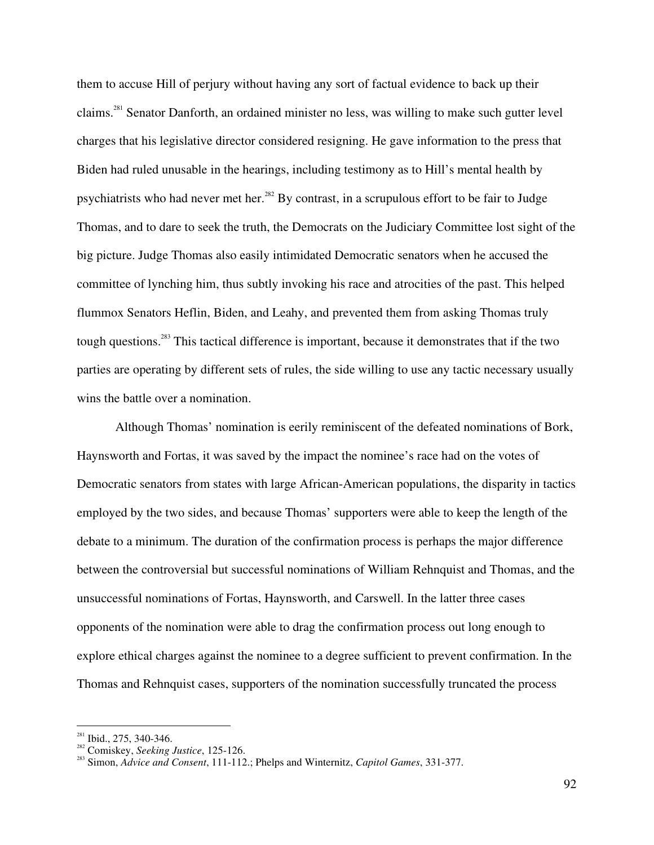them to accuse Hill of perjury without having any sort of factual evidence to back up their claims.<sup>281</sup> Senator Danforth, an ordained minister no less, was willing to make such gutter level charges that his legislative director considered resigning. He gave information to the press that Biden had ruled unusable in the hearings, including testimony as to Hill's mental health by psychiatrists who had never met her.<sup>282</sup> By contrast, in a scrupulous effort to be fair to Judge Thomas, and to dare to seek the truth, the Democrats on the Judiciary Committee lost sight of the big picture. Judge Thomas also easily intimidated Democratic senators when he accused the committee of lynching him, thus subtly invoking his race and atrocities of the past. This helped flummox Senators Heflin, Biden, and Leahy, and prevented them from asking Thomas truly tough questions.<sup>283</sup> This tactical difference is important, because it demonstrates that if the two parties are operating by different sets of rules, the side willing to use any tactic necessary usually wins the battle over a nomination.

Although Thomas' nomination is eerily reminiscent of the defeated nominations of Bork, Haynsworth and Fortas, it was saved by the impact the nominee's race had on the votes of Democratic senators from states with large African-American populations, the disparity in tactics employed by the two sides, and because Thomas' supporters were able to keep the length of the debate to a minimum. The duration of the confirmation process is perhaps the major difference between the controversial but successful nominations of William Rehnquist and Thomas, and the unsuccessful nominations of Fortas, Haynsworth, and Carswell. In the latter three cases opponents of the nomination were able to drag the confirmation process out long enough to explore ethical charges against the nominee to a degree sufficient to prevent confirmation. In the Thomas and Rehnquist cases, supporters of the nomination successfully truncated the process

 $^{281}$  Ibid., 275, 340-346.

Comiskey, *Seeking Justice*, 125-126. <sup>283</sup> Simon, *Advice and Consent*, 111-112.; Phelps and Winternitz, *Capitol Games*, 331-377.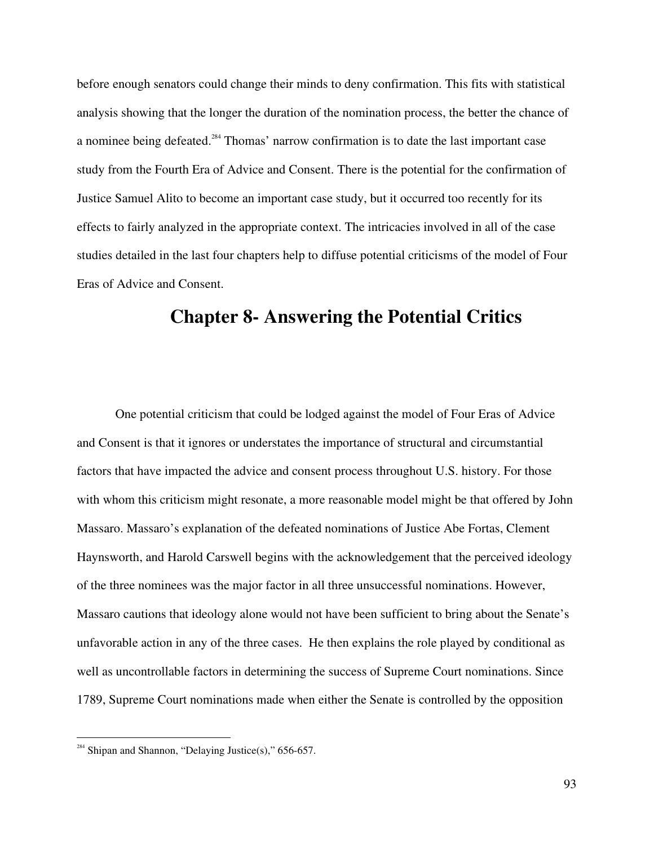before enough senators could change their minds to deny confirmation. This fits with statistical analysis showing that the longer the duration of the nomination process, the better the chance of a nominee being defeated.<sup>284</sup> Thomas' narrow confirmation is to date the last important case study from the Fourth Era of Advice and Consent. There is the potential for the confirmation of Justice Samuel Alito to become an important case study, but it occurred too recently for its effects to fairly analyzed in the appropriate context. The intricacies involved in all of the case studies detailed in the last four chapters help to diffuse potential criticisms of the model of Four Eras of Advice and Consent.

## **Chapter 8- Answering the Potential Critics**

One potential criticism that could be lodged against the model of Four Eras of Advice and Consent is that it ignores or understates the importance of structural and circumstantial factors that have impacted the advice and consent process throughout U.S. history. For those with whom this criticism might resonate, a more reasonable model might be that offered by John Massaro. Massaro's explanation of the defeated nominations of Justice Abe Fortas, Clement Haynsworth, and Harold Carswell begins with the acknowledgement that the perceived ideology of the three nominees was the major factor in all three unsuccessful nominations. However, Massaro cautions that ideology alone would not have been sufficient to bring about the Senate's unfavorable action in any of the three cases. He then explains the role played by conditional as well as uncontrollable factors in determining the success of Supreme Court nominations. Since 1789, Supreme Court nominations made when either the Senate is controlled by the opposition

<sup>&</sup>lt;sup>284</sup> Shipan and Shannon, "Delaying Justice(s)," 656-657.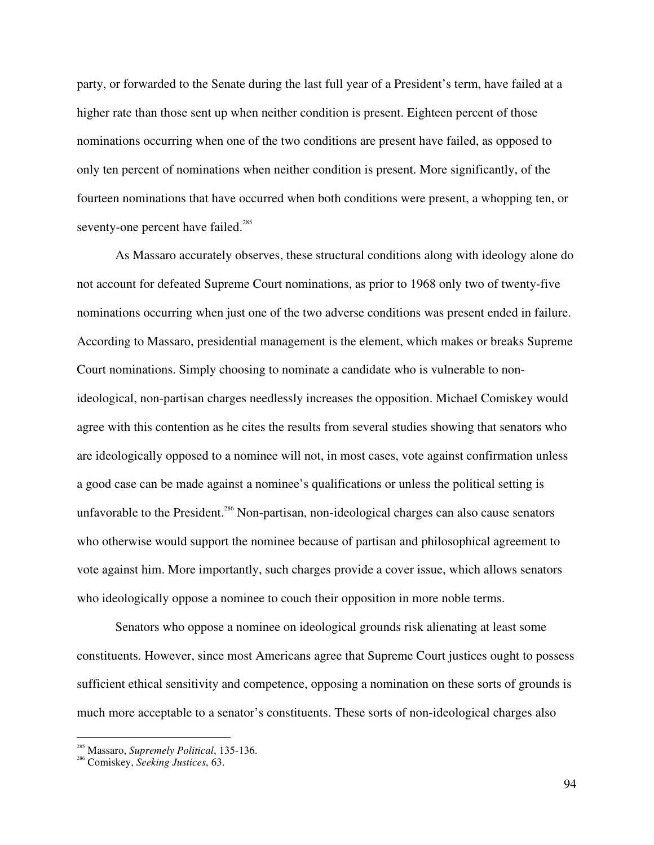party, or forwarded to the Senate during the last full year of a President's term, have failed at a higher rate than those sent up when neither condition is present. Eighteen percent of those nominations occurring when one of the two conditions are present have failed, as opposed to only ten percent of nominations when neither condition is present. More significantly, of the fourteen nominations that have occurred when both conditions were present, a whopping ten, or seventy-one percent have failed.<sup>285</sup>

As Massaro accurately observes, these structural conditions along with ideology alone do not account for defeated Supreme Court nominations, as prior to 1968 only two of twenty-five nominations occurring when just one of the two adverse conditions was present ended in failure. According to Massaro, presidential management is the element, which makes or breaks Supreme Court nominations. Simply choosing to nominate a candidate who is vulnerable to nonideological, non-partisan charges needlessly increases the opposition. Michael Comiskey would agree with this contention as he cites the results from several studies showing that senators who are ideologically opposed to a nominee will not, in most cases, vote against confirmation unless a good case can be made against a nominee's qualifications or unless the political setting is unfavorable to the President.<sup>286</sup> Non-partisan, non-ideological charges can also cause senators who otherwise would support the nominee because of partisan and philosophical agreement to vote against him. More importantly, such charges provide a cover issue, which allows senators who ideologically oppose a nominee to couch their opposition in more noble terms.

Senators who oppose a nominee on ideological grounds risk alienating at least some constituents. However, since most Americans agree that Supreme Court justices ought to possess sufficient ethical sensitivity and competence, opposing a nomination on these sorts of grounds is much more acceptable to a senator's constituents. These sorts of non-ideological charges also

<sup>&</sup>lt;sup>285</sup> Massaro, *Supremely Political*, 135-136.<br><sup>286</sup> Camiclasu, Sacking Justices, 62.

Comiskey, *Seeking Justices*, 63.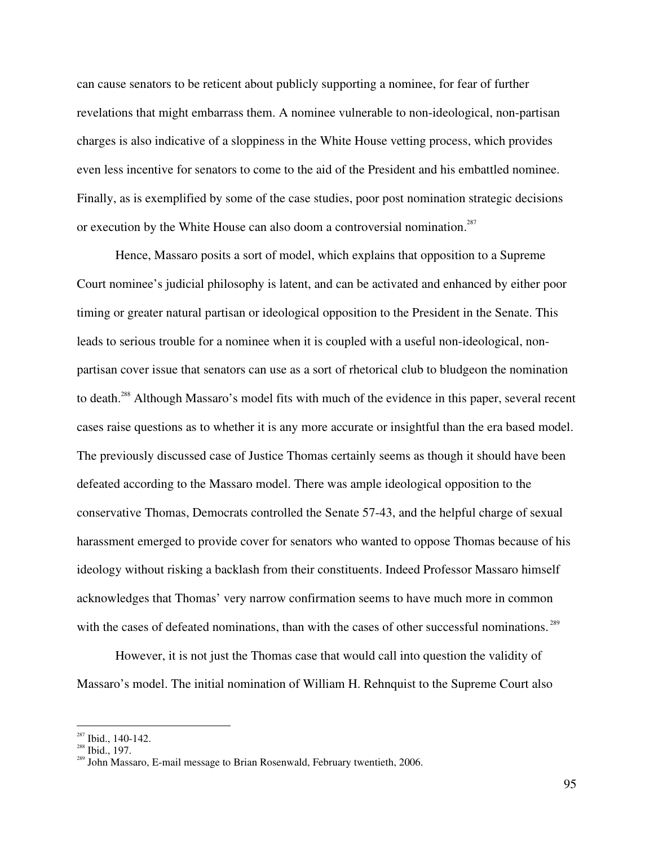can cause senators to be reticent about publicly supporting a nominee, for fear of further revelations that might embarrass them. A nominee vulnerable to non-ideological, non-partisan charges is also indicative of a sloppiness in the White House vetting process, which provides even less incentive for senators to come to the aid of the President and his embattled nominee. Finally, as is exemplified by some of the case studies, poor post nomination strategic decisions or execution by the White House can also doom a controversial nomination.<sup>287</sup>

Hence, Massaro posits a sort of model, which explains that opposition to a Supreme Court nominee's judicial philosophy is latent, and can be activated and enhanced by either poor timing or greater natural partisan or ideological opposition to the President in the Senate. This leads to serious trouble for a nominee when it is coupled with a useful non-ideological, nonpartisan cover issue that senators can use as a sort of rhetorical club to bludgeon the nomination to death.<sup>288</sup> Although Massaro's model fits with much of the evidence in this paper, several recent cases raise questions as to whether it is any more accurate or insightful than the era based model. The previously discussed case of Justice Thomas certainly seems as though it should have been defeated according to the Massaro model. There was ample ideological opposition to the conservative Thomas, Democrats controlled the Senate 57-43, and the helpful charge of sexual harassment emerged to provide cover for senators who wanted to oppose Thomas because of his ideology without risking a backlash from their constituents. Indeed Professor Massaro himself acknowledges that Thomas' very narrow confirmation seems to have much more in common with the cases of defeated nominations, than with the cases of other successful nominations.<sup>289</sup>

However, it is not just the Thomas case that would call into question the validity of Massaro's model. The initial nomination of William H. Rehnquist to the Supreme Court also

 $\frac{287}{288}$  Ibid., 140-142.

 $288$  Ibid., 197.

<sup>&</sup>lt;sup>289</sup> John Massaro, E-mail message to Brian Rosenwald, February twentieth, 2006.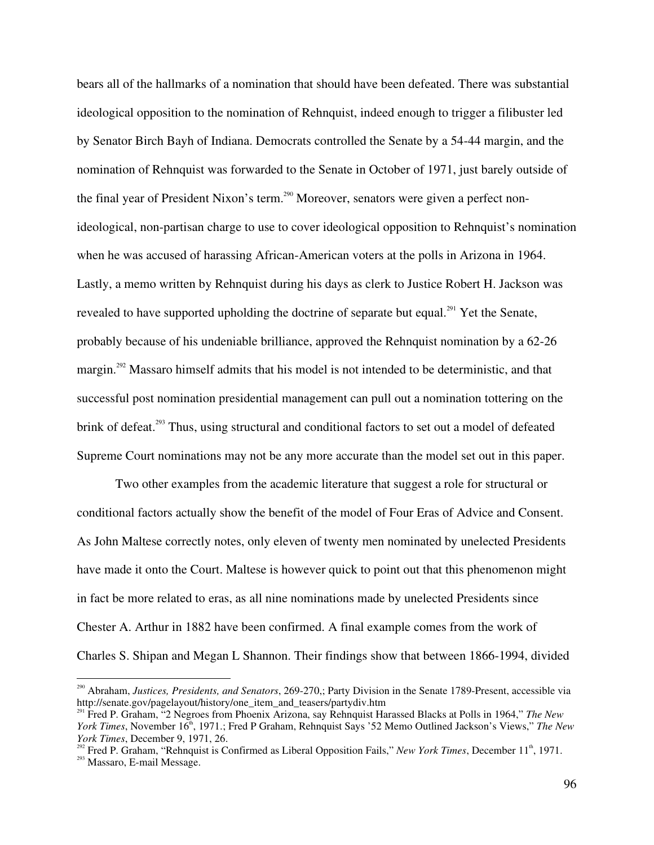bears all of the hallmarks of a nomination that should have been defeated. There was substantial ideological opposition to the nomination of Rehnquist, indeed enough to trigger a filibuster led by Senator Birch Bayh of Indiana. Democrats controlled the Senate by a 54-44 margin, and the nomination of Rehnquist was forwarded to the Senate in October of 1971, just barely outside of the final year of President Nixon's term.<sup>290</sup> Moreover, senators were given a perfect nonideological, non-partisan charge to use to cover ideological opposition to Rehnquist's nomination when he was accused of harassing African-American voters at the polls in Arizona in 1964. Lastly, a memo written by Rehnquist during his days as clerk to Justice Robert H. Jackson was revealed to have supported upholding the doctrine of separate but equal.<sup>291</sup> Yet the Senate, probably because of his undeniable brilliance, approved the Rehnquist nomination by a 62-26 margin.<sup>292</sup> Massaro himself admits that his model is not intended to be deterministic, and that successful post nomination presidential management can pull out a nomination tottering on the brink of defeat.<sup>293</sup> Thus, using structural and conditional factors to set out a model of defeated Supreme Court nominations may not be any more accurate than the model set out in this paper.

Two other examples from the academic literature that suggest a role for structural or conditional factors actually show the benefit of the model of Four Eras of Advice and Consent. As John Maltese correctly notes, only eleven of twenty men nominated by unelected Presidents have made it onto the Court. Maltese is however quick to point out that this phenomenon might in fact be more related to eras, as all nine nominations made by unelected Presidents since Chester A. Arthur in 1882 have been confirmed. A final example comes from the work of Charles S. Shipan and Megan L Shannon. Their findings show that between 1866-1994, divided

<sup>290</sup> Abraham, *Justices, Presidents, and Senators*, 269-270,; Party Division in the Senate 1789-Present, accessible via http://senate.gov/pagelayout/history/one\_item\_and\_teasers/partydiv.htm <sup>291</sup> Fred P. Graham, "2 Negroes from Phoenix Arizona, say Rehnquist Harassed Blacks at Polls in 1964," *The New*

*York Times*, November 16<sup>th</sup>, 1971.; Fred P Graham, Rehnquist Says '52 Memo Outlined Jackson's Views," The New

*York Times*, December 9, 1971, 26.<br><sup>292</sup> Fred P. Graham, "Rehnquist is Confirmed as Liberal Opposition Fails," *New York Times*, December 11<sup>th</sup>, 1971. <sup>293</sup> Massaro, E-mail Message.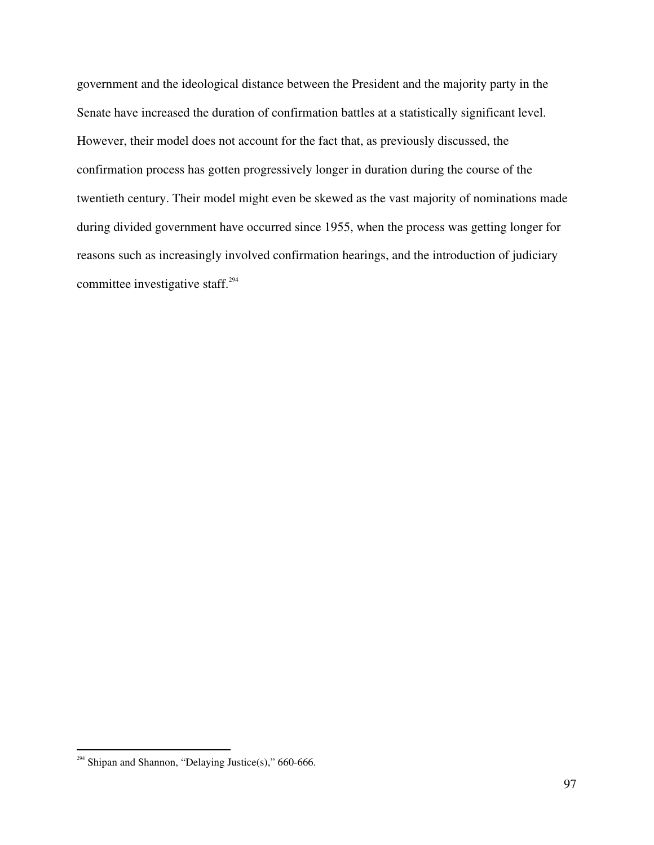government and the ideological distance between the President and the majority party in the Senate have increased the duration of confirmation battles at a statistically significant level. However, their model does not account for the fact that, as previously discussed, the confirmation process has gotten progressively longer in duration during the course of the twentieth century. Their model might even be skewed as the vast majority of nominations made during divided government have occurred since 1955, when the process was getting longer for reasons such as increasingly involved confirmation hearings, and the introduction of judiciary committee investigative staff. 294

<sup>&</sup>lt;sup>294</sup> Shipan and Shannon, "Delaying Justice(s)," 660-666.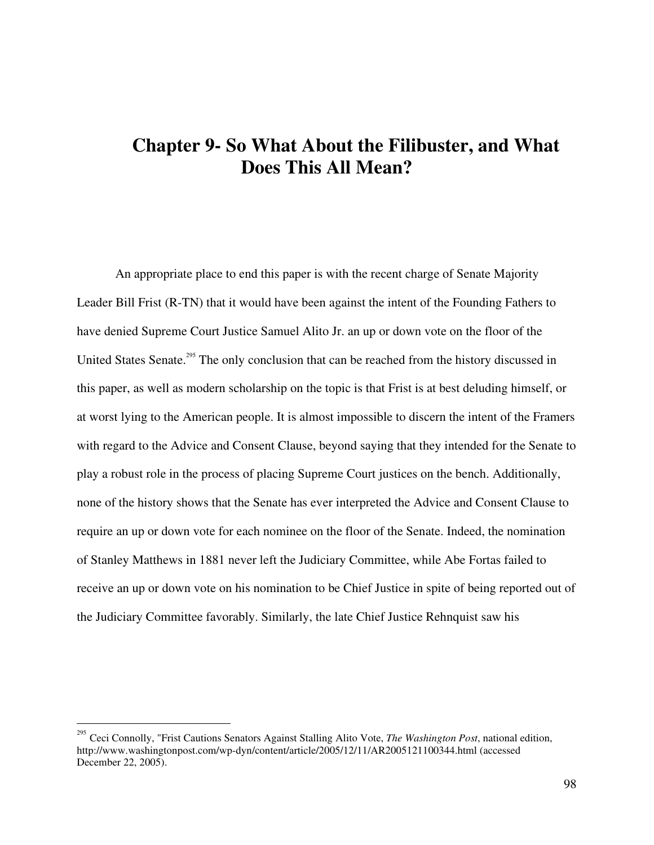## **Chapter 9- So What About the Filibuster, and What Does This All Mean?**

An appropriate place to end this paper is with the recent charge of Senate Majority Leader Bill Frist (R-TN) that it would have been against the intent of the Founding Fathers to have denied Supreme Court Justice Samuel Alito Jr. an up or down vote on the floor of the United States Senate.<sup>295</sup> The only conclusion that can be reached from the history discussed in this paper, as well as modern scholarship on the topic is that Frist is at best deluding himself, or at worst lying to the American people. It is almost impossible to discern the intent of the Framers with regard to the Advice and Consent Clause, beyond saying that they intended for the Senate to play a robust role in the process of placing Supreme Court justices on the bench. Additionally, none of the history shows that the Senate has ever interpreted the Advice and Consent Clause to require an up or down vote for each nominee on the floor of the Senate. Indeed, the nomination of Stanley Matthews in 1881 never left the Judiciary Committee, while Abe Fortas failed to receive an up or down vote on his nomination to be Chief Justice in spite of being reported out of the Judiciary Committee favorably. Similarly, the late Chief Justice Rehnquist saw his

<sup>295</sup> Ceci Connolly, "Frist Cautions Senators Against Stalling Alito Vote, *The Washington Post*, national edition, http://www.washingtonpost.com/wp-dyn/content/article/2005/12/11/AR2005121100344.html (accessed December 22, 2005).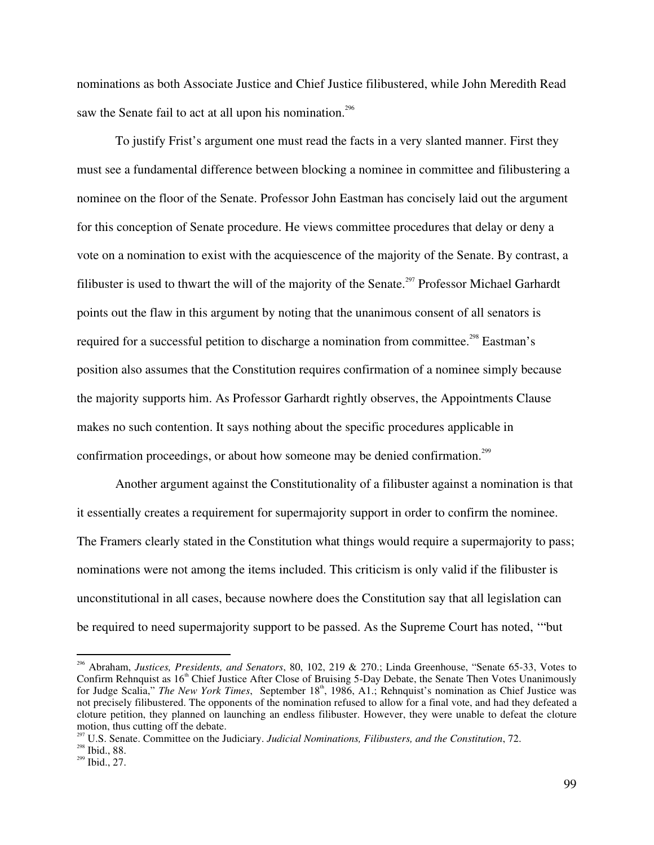nominations as both Associate Justice and Chief Justice filibustered, while John Meredith Read saw the Senate fail to act at all upon his nomination.<sup>296</sup>

To justify Frist's argument one must read the facts in a very slanted manner. First they must see a fundamental difference between blocking a nominee in committee and filibustering a nominee on the floor of the Senate. Professor John Eastman has concisely laid out the argument for this conception of Senate procedure. He views committee procedures that delay or deny a vote on a nomination to exist with the acquiescence of the majority of the Senate. By contrast, a filibuster is used to thwart the will of the majority of the Senate.<sup>297</sup> Professor Michael Garhardt points out the flaw in this argument by noting that the unanimous consent of all senators is required for a successful petition to discharge a nomination from committee.<sup>298</sup> Eastman's position also assumes that the Constitution requires confirmation of a nominee simply because the majority supports him. As Professor Garhardt rightly observes, the Appointments Clause makes no such contention. It says nothing about the specific procedures applicable in confirmation proceedings, or about how someone may be denied confirmation.<sup>299</sup>

Another argument against the Constitutionality of a filibuster against a nomination is that it essentially creates a requirement for supermajority support in order to confirm the nominee. The Framers clearly stated in the Constitution what things would require a supermajority to pass; nominations were not among the items included. This criticism is only valid if the filibuster is unconstitutional in all cases, because nowhere does the Constitution say that all legislation can be required to need supermajority support to be passed. As the Supreme Court has noted, '"but

<sup>296</sup> Abraham, *Justices, Presidents, and Senators*, 80, 102, 219 & 270.; Linda Greenhouse, "Senate 65-33, Votes to Confirm Rehnquist as 16<sup>th</sup> Chief Justice After Close of Bruising 5-Day Debate, the Senate Then Votes Unanimously for Judge Scalia," The New York Times, September 18<sup>th</sup>, 1986, A1.; Rehnquist's nomination as Chief Justice was not precisely filibustered. The opponents of the nomination refused to allow for a final vote, and had they defeated a cloture petition, they planned on launching an endless filibuster. However, they were unable to defeat the cloture motion, thus cutting off the debate.

<sup>&</sup>lt;sup>297</sup> U.S. Senate. Committee on the Judiciary. *Judicial Nominations, Filibusters, and the Constitution*, 72.

 $298$  Ibid., 88.

 $^{299}$  Ibid., 27.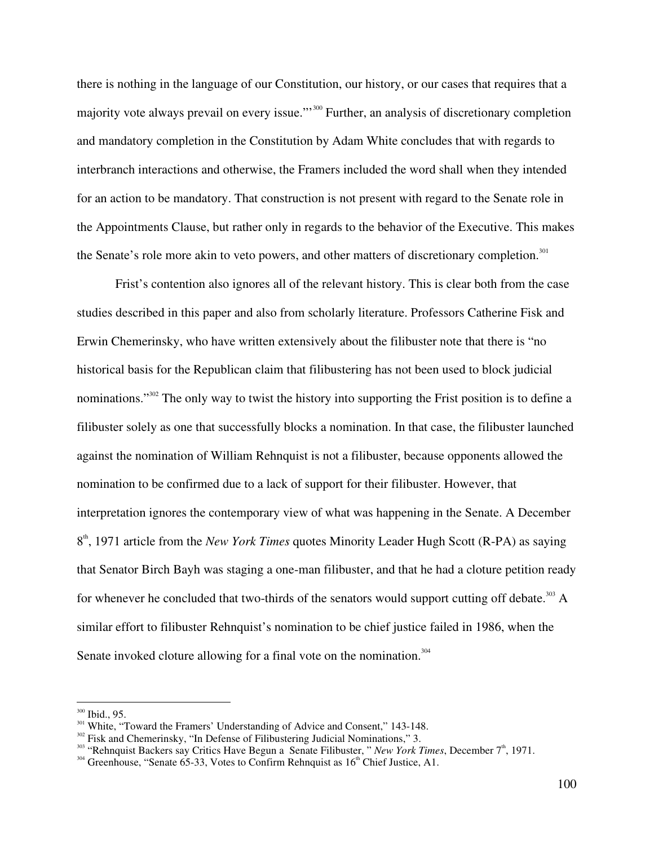there is nothing in the language of our Constitution, our history, or our cases that requires that a majority vote always prevail on every issue."<sup>300</sup> Further, an analysis of discretionary completion and mandatory completion in the Constitution by Adam White concludes that with regards to interbranch interactions and otherwise, the Framers included the word shall when they intended for an action to be mandatory. That construction is not present with regard to the Senate role in the Appointments Clause, but rather only in regards to the behavior of the Executive. This makes the Senate's role more akin to veto powers, and other matters of discretionary completion.<sup>301</sup>

Frist's contention also ignores all of the relevant history. This is clear both from the case studies described in this paper and also from scholarly literature. Professors Catherine Fisk and Erwin Chemerinsky, who have written extensively about the filibuster note that there is "no historical basis for the Republican claim that filibustering has not been used to block judicial nominations."<sup>302</sup> The only way to twist the history into supporting the Frist position is to define a filibuster solely as one that successfully blocks a nomination. In that case, the filibuster launched against the nomination of William Rehnquist is not a filibuster, because opponents allowed the nomination to be confirmed due to a lack of support for their filibuster. However, that interpretation ignores the contemporary view of what was happening in the Senate. A December 8<sup>th</sup>, 1971 article from the *New York Times* quotes Minority Leader Hugh Scott (R-PA) as saying that Senator Birch Bayh was staging a one-man filibuster, and that he had a cloture petition ready for whenever he concluded that two-thirds of the senators would support cutting off debate.<sup>303</sup> A similar effort to filibuster Rehnquist's nomination to be chief justice failed in 1986, when the Senate invoked cloture allowing for a final vote on the nomination.<sup>304</sup>

 $300$  Ibid., 95.

<sup>&</sup>lt;sup>301</sup> White, "Toward the Framers' Understanding of Advice and Consent," 143-148.<br><sup>302</sup> Fisk and Chemerinsky, "In Defense of Filibustering Judicial Nominations," 3.

<sup>&</sup>lt;sup>302</sup> Fisk and Chemerinsky, "In Defense of Filibustering Judicial Nominations," 3.<br><sup>303</sup> "Rehnquist Backers say Critics Have Begun a Senate Filibuster, "*New York Times*, December 7<sup>th</sup>, 1971.

Greenhouse, "Senate 65-33, Votes to Confirm Rehnquist as  $16<sup>th</sup>$  Chief Justice, A1.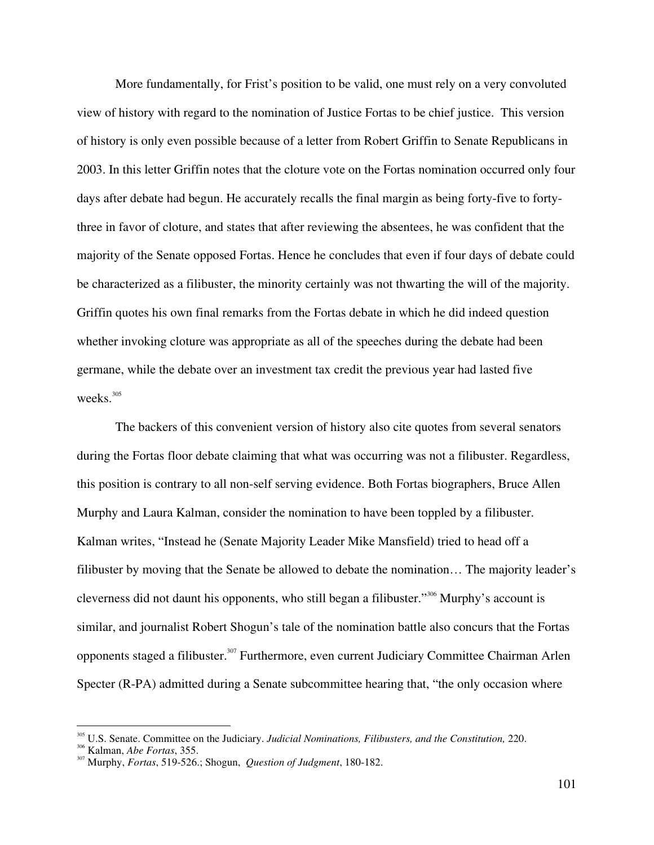More fundamentally, for Frist's position to be valid, one must rely on a very convoluted view of history with regard to the nomination of Justice Fortas to be chief justice. This version of history is only even possible because of a letter from Robert Griffin to Senate Republicans in 2003. In this letter Griffin notes that the cloture vote on the Fortas nomination occurred only four days after debate had begun. He accurately recalls the final margin as being forty-five to fortythree in favor of cloture, and states that after reviewing the absentees, he was confident that the majority of the Senate opposed Fortas. Hence he concludes that even if four days of debate could be characterized as a filibuster, the minority certainly was not thwarting the will of the majority. Griffin quotes his own final remarks from the Fortas debate in which he did indeed question whether invoking cloture was appropriate as all of the speeches during the debate had been germane, while the debate over an investment tax credit the previous year had lasted five weeks. 305

The backers of this convenient version of history also cite quotes from several senators during the Fortas floor debate claiming that what was occurring was not a filibuster. Regardless, this position is contrary to all non-self serving evidence. Both Fortas biographers, Bruce Allen Murphy and Laura Kalman, consider the nomination to have been toppled by a filibuster. Kalman writes, "Instead he (Senate Majority Leader Mike Mansfield) tried to head off a filibuster by moving that the Senate be allowed to debate the nomination… The majority leader's cleverness did not daunt his opponents, who still began a filibuster."<sup>306</sup> Murphy's account is similar, and journalist Robert Shogun's tale of the nomination battle also concurs that the Fortas opponents staged a filibuster.<sup>307</sup> Furthermore, even current Judiciary Committee Chairman Arlen Specter (R-PA) admitted during a Senate subcommittee hearing that, "the only occasion where

<sup>305</sup> U.S. Senate. Committee on the Judiciary. *Judicial Nominations, Filibusters, and the Constitution,* 220. <sup>306</sup>

Kalman, *Abe Fortas*, 355. <sup>307</sup>

Murphy, *Fortas*, 519-526.; Shogun, *Question of Judgment*, 180-182.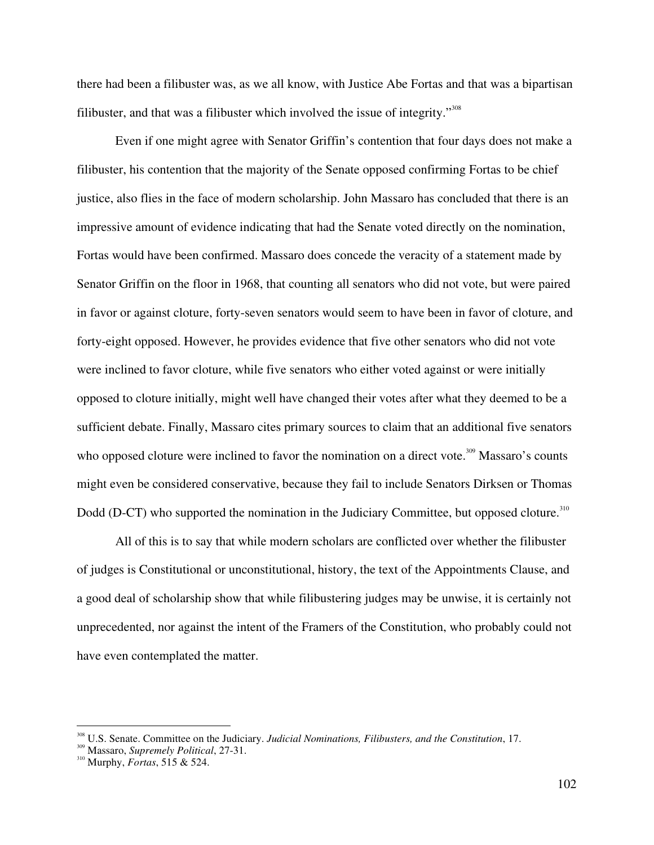there had been a filibuster was, as we all know, with Justice Abe Fortas and that was a bipartisan filibuster, and that was a filibuster which involved the issue of integrity."<sup>308</sup>

Even if one might agree with Senator Griffin's contention that four days does not make a filibuster, his contention that the majority of the Senate opposed confirming Fortas to be chief justice, also flies in the face of modern scholarship. John Massaro has concluded that there is an impressive amount of evidence indicating that had the Senate voted directly on the nomination, Fortas would have been confirmed. Massaro does concede the veracity of a statement made by Senator Griffin on the floor in 1968, that counting all senators who did not vote, but were paired in favor or against cloture, forty-seven senators would seem to have been in favor of cloture, and forty-eight opposed. However, he provides evidence that five other senators who did not vote were inclined to favor cloture, while five senators who either voted against or were initially opposed to cloture initially, might well have changed their votes after what they deemed to be a sufficient debate. Finally, Massaro cites primary sources to claim that an additional five senators who opposed cloture were inclined to favor the nomination on a direct vote.<sup>309</sup> Massaro's counts might even be considered conservative, because they fail to include Senators Dirksen or Thomas Dodd (D-CT) who supported the nomination in the Judiciary Committee, but opposed cloture.<sup>310</sup>

All of this is to say that while modern scholars are conflicted over whether the filibuster of judges is Constitutional or unconstitutional, history, the text of the Appointments Clause, and a good deal of scholarship show that while filibustering judges may be unwise, it is certainly not unprecedented, nor against the intent of the Framers of the Constitution, who probably could not have even contemplated the matter.

<sup>308</sup> U.S. Senate. Committee on the Judiciary. *Judicial Nominations, Filibusters, and the Constitution*, 17. <sup>309</sup>

<sup>&</sup>lt;sup>319</sup> Massaro, *Supremely Political*, 27-31.<br><sup>310</sup> Murphy, *Fortas*, 515 & 524.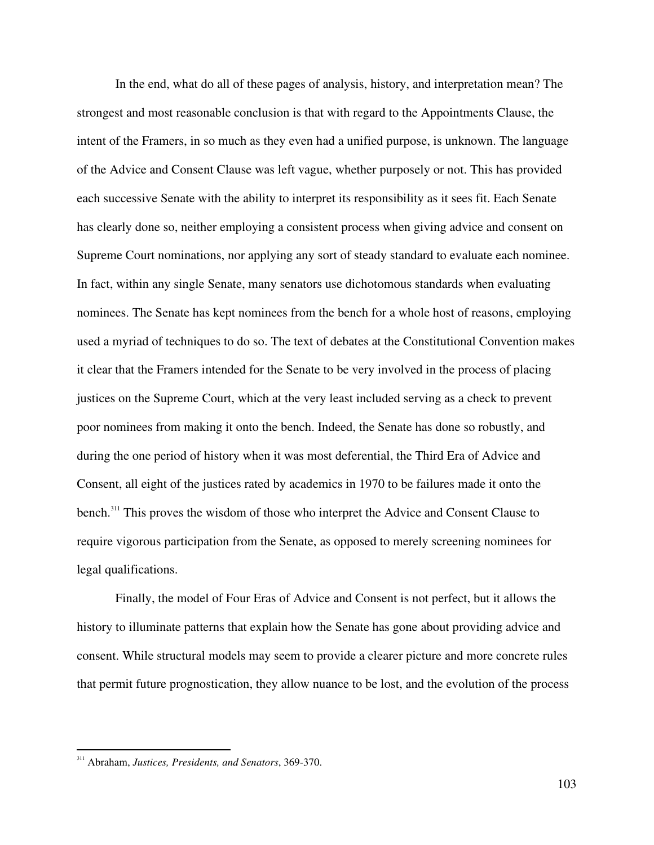In the end, what do all of these pages of analysis, history, and interpretation mean? The strongest and most reasonable conclusion is that with regard to the Appointments Clause, the intent of the Framers, in so much as they even had a unified purpose, is unknown. The language of the Advice and Consent Clause was left vague, whether purposely or not. This has provided each successive Senate with the ability to interpret its responsibility as it sees fit. Each Senate has clearly done so, neither employing a consistent process when giving advice and consent on Supreme Court nominations, nor applying any sort of steady standard to evaluate each nominee. In fact, within any single Senate, many senators use dichotomous standards when evaluating nominees. The Senate has kept nominees from the bench for a whole host of reasons, employing used a myriad of techniques to do so. The text of debates at the Constitutional Convention makes it clear that the Framers intended for the Senate to be very involved in the process of placing justices on the Supreme Court, which at the very least included serving as a check to prevent poor nominees from making it onto the bench. Indeed, the Senate has done so robustly, and during the one period of history when it was most deferential, the Third Era of Advice and Consent, all eight of the justices rated by academics in 1970 to be failures made it onto the bench.<sup>311</sup> This proves the wisdom of those who interpret the Advice and Consent Clause to require vigorous participation from the Senate, as opposed to merely screening nominees for legal qualifications.

Finally, the model of Four Eras of Advice and Consent is not perfect, but it allows the history to illuminate patterns that explain how the Senate has gone about providing advice and consent. While structural models may seem to provide a clearer picture and more concrete rules that permit future prognostication, they allow nuance to be lost, and the evolution of the process

<sup>311</sup> Abraham, *Justices, Presidents, and Senators*, 369-370.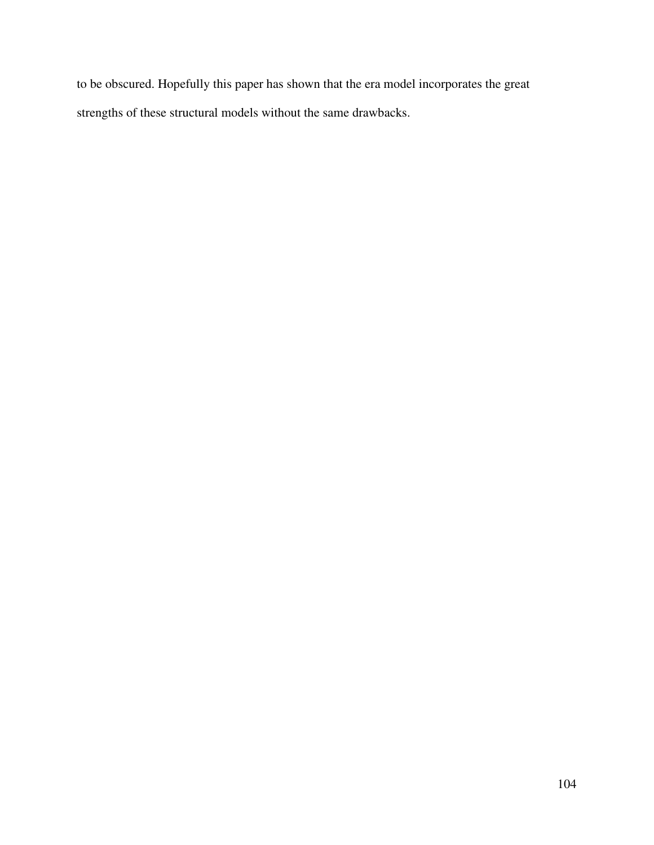to be obscured. Hopefully this paper has shown that the era model incorporates the great strengths of these structural models without the same drawbacks.